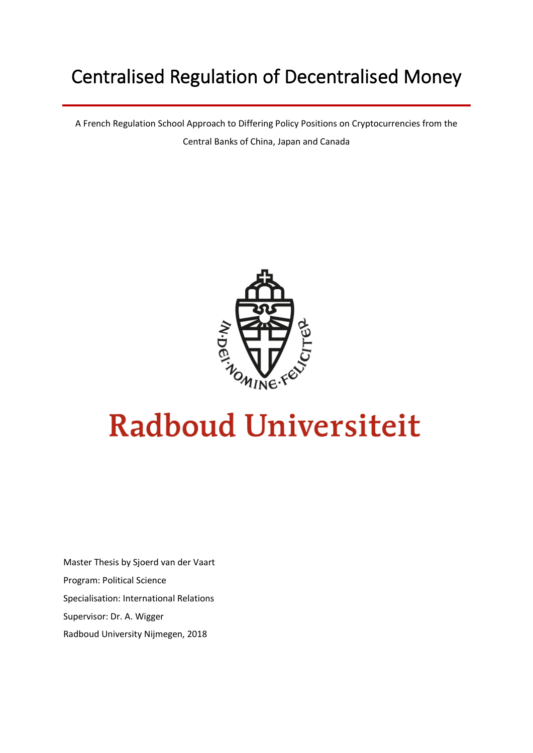## Centralised Regulation of Decentralised Money

A French Regulation School Approach to Differing Policy Positions on Cryptocurrencies from the Central Banks of China, Japan and Canada



# **Radboud Universiteit**

Master Thesis by Sjoerd van der Vaart Program: Political Science Specialisation: International Relations Supervisor: Dr. A. Wigger Radboud University Nijmegen, 2018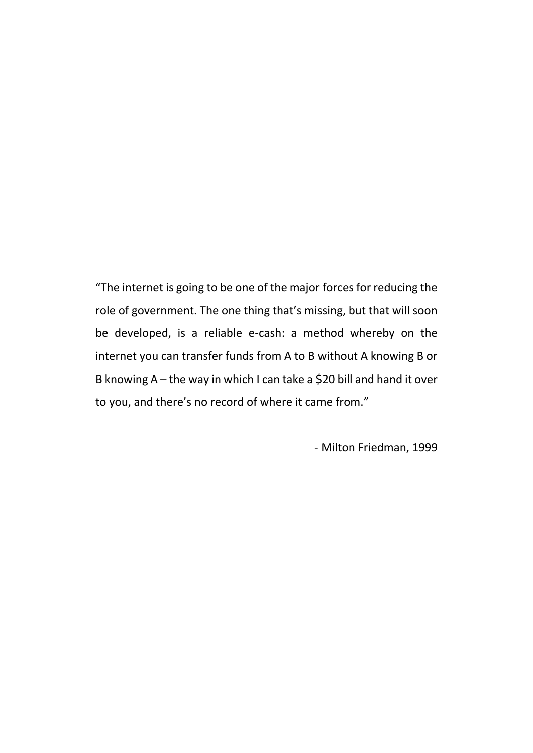"The internet is going to be one of the major forces for reducing the role of government. The one thing that's missing, but that will soon be developed, is a reliable e-cash: a method whereby on the internet you can transfer funds from A to B without A knowing B or B knowing A – the way in which I can take a \$20 bill and hand it over to you, and there's no record of where it came from."

- Milton Friedman, 1999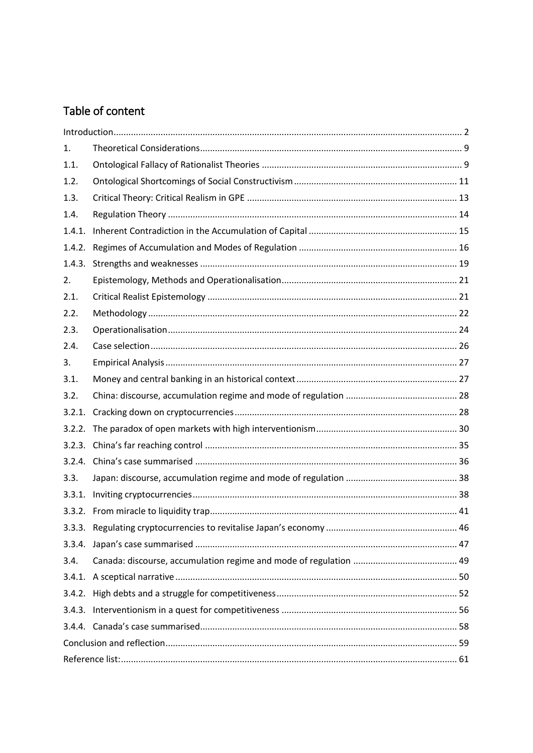## Table of content

| 1.     |  |  |  |
|--------|--|--|--|
| 1.1.   |  |  |  |
| 1.2.   |  |  |  |
| 1.3.   |  |  |  |
| 1.4.   |  |  |  |
| 1.4.1. |  |  |  |
| 1.4.2. |  |  |  |
| 1.4.3. |  |  |  |
| 2.     |  |  |  |
| 2.1.   |  |  |  |
| 2.2.   |  |  |  |
| 2.3.   |  |  |  |
| 2.4.   |  |  |  |
| 3.     |  |  |  |
| 3.1.   |  |  |  |
| 3.2.   |  |  |  |
| 3.2.1. |  |  |  |
|        |  |  |  |
|        |  |  |  |
|        |  |  |  |
| 3.3.   |  |  |  |
| 3.3.1. |  |  |  |
|        |  |  |  |
|        |  |  |  |
|        |  |  |  |
| 3.4.   |  |  |  |
|        |  |  |  |
|        |  |  |  |
|        |  |  |  |
|        |  |  |  |
|        |  |  |  |
|        |  |  |  |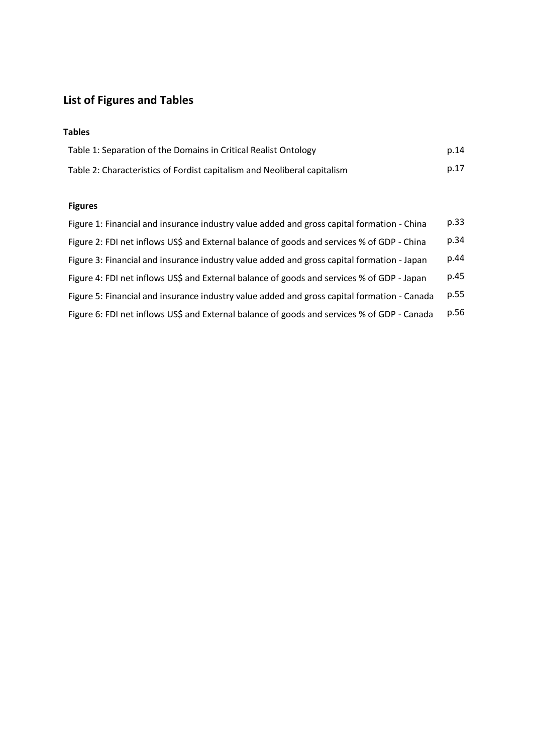## **List of Figures and Tables**

#### **Tables**

| Table 1: Separation of the Domains in Critical Realist Ontology          | p.14 |
|--------------------------------------------------------------------------|------|
| Table 2: Characteristics of Fordist capitalism and Neoliberal capitalism | p.17 |

#### **Figures**

| Figure 1: Financial and insurance industry value added and gross capital formation - China  | p.33 |
|---------------------------------------------------------------------------------------------|------|
| Figure 2: FDI net inflows US\$ and External balance of goods and services % of GDP - China  | p.34 |
| Figure 3: Financial and insurance industry value added and gross capital formation - Japan  | p.44 |
| Figure 4: FDI net inflows US\$ and External balance of goods and services % of GDP - Japan  | p.45 |
| Figure 5: Financial and insurance industry value added and gross capital formation - Canada | p.55 |
| Figure 6: FDI net inflows US\$ and External balance of goods and services % of GDP - Canada | p.56 |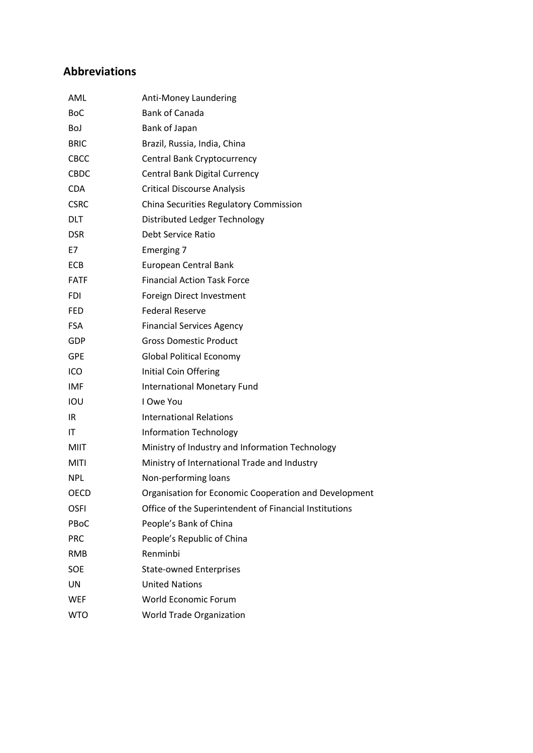### **Abbreviations**

| Anti-Money Laundering                                  |
|--------------------------------------------------------|
| <b>Bank of Canada</b>                                  |
| Bank of Japan                                          |
| Brazil, Russia, India, China                           |
| Central Bank Cryptocurrency                            |
| Central Bank Digital Currency                          |
| <b>Critical Discourse Analysis</b>                     |
| China Securities Regulatory Commission                 |
| Distributed Ledger Technology                          |
| Debt Service Ratio                                     |
| Emerging 7                                             |
| European Central Bank                                  |
| <b>Financial Action Task Force</b>                     |
| Foreign Direct Investment                              |
| <b>Federal Reserve</b>                                 |
| <b>Financial Services Agency</b>                       |
| <b>Gross Domestic Product</b>                          |
| <b>Global Political Economy</b>                        |
| Initial Coin Offering                                  |
| International Monetary Fund                            |
| I Owe You                                              |
| <b>International Relations</b>                         |
| <b>Information Technology</b>                          |
| Ministry of Industry and Information Technology        |
| Ministry of International Trade and Industry           |
| Non-performing loans                                   |
| Organisation for Economic Cooperation and Development  |
| Office of the Superintendent of Financial Institutions |
| People's Bank of China                                 |
| People's Republic of China                             |
| Renminbi                                               |
| <b>State-owned Enterprises</b>                         |
| <b>United Nations</b>                                  |
| World Economic Forum                                   |
| World Trade Organization                               |
|                                                        |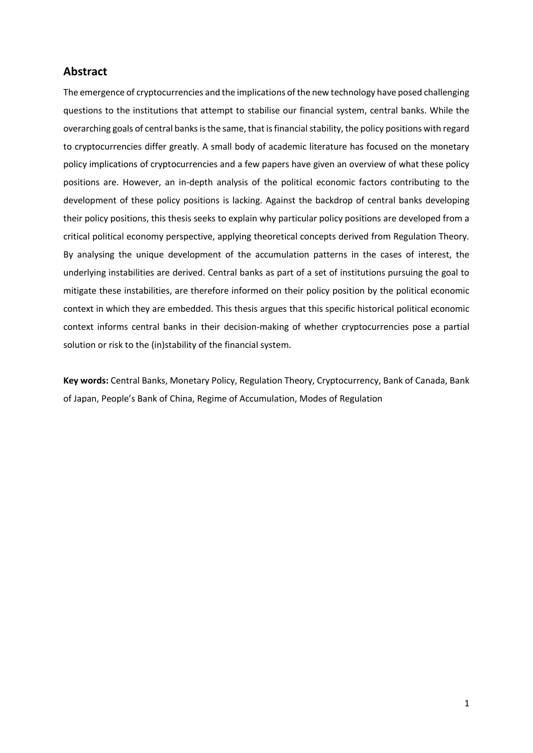#### **Abstract**

The emergence of cryptocurrencies and the implications of the new technology have posed challenging questions to the institutions that attempt to stabilise our financial system, central banks. While the overarching goals of central banks is the same, that is financial stability, the policy positions with regard to cryptocurrencies differ greatly. A small body of academic literature has focused on the monetary policy implications of cryptocurrencies and a few papers have given an overview of what these policy positions are. However, an in-depth analysis of the political economic factors contributing to the development of these policy positions is lacking. Against the backdrop of central banks developing their policy positions, this thesis seeks to explain why particular policy positions are developed from a critical political economy perspective, applying theoretical concepts derived from Regulation Theory. By analysing the unique development of the accumulation patterns in the cases of interest, the underlying instabilities are derived. Central banks as part of a set of institutions pursuing the goal to mitigate these instabilities, are therefore informed on their policy position by the political economic context in which they are embedded. This thesis argues that this specific historical political economic context informs central banks in their decision-making of whether cryptocurrencies pose a partial solution or risk to the (in)stability of the financial system.

**Key words:** Central Banks, Monetary Policy, Regulation Theory, Cryptocurrency, Bank of Canada, Bank of Japan, People's Bank of China, Regime of Accumulation, Modes of Regulation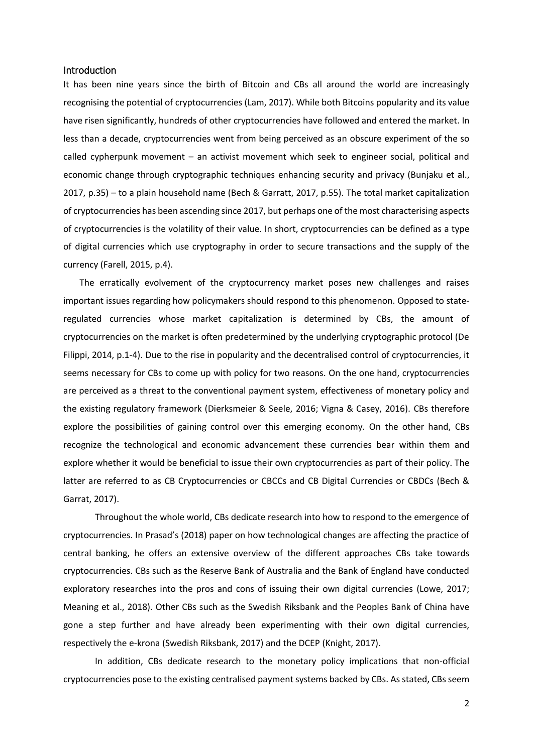#### <span id="page-6-0"></span>Introduction

It has been nine years since the birth of Bitcoin and CBs all around the world are increasingly recognising the potential of cryptocurrencies (Lam, 2017). While both Bitcoins popularity and its value have risen significantly, hundreds of other cryptocurrencies have followed and entered the market. In less than a decade, cryptocurrencies went from being perceived as an obscure experiment of the so called cypherpunk movement – an activist movement which seek to engineer social, political and economic change through cryptographic techniques enhancing security and privacy (Bunjaku et al., 2017, p.35) – to a plain household name (Bech & Garratt, 2017, p.55). The total market capitalization of cryptocurrencies has been ascending since 2017, but perhaps one of the most characterising aspects of cryptocurrencies is the volatility of their value. In short, cryptocurrencies can be defined as a type of digital currencies which use cryptography in order to secure transactions and the supply of the currency (Farell, 2015, p.4).

The erratically evolvement of the cryptocurrency market poses new challenges and raises important issues regarding how policymakers should respond to this phenomenon. Opposed to stateregulated currencies whose market capitalization is determined by CBs, the amount of cryptocurrencies on the market is often predetermined by the underlying cryptographic protocol (De Filippi, 2014, p.1-4). Due to the rise in popularity and the decentralised control of cryptocurrencies, it seems necessary for CBs to come up with policy for two reasons. On the one hand, cryptocurrencies are perceived as a threat to the conventional payment system, effectiveness of monetary policy and the existing regulatory framework (Dierksmeier & Seele, 2016; Vigna & Casey, 2016). CBs therefore explore the possibilities of gaining control over this emerging economy. On the other hand, CBs recognize the technological and economic advancement these currencies bear within them and explore whether it would be beneficial to issue their own cryptocurrencies as part of their policy. The latter are referred to as CB Cryptocurrencies or CBCCs and CB Digital Currencies or CBDCs (Bech & Garrat, 2017).

Throughout the whole world, CBs dedicate research into how to respond to the emergence of cryptocurrencies. In Prasad's (2018) paper on how technological changes are affecting the practice of central banking, he offers an extensive overview of the different approaches CBs take towards cryptocurrencies. CBs such as the Reserve Bank of Australia and the Bank of England have conducted exploratory researches into the pros and cons of issuing their own digital currencies (Lowe, 2017; Meaning et al., 2018). Other CBs such as the Swedish Riksbank and the Peoples Bank of China have gone a step further and have already been experimenting with their own digital currencies, respectively the e-krona (Swedish Riksbank, 2017) and the DCEP (Knight, 2017).

In addition, CBs dedicate research to the monetary policy implications that non-official cryptocurrencies pose to the existing centralised payment systems backed by CBs. As stated, CBs seem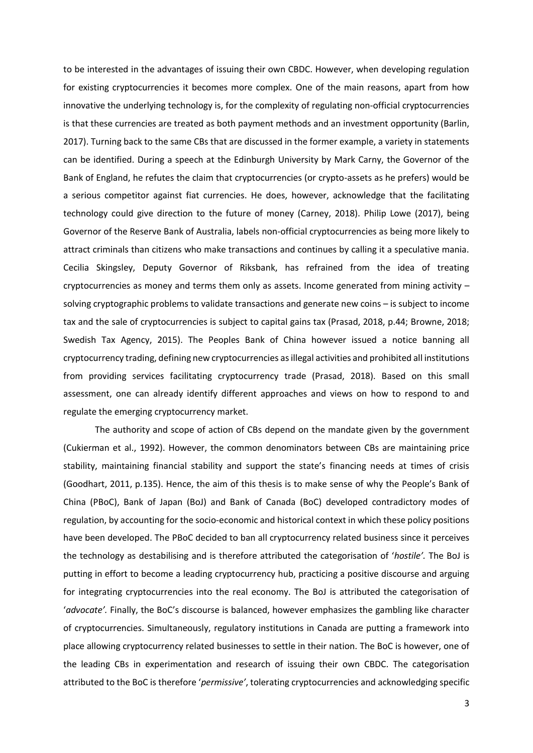to be interested in the advantages of issuing their own CBDC. However, when developing regulation for existing cryptocurrencies it becomes more complex. One of the main reasons, apart from how innovative the underlying technology is, for the complexity of regulating non-official cryptocurrencies is that these currencies are treated as both payment methods and an investment opportunity (Barlin, 2017). Turning back to the same CBs that are discussed in the former example, a variety in statements can be identified. During a speech at the Edinburgh University by Mark Carny, the Governor of the Bank of England, he refutes the claim that cryptocurrencies (or crypto-assets as he prefers) would be a serious competitor against fiat currencies. He does, however, acknowledge that the facilitating technology could give direction to the future of money (Carney, 2018). Philip Lowe (2017), being Governor of the Reserve Bank of Australia, labels non-official cryptocurrencies as being more likely to attract criminals than citizens who make transactions and continues by calling it a speculative mania. Cecilia Skingsley, Deputy Governor of Riksbank, has refrained from the idea of treating cryptocurrencies as money and terms them only as assets. Income generated from mining activity – solving cryptographic problems to validate transactions and generate new coins – is subject to income tax and the sale of cryptocurrencies is subject to capital gains tax (Prasad, 2018, p.44; Browne, 2018; Swedish Tax Agency, 2015). The Peoples Bank of China however issued a notice banning all cryptocurrency trading, defining new cryptocurrencies as illegal activities and prohibited all institutions from providing services facilitating cryptocurrency trade (Prasad, 2018). Based on this small assessment, one can already identify different approaches and views on how to respond to and regulate the emerging cryptocurrency market.

The authority and scope of action of CBs depend on the mandate given by the government (Cukierman et al., 1992). However, the common denominators between CBs are maintaining price stability, maintaining financial stability and support the state's financing needs at times of crisis (Goodhart, 2011, p.135). Hence, the aim of this thesis is to make sense of why the People's Bank of China (PBoC), Bank of Japan (BoJ) and Bank of Canada (BoC) developed contradictory modes of regulation, by accounting for the socio-economic and historical context in which these policy positions have been developed. The PBoC decided to ban all cryptocurrency related business since it perceives the technology as destabilising and is therefore attributed the categorisation of '*hostile'.* The BoJ is putting in effort to become a leading cryptocurrency hub, practicing a positive discourse and arguing for integrating cryptocurrencies into the real economy. The BoJ is attributed the categorisation of '*advocate'.* Finally, the BoC's discourse is balanced, however emphasizes the gambling like character of cryptocurrencies. Simultaneously, regulatory institutions in Canada are putting a framework into place allowing cryptocurrency related businesses to settle in their nation. The BoC is however, one of the leading CBs in experimentation and research of issuing their own CBDC. The categorisation attributed to the BoC is therefore '*permissive'*, tolerating cryptocurrencies and acknowledging specific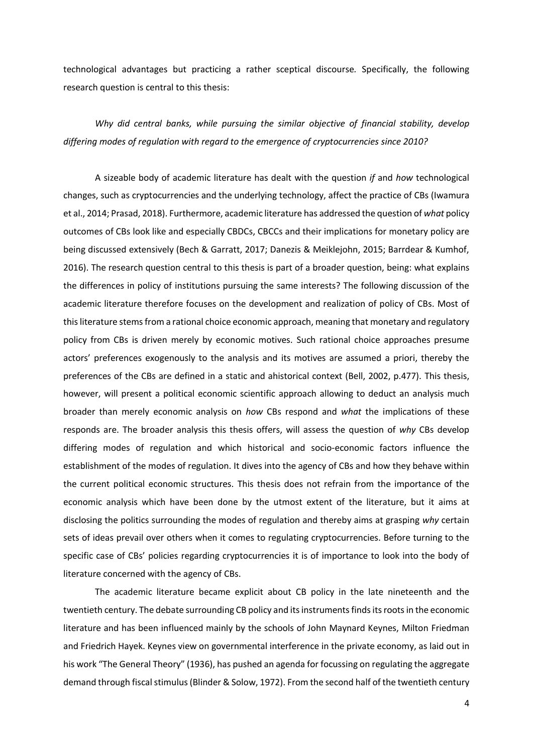technological advantages but practicing a rather sceptical discourse*.* Specifically, the following research question is central to this thesis:

*Why did central banks, while pursuing the similar objective of financial stability, develop differing modes of regulation with regard to the emergence of cryptocurrencies since 2010?*

A sizeable body of academic literature has dealt with the question *if* and *how* technological changes, such as cryptocurrencies and the underlying technology, affect the practice of CBs (Iwamura et al., 2014; Prasad, 2018). Furthermore, academic literature has addressed the question of *what* policy outcomes of CBs look like and especially CBDCs, CBCCs and their implications for monetary policy are being discussed extensively (Bech & Garratt, 2017; Danezis & Meiklejohn, 2015; Barrdear & Kumhof, 2016). The research question central to this thesis is part of a broader question, being: what explains the differences in policy of institutions pursuing the same interests? The following discussion of the academic literature therefore focuses on the development and realization of policy of CBs. Most of this literature stems from a rational choice economic approach, meaning that monetary and regulatory policy from CBs is driven merely by economic motives. Such rational choice approaches presume actors' preferences exogenously to the analysis and its motives are assumed a priori, thereby the preferences of the CBs are defined in a static and ahistorical context (Bell, 2002, p.477). This thesis, however, will present a political economic scientific approach allowing to deduct an analysis much broader than merely economic analysis on *how* CBs respond and *what* the implications of these responds are. The broader analysis this thesis offers, will assess the question of *why* CBs develop differing modes of regulation and which historical and socio-economic factors influence the establishment of the modes of regulation. It dives into the agency of CBs and how they behave within the current political economic structures. This thesis does not refrain from the importance of the economic analysis which have been done by the utmost extent of the literature, but it aims at disclosing the politics surrounding the modes of regulation and thereby aims at grasping *why* certain sets of ideas prevail over others when it comes to regulating cryptocurrencies. Before turning to the specific case of CBs' policies regarding cryptocurrencies it is of importance to look into the body of literature concerned with the agency of CBs.

The academic literature became explicit about CB policy in the late nineteenth and the twentieth century. The debate surrounding CB policy and its instruments finds its roots in the economic literature and has been influenced mainly by the schools of John Maynard Keynes, Milton Friedman and Friedrich Hayek. Keynes view on governmental interference in the private economy, as laid out in his work "The General Theory" (1936), has pushed an agenda for focussing on regulating the aggregate demand through fiscal stimulus (Blinder & Solow, 1972). From the second half of the twentieth century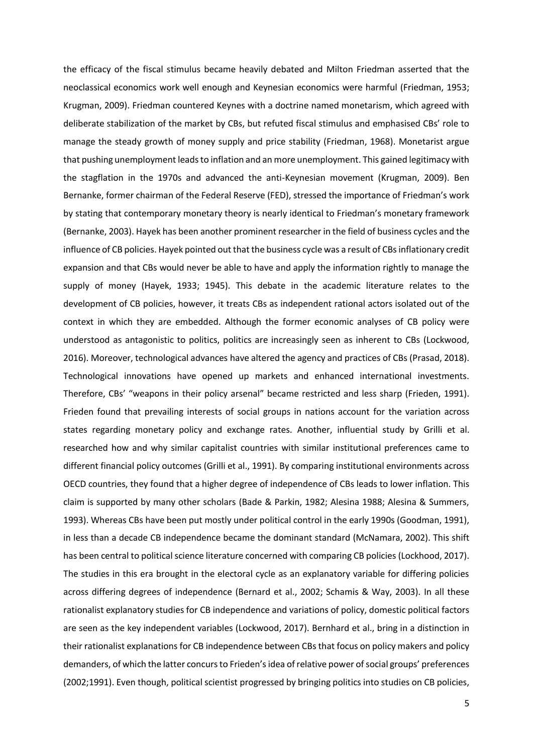the efficacy of the fiscal stimulus became heavily debated and Milton Friedman asserted that the neoclassical economics work well enough and Keynesian economics were harmful (Friedman, 1953; Krugman, 2009). Friedman countered Keynes with a doctrine named monetarism, which agreed with deliberate stabilization of the market by CBs, but refuted fiscal stimulus and emphasised CBs' role to manage the steady growth of money supply and price stability (Friedman, 1968). Monetarist argue that pushing unemployment leads to inflation and an more unemployment. This gained legitimacy with the stagflation in the 1970s and advanced the anti-Keynesian movement (Krugman, 2009). Ben Bernanke, former chairman of the Federal Reserve (FED), stressed the importance of Friedman's work by stating that contemporary monetary theory is nearly identical to Friedman's monetary framework (Bernanke, 2003). Hayek has been another prominent researcher in the field of business cycles and the influence of CB policies. Hayek pointed out that the business cycle was a result of CBs inflationary credit expansion and that CBs would never be able to have and apply the information rightly to manage the supply of money (Hayek, 1933; 1945). This debate in the academic literature relates to the development of CB policies, however, it treats CBs as independent rational actors isolated out of the context in which they are embedded. Although the former economic analyses of CB policy were understood as antagonistic to politics, politics are increasingly seen as inherent to CBs (Lockwood, 2016). Moreover, technological advances have altered the agency and practices of CBs (Prasad, 2018). Technological innovations have opened up markets and enhanced international investments. Therefore, CBs' "weapons in their policy arsenal" became restricted and less sharp (Frieden, 1991). Frieden found that prevailing interests of social groups in nations account for the variation across states regarding monetary policy and exchange rates. Another, influential study by Grilli et al. researched how and why similar capitalist countries with similar institutional preferences came to different financial policy outcomes (Grilli et al., 1991). By comparing institutional environments across OECD countries, they found that a higher degree of independence of CBs leads to lower inflation. This claim is supported by many other scholars (Bade & Parkin, 1982; Alesina 1988; Alesina & Summers, 1993). Whereas CBs have been put mostly under political control in the early 1990s (Goodman, 1991), in less than a decade CB independence became the dominant standard (McNamara, 2002). This shift has been central to political science literature concerned with comparing CB policies (Lockhood, 2017). The studies in this era brought in the electoral cycle as an explanatory variable for differing policies across differing degrees of independence (Bernard et al., 2002; Schamis & Way, 2003). In all these rationalist explanatory studies for CB independence and variations of policy, domestic political factors are seen as the key independent variables (Lockwood, 2017). Bernhard et al., bring in a distinction in their rationalist explanations for CB independence between CBs that focus on policy makers and policy demanders, of which the latter concurs to Frieden's idea of relative power of social groups' preferences (2002;1991). Even though, political scientist progressed by bringing politics into studies on CB policies,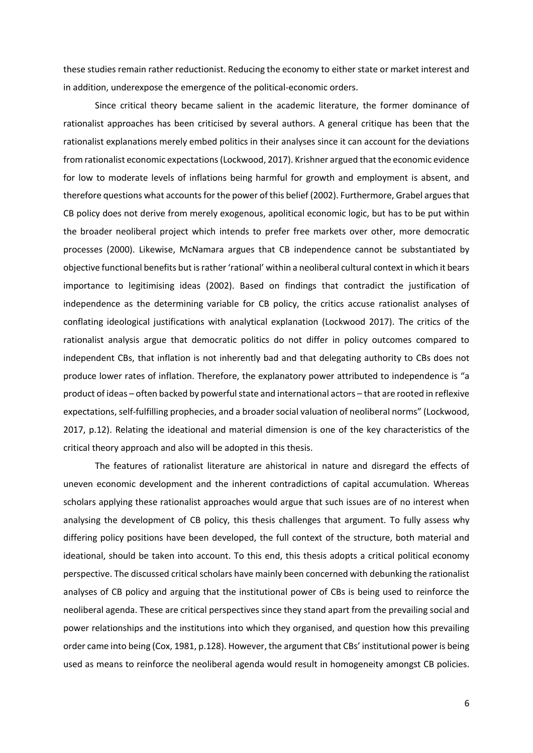these studies remain rather reductionist. Reducing the economy to either state or market interest and in addition, underexpose the emergence of the political-economic orders.

Since critical theory became salient in the academic literature, the former dominance of rationalist approaches has been criticised by several authors. A general critique has been that the rationalist explanations merely embed politics in their analyses since it can account for the deviations from rationalist economic expectations (Lockwood, 2017). Krishner argued that the economic evidence for low to moderate levels of inflations being harmful for growth and employment is absent, and therefore questions what accounts for the power of this belief (2002). Furthermore, Grabel argues that CB policy does not derive from merely exogenous, apolitical economic logic, but has to be put within the broader neoliberal project which intends to prefer free markets over other, more democratic processes (2000). Likewise, McNamara argues that CB independence cannot be substantiated by objective functional benefits but is rather 'rational' within a neoliberal cultural context in which it bears importance to legitimising ideas (2002). Based on findings that contradict the justification of independence as the determining variable for CB policy, the critics accuse rationalist analyses of conflating ideological justifications with analytical explanation (Lockwood 2017). The critics of the rationalist analysis argue that democratic politics do not differ in policy outcomes compared to independent CBs, that inflation is not inherently bad and that delegating authority to CBs does not produce lower rates of inflation. Therefore, the explanatory power attributed to independence is "a product of ideas – often backed by powerful state and international actors – that are rooted in reflexive expectations, self-fulfilling prophecies, and a broader social valuation of neoliberal norms" (Lockwood, 2017, p.12). Relating the ideational and material dimension is one of the key characteristics of the critical theory approach and also will be adopted in this thesis.

The features of rationalist literature are ahistorical in nature and disregard the effects of uneven economic development and the inherent contradictions of capital accumulation. Whereas scholars applying these rationalist approaches would argue that such issues are of no interest when analysing the development of CB policy, this thesis challenges that argument. To fully assess why differing policy positions have been developed, the full context of the structure, both material and ideational, should be taken into account. To this end, this thesis adopts a critical political economy perspective. The discussed critical scholars have mainly been concerned with debunking the rationalist analyses of CB policy and arguing that the institutional power of CBs is being used to reinforce the neoliberal agenda. These are critical perspectives since they stand apart from the prevailing social and power relationships and the institutions into which they organised, and question how this prevailing order came into being (Cox, 1981, p.128). However, the argument that CBs' institutional power is being used as means to reinforce the neoliberal agenda would result in homogeneity amongst CB policies.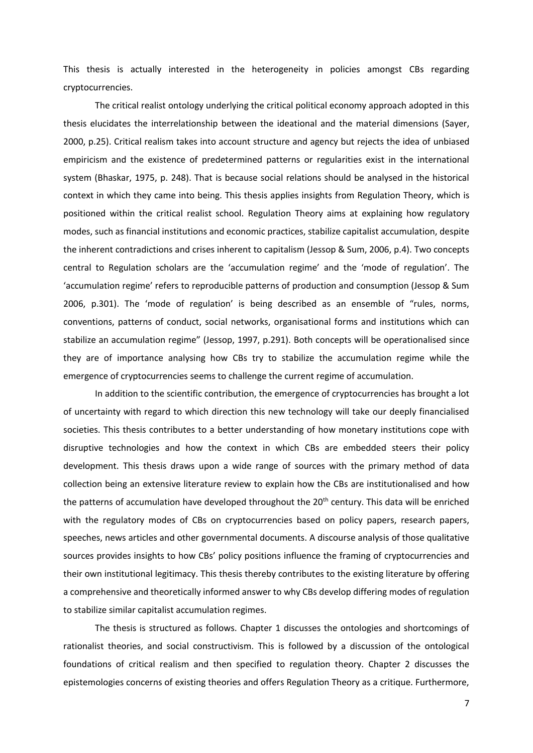This thesis is actually interested in the heterogeneity in policies amongst CBs regarding cryptocurrencies.

The critical realist ontology underlying the critical political economy approach adopted in this thesis elucidates the interrelationship between the ideational and the material dimensions (Sayer, 2000, p.25). Critical realism takes into account structure and agency but rejects the idea of unbiased empiricism and the existence of predetermined patterns or regularities exist in the international system (Bhaskar, 1975, p. 248). That is because social relations should be analysed in the historical context in which they came into being. This thesis applies insights from Regulation Theory, which is positioned within the critical realist school. Regulation Theory aims at explaining how regulatory modes, such as financial institutions and economic practices, stabilize capitalist accumulation, despite the inherent contradictions and crises inherent to capitalism (Jessop & Sum, 2006, p.4). Two concepts central to Regulation scholars are the 'accumulation regime' and the 'mode of regulation'. The 'accumulation regime' refers to reproducible patterns of production and consumption (Jessop & Sum 2006, p.301). The 'mode of regulation' is being described as an ensemble of "rules, norms, conventions, patterns of conduct, social networks, organisational forms and institutions which can stabilize an accumulation regime" (Jessop, 1997, p.291). Both concepts will be operationalised since they are of importance analysing how CBs try to stabilize the accumulation regime while the emergence of cryptocurrencies seems to challenge the current regime of accumulation.

In addition to the scientific contribution, the emergence of cryptocurrencies has brought a lot of uncertainty with regard to which direction this new technology will take our deeply financialised societies. This thesis contributes to a better understanding of how monetary institutions cope with disruptive technologies and how the context in which CBs are embedded steers their policy development. This thesis draws upon a wide range of sources with the primary method of data collection being an extensive literature review to explain how the CBs are institutionalised and how the patterns of accumulation have developed throughout the 20<sup>th</sup> century. This data will be enriched with the regulatory modes of CBs on cryptocurrencies based on policy papers, research papers, speeches, news articles and other governmental documents. A discourse analysis of those qualitative sources provides insights to how CBs' policy positions influence the framing of cryptocurrencies and their own institutional legitimacy. This thesis thereby contributes to the existing literature by offering a comprehensive and theoretically informed answer to why CBs develop differing modes of regulation to stabilize similar capitalist accumulation regimes.

The thesis is structured as follows. Chapter 1 discusses the ontologies and shortcomings of rationalist theories, and social constructivism. This is followed by a discussion of the ontological foundations of critical realism and then specified to regulation theory. Chapter 2 discusses the epistemologies concerns of existing theories and offers Regulation Theory as a critique. Furthermore,

7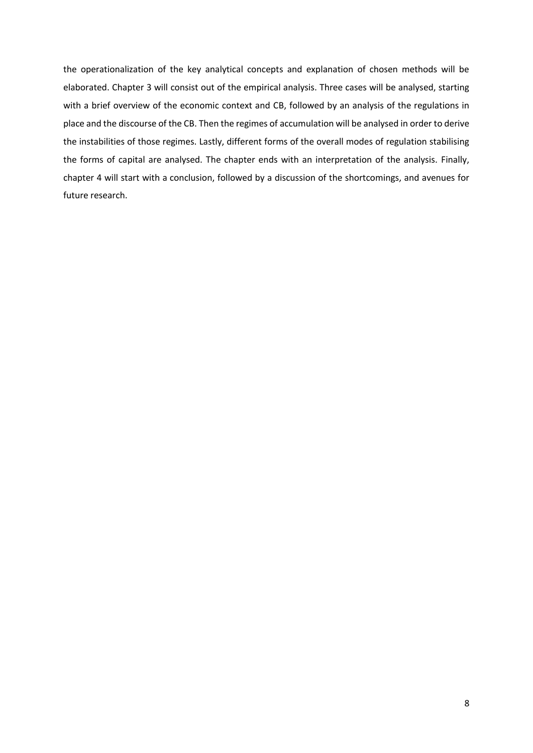the operationalization of the key analytical concepts and explanation of chosen methods will be elaborated. Chapter 3 will consist out of the empirical analysis. Three cases will be analysed, starting with a brief overview of the economic context and CB, followed by an analysis of the regulations in place and the discourse of the CB. Then the regimes of accumulation will be analysed in order to derive the instabilities of those regimes. Lastly, different forms of the overall modes of regulation stabilising the forms of capital are analysed. The chapter ends with an interpretation of the analysis. Finally, chapter 4 will start with a conclusion, followed by a discussion of the shortcomings, and avenues for future research.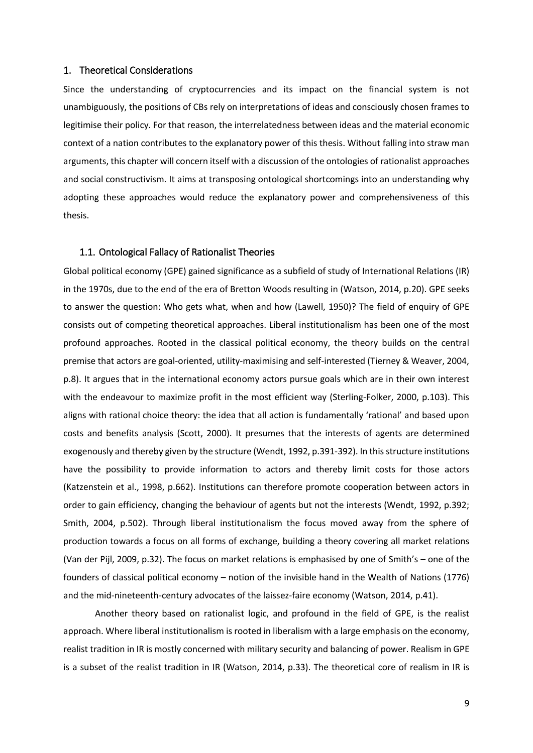#### <span id="page-13-0"></span>1. Theoretical Considerations

Since the understanding of cryptocurrencies and its impact on the financial system is not unambiguously, the positions of CBs rely on interpretations of ideas and consciously chosen frames to legitimise their policy. For that reason, the interrelatedness between ideas and the material economic context of a nation contributes to the explanatory power of this thesis. Without falling into straw man arguments, this chapter will concern itself with a discussion of the ontologies of rationalist approaches and social constructivism. It aims at transposing ontological shortcomings into an understanding why adopting these approaches would reduce the explanatory power and comprehensiveness of this thesis.

#### <span id="page-13-1"></span>1.1. Ontological Fallacy of Rationalist Theories

Global political economy (GPE) gained significance as a subfield of study of International Relations (IR) in the 1970s, due to the end of the era of Bretton Woods resulting in (Watson, 2014, p.20). GPE seeks to answer the question: Who gets what, when and how (Lawell, 1950)? The field of enquiry of GPE consists out of competing theoretical approaches. Liberal institutionalism has been one of the most profound approaches. Rooted in the classical political economy, the theory builds on the central premise that actors are goal-oriented, utility-maximising and self-interested (Tierney & Weaver, 2004, p.8). It argues that in the international economy actors pursue goals which are in their own interest with the endeavour to maximize profit in the most efficient way (Sterling-Folker, 2000, p.103). This aligns with rational choice theory: the idea that all action is fundamentally 'rational' and based upon costs and benefits analysis (Scott, 2000). It presumes that the interests of agents are determined exogenously and thereby given by the structure (Wendt, 1992, p.391-392). In this structure institutions have the possibility to provide information to actors and thereby limit costs for those actors (Katzenstein et al., 1998, p.662). Institutions can therefore promote cooperation between actors in order to gain efficiency, changing the behaviour of agents but not the interests (Wendt, 1992, p.392; Smith, 2004, p.502). Through liberal institutionalism the focus moved away from the sphere of production towards a focus on all forms of exchange, building a theory covering all market relations (Van der Pijl, 2009, p.32). The focus on market relations is emphasised by one of Smith's – one of the founders of classical political economy – notion of the invisible hand in the Wealth of Nations (1776) and the mid-nineteenth-century advocates of the laissez-faire economy (Watson, 2014, p.41).

Another theory based on rationalist logic, and profound in the field of GPE, is the realist approach. Where liberal institutionalism is rooted in liberalism with a large emphasis on the economy, realist tradition in IR is mostly concerned with military security and balancing of power. Realism in GPE is a subset of the realist tradition in IR (Watson, 2014, p.33). The theoretical core of realism in IR is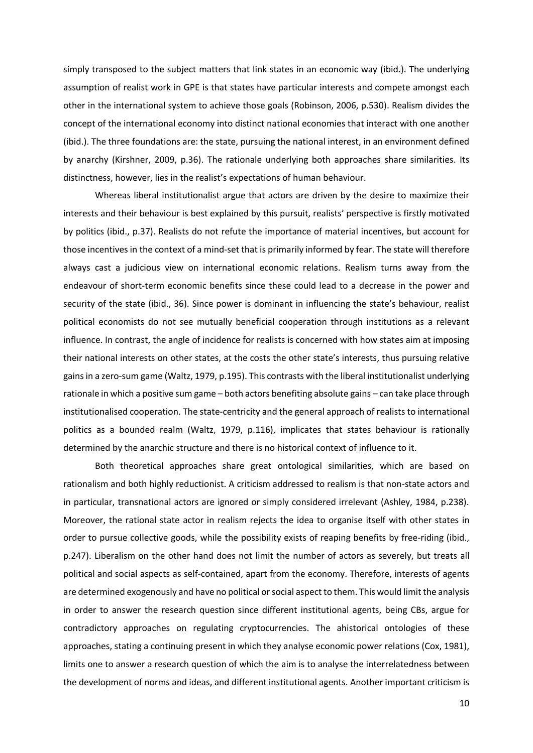simply transposed to the subject matters that link states in an economic way (ibid.). The underlying assumption of realist work in GPE is that states have particular interests and compete amongst each other in the international system to achieve those goals (Robinson, 2006, p.530). Realism divides the concept of the international economy into distinct national economies that interact with one another (ibid.). The three foundations are: the state, pursuing the national interest, in an environment defined by anarchy (Kirshner, 2009, p.36). The rationale underlying both approaches share similarities. Its distinctness, however, lies in the realist's expectations of human behaviour.

Whereas liberal institutionalist argue that actors are driven by the desire to maximize their interests and their behaviour is best explained by this pursuit, realists' perspective is firstly motivated by politics (ibid., p.37). Realists do not refute the importance of material incentives, but account for those incentives in the context of a mind-set that is primarily informed by fear. The state will therefore always cast a judicious view on international economic relations. Realism turns away from the endeavour of short-term economic benefits since these could lead to a decrease in the power and security of the state (ibid., 36). Since power is dominant in influencing the state's behaviour, realist political economists do not see mutually beneficial cooperation through institutions as a relevant influence. In contrast, the angle of incidence for realists is concerned with how states aim at imposing their national interests on other states, at the costs the other state's interests, thus pursuing relative gains in a zero-sum game (Waltz, 1979, p.195). This contrasts with the liberal institutionalist underlying rationale in which a positive sum game – both actors benefiting absolute gains – can take place through institutionalised cooperation. The state-centricity and the general approach of realists to international politics as a bounded realm (Waltz, 1979, p.116), implicates that states behaviour is rationally determined by the anarchic structure and there is no historical context of influence to it.

Both theoretical approaches share great ontological similarities, which are based on rationalism and both highly reductionist. A criticism addressed to realism is that non-state actors and in particular, transnational actors are ignored or simply considered irrelevant (Ashley, 1984, p.238). Moreover, the rational state actor in realism rejects the idea to organise itself with other states in order to pursue collective goods, while the possibility exists of reaping benefits by free-riding (ibid., p.247). Liberalism on the other hand does not limit the number of actors as severely, but treats all political and social aspects as self-contained, apart from the economy. Therefore, interests of agents are determined exogenously and have no political or social aspect to them. This would limit the analysis in order to answer the research question since different institutional agents, being CBs, argue for contradictory approaches on regulating cryptocurrencies. The ahistorical ontologies of these approaches, stating a continuing present in which they analyse economic power relations (Cox, 1981), limits one to answer a research question of which the aim is to analyse the interrelatedness between the development of norms and ideas, and different institutional agents. Another important criticism is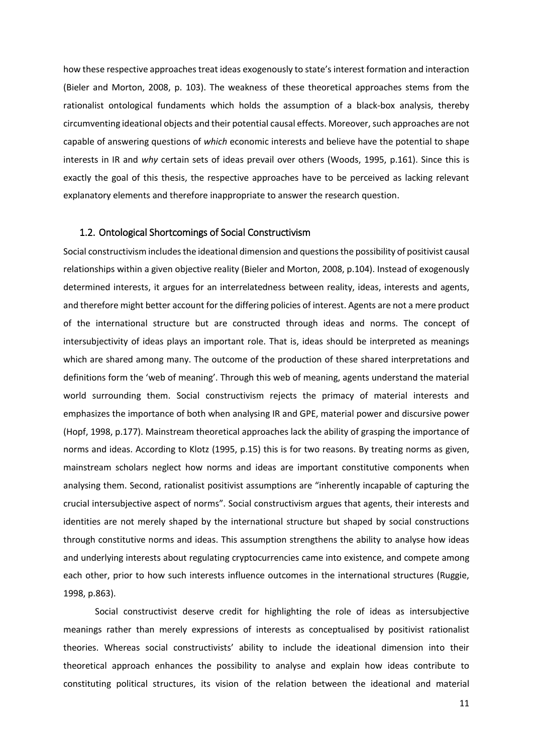how these respective approaches treat ideas exogenously to state's interest formation and interaction (Bieler and Morton, 2008, p. 103). The weakness of these theoretical approaches stems from the rationalist ontological fundaments which holds the assumption of a black-box analysis, thereby circumventing ideational objects and their potential causal effects. Moreover, such approaches are not capable of answering questions of *which* economic interests and believe have the potential to shape interests in IR and *why* certain sets of ideas prevail over others (Woods, 1995, p.161). Since this is exactly the goal of this thesis, the respective approaches have to be perceived as lacking relevant explanatory elements and therefore inappropriate to answer the research question.

#### <span id="page-15-0"></span>1.2. Ontological Shortcomings of Social Constructivism

Social constructivism includes the ideational dimension and questionsthe possibility of positivist causal relationships within a given objective reality (Bieler and Morton, 2008, p.104). Instead of exogenously determined interests, it argues for an interrelatedness between reality, ideas, interests and agents, and therefore might better account for the differing policies of interest. Agents are not a mere product of the international structure but are constructed through ideas and norms. The concept of intersubjectivity of ideas plays an important role. That is, ideas should be interpreted as meanings which are shared among many. The outcome of the production of these shared interpretations and definitions form the 'web of meaning'. Through this web of meaning, agents understand the material world surrounding them. Social constructivism rejects the primacy of material interests and emphasizes the importance of both when analysing IR and GPE, material power and discursive power (Hopf, 1998, p.177). Mainstream theoretical approaches lack the ability of grasping the importance of norms and ideas. According to Klotz (1995, p.15) this is for two reasons. By treating norms as given, mainstream scholars neglect how norms and ideas are important constitutive components when analysing them. Second, rationalist positivist assumptions are "inherently incapable of capturing the crucial intersubjective aspect of norms". Social constructivism argues that agents, their interests and identities are not merely shaped by the international structure but shaped by social constructions through constitutive norms and ideas. This assumption strengthens the ability to analyse how ideas and underlying interests about regulating cryptocurrencies came into existence, and compete among each other, prior to how such interests influence outcomes in the international structures (Ruggie, 1998, p.863).

Social constructivist deserve credit for highlighting the role of ideas as intersubjective meanings rather than merely expressions of interests as conceptualised by positivist rationalist theories. Whereas social constructivists' ability to include the ideational dimension into their theoretical approach enhances the possibility to analyse and explain how ideas contribute to constituting political structures, its vision of the relation between the ideational and material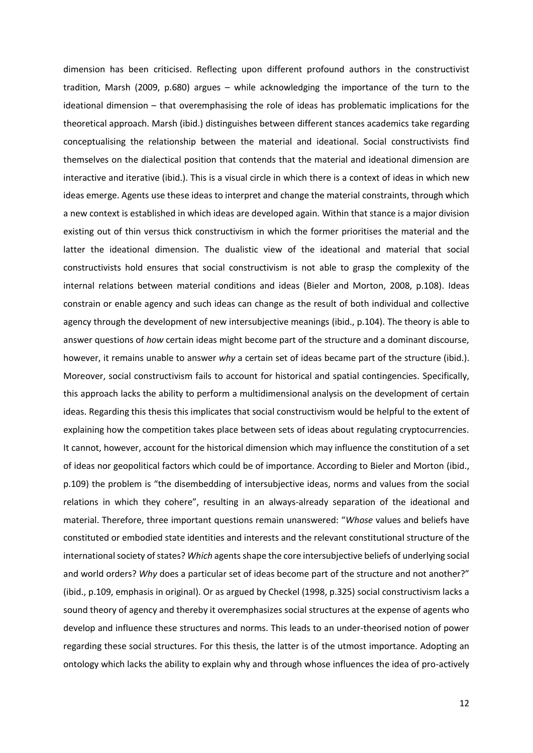dimension has been criticised. Reflecting upon different profound authors in the constructivist tradition, Marsh (2009, p.680) argues – while acknowledging the importance of the turn to the ideational dimension – that overemphasising the role of ideas has problematic implications for the theoretical approach. Marsh (ibid.) distinguishes between different stances academics take regarding conceptualising the relationship between the material and ideational. Social constructivists find themselves on the dialectical position that contends that the material and ideational dimension are interactive and iterative (ibid.). This is a visual circle in which there is a context of ideas in which new ideas emerge. Agents use these ideas to interpret and change the material constraints, through which a new context is established in which ideas are developed again. Within that stance is a major division existing out of thin versus thick constructivism in which the former prioritises the material and the latter the ideational dimension. The dualistic view of the ideational and material that social constructivists hold ensures that social constructivism is not able to grasp the complexity of the internal relations between material conditions and ideas (Bieler and Morton, 2008, p.108). Ideas constrain or enable agency and such ideas can change as the result of both individual and collective agency through the development of new intersubjective meanings (ibid., p.104). The theory is able to answer questions of *how* certain ideas might become part of the structure and a dominant discourse, however, it remains unable to answer *why* a certain set of ideas became part of the structure (ibid.). Moreover, social constructivism fails to account for historical and spatial contingencies. Specifically, this approach lacks the ability to perform a multidimensional analysis on the development of certain ideas. Regarding this thesis this implicates that social constructivism would be helpful to the extent of explaining how the competition takes place between sets of ideas about regulating cryptocurrencies. It cannot, however, account for the historical dimension which may influence the constitution of a set of ideas nor geopolitical factors which could be of importance. According to Bieler and Morton (ibid., p.109) the problem is "the disembedding of intersubjective ideas, norms and values from the social relations in which they cohere", resulting in an always-already separation of the ideational and material. Therefore, three important questions remain unanswered: "*Whose* values and beliefs have constituted or embodied state identities and interests and the relevant constitutional structure of the international society of states? *Which* agents shape the core intersubjective beliefs of underlying social and world orders? *Why* does a particular set of ideas become part of the structure and not another?" (ibid., p.109, emphasis in original). Or as argued by Checkel (1998, p.325) social constructivism lacks a sound theory of agency and thereby it overemphasizes social structures at the expense of agents who develop and influence these structures and norms. This leads to an under-theorised notion of power regarding these social structures. For this thesis, the latter is of the utmost importance. Adopting an ontology which lacks the ability to explain why and through whose influences the idea of pro-actively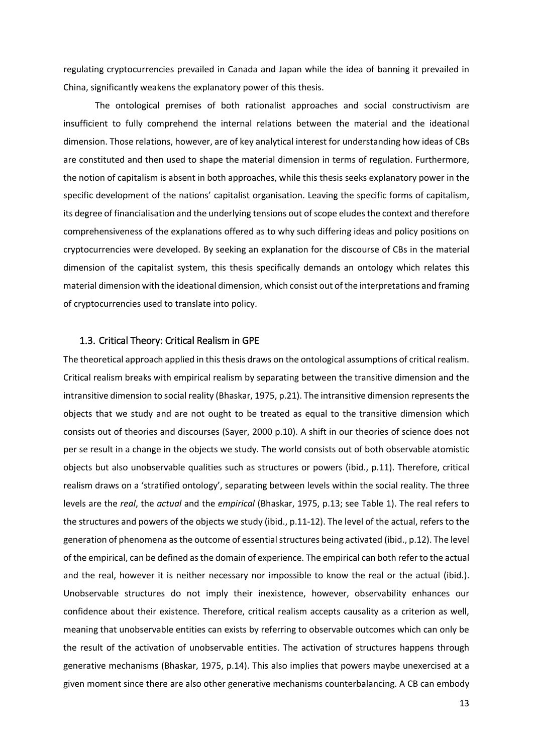regulating cryptocurrencies prevailed in Canada and Japan while the idea of banning it prevailed in China, significantly weakens the explanatory power of this thesis.

The ontological premises of both rationalist approaches and social constructivism are insufficient to fully comprehend the internal relations between the material and the ideational dimension. Those relations, however, are of key analytical interest for understanding how ideas of CBs are constituted and then used to shape the material dimension in terms of regulation. Furthermore, the notion of capitalism is absent in both approaches, while this thesis seeks explanatory power in the specific development of the nations' capitalist organisation. Leaving the specific forms of capitalism, its degree of financialisation and the underlying tensions out of scope eludes the context and therefore comprehensiveness of the explanations offered as to why such differing ideas and policy positions on cryptocurrencies were developed. By seeking an explanation for the discourse of CBs in the material dimension of the capitalist system, this thesis specifically demands an ontology which relates this material dimension with the ideational dimension, which consist out of the interpretations and framing of cryptocurrencies used to translate into policy.

#### <span id="page-17-0"></span>1.3. Critical Theory: Critical Realism in GPE

The theoretical approach applied in this thesis draws on the ontological assumptions of critical realism. Critical realism breaks with empirical realism by separating between the transitive dimension and the intransitive dimension to social reality (Bhaskar, 1975, p.21). The intransitive dimension represents the objects that we study and are not ought to be treated as equal to the transitive dimension which consists out of theories and discourses (Sayer, 2000 p.10). A shift in our theories of science does not per se result in a change in the objects we study. The world consists out of both observable atomistic objects but also unobservable qualities such as structures or powers (ibid., p.11). Therefore, critical realism draws on a 'stratified ontology', separating between levels within the social reality. The three levels are the *real*, the *actual* and the *empirical* (Bhaskar, 1975, p.13; see Table 1). The real refers to the structures and powers of the objects we study (ibid., p.11-12). The level of the actual, refers to the generation of phenomena as the outcome of essential structures being activated (ibid., p.12). The level of the empirical, can be defined as the domain of experience. The empirical can both refer to the actual and the real, however it is neither necessary nor impossible to know the real or the actual (ibid.). Unobservable structures do not imply their inexistence, however, observability enhances our confidence about their existence. Therefore, critical realism accepts causality as a criterion as well, meaning that unobservable entities can exists by referring to observable outcomes which can only be the result of the activation of unobservable entities. The activation of structures happens through generative mechanisms (Bhaskar, 1975, p.14). This also implies that powers maybe unexercised at a given moment since there are also other generative mechanisms counterbalancing. A CB can embody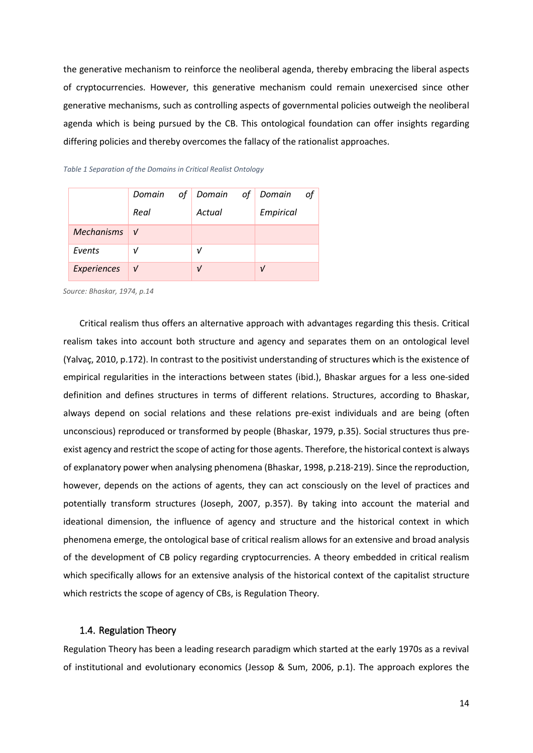the generative mechanism to reinforce the neoliberal agenda, thereby embracing the liberal aspects of cryptocurrencies. However, this generative mechanism could remain unexercised since other generative mechanisms, such as controlling aspects of governmental policies outweigh the neoliberal agenda which is being pursued by the CB. This ontological foundation can offer insights regarding differing policies and thereby overcomes the fallacy of the rationalist approaches.

#### *Table 1 Separation of the Domains in Critical Realist Ontology*

|                | Domain       | of Domain of Domain | of        |
|----------------|--------------|---------------------|-----------|
|                | Real         | Actual              | Empirical |
| Mechanisms $V$ |              |                     |           |
| Events         | ν            | ν                   |           |
| Experiences    | $\mathbf{V}$ | $\mathbf{v}$        |           |

*Source: Bhaskar, 1974, p.14*

Critical realism thus offers an alternative approach with advantages regarding this thesis. Critical realism takes into account both structure and agency and separates them on an ontological level (Yalvaç, 2010, p.172). In contrast to the positivist understanding of structures which is the existence of empirical regularities in the interactions between states (ibid.), Bhaskar argues for a less one-sided definition and defines structures in terms of different relations. Structures, according to Bhaskar, always depend on social relations and these relations pre-exist individuals and are being (often unconscious) reproduced or transformed by people (Bhaskar, 1979, p.35). Social structures thus preexist agency and restrict the scope of acting for those agents. Therefore, the historical context is always of explanatory power when analysing phenomena (Bhaskar, 1998, p.218-219). Since the reproduction, however, depends on the actions of agents, they can act consciously on the level of practices and potentially transform structures (Joseph, 2007, p.357). By taking into account the material and ideational dimension, the influence of agency and structure and the historical context in which phenomena emerge, the ontological base of critical realism allows for an extensive and broad analysis of the development of CB policy regarding cryptocurrencies. A theory embedded in critical realism which specifically allows for an extensive analysis of the historical context of the capitalist structure which restricts the scope of agency of CBs, is Regulation Theory.

#### <span id="page-18-0"></span>1.4. Regulation Theory

Regulation Theory has been a leading research paradigm which started at the early 1970s as a revival of institutional and evolutionary economics (Jessop & Sum, 2006, p.1). The approach explores the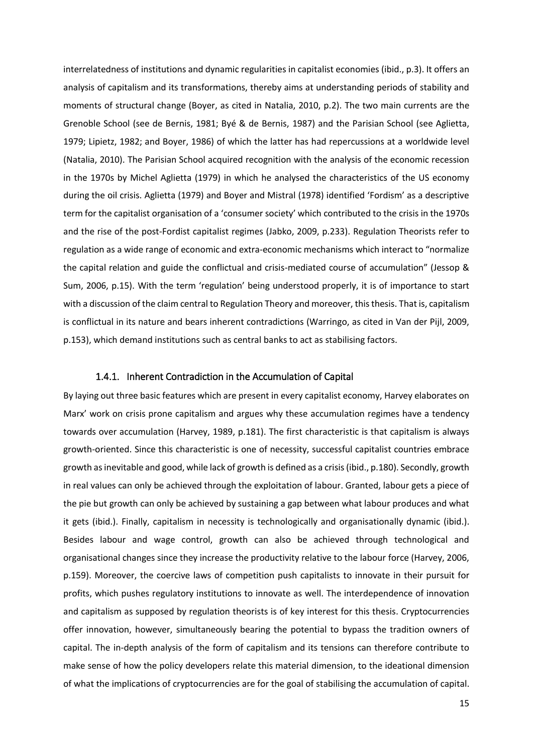interrelatedness of institutions and dynamic regularities in capitalist economies (ibid., p.3). It offers an analysis of capitalism and its transformations, thereby aims at understanding periods of stability and moments of structural change (Boyer, as cited in Natalia, 2010, p.2). The two main currents are the Grenoble School (see de Bernis, 1981; Byé & de Bernis, 1987) and the Parisian School (see Aglietta, 1979; Lipietz, 1982; and Boyer, 1986) of which the latter has had repercussions at a worldwide level (Natalia, 2010). The Parisian School acquired recognition with the analysis of the economic recession in the 1970s by Michel Aglietta (1979) in which he analysed the characteristics of the US economy during the oil crisis. Aglietta (1979) and Boyer and Mistral (1978) identified 'Fordism' as a descriptive term for the capitalist organisation of a 'consumer society' which contributed to the crisis in the 1970s and the rise of the post-Fordist capitalist regimes (Jabko, 2009, p.233). Regulation Theorists refer to regulation as a wide range of economic and extra-economic mechanisms which interact to "normalize the capital relation and guide the conflictual and crisis-mediated course of accumulation" (Jessop & Sum, 2006, p.15). With the term 'regulation' being understood properly, it is of importance to start with a discussion of the claim central to Regulation Theory and moreover, this thesis. That is, capitalism is conflictual in its nature and bears inherent contradictions (Warringo, as cited in Van der Pijl, 2009, p.153), which demand institutions such as central banks to act as stabilising factors.

#### 1.4.1. Inherent Contradiction in the Accumulation of Capital

<span id="page-19-0"></span>By laying out three basic features which are present in every capitalist economy, Harvey elaborates on Marx' work on crisis prone capitalism and argues why these accumulation regimes have a tendency towards over accumulation (Harvey, 1989, p.181). The first characteristic is that capitalism is always growth-oriented. Since this characteristic is one of necessity, successful capitalist countries embrace growth as inevitable and good, while lack of growth is defined as a crisis (ibid., p.180). Secondly, growth in real values can only be achieved through the exploitation of labour. Granted, labour gets a piece of the pie but growth can only be achieved by sustaining a gap between what labour produces and what it gets (ibid.). Finally, capitalism in necessity is technologically and organisationally dynamic (ibid.). Besides labour and wage control, growth can also be achieved through technological and organisational changes since they increase the productivity relative to the labour force (Harvey, 2006, p.159). Moreover, the coercive laws of competition push capitalists to innovate in their pursuit for profits, which pushes regulatory institutions to innovate as well. The interdependence of innovation and capitalism as supposed by regulation theorists is of key interest for this thesis. Cryptocurrencies offer innovation, however, simultaneously bearing the potential to bypass the tradition owners of capital. The in-depth analysis of the form of capitalism and its tensions can therefore contribute to make sense of how the policy developers relate this material dimension, to the ideational dimension of what the implications of cryptocurrencies are for the goal of stabilising the accumulation of capital.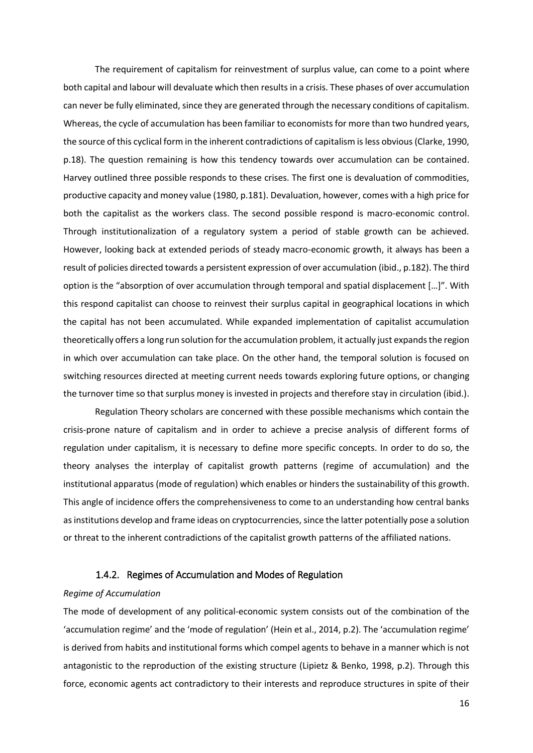The requirement of capitalism for reinvestment of surplus value, can come to a point where both capital and labour will devaluate which then results in a crisis. These phases of over accumulation can never be fully eliminated, since they are generated through the necessary conditions of capitalism. Whereas, the cycle of accumulation has been familiar to economists for more than two hundred years, the source of this cyclical form in the inherent contradictions of capitalism is less obvious (Clarke, 1990, p.18). The question remaining is how this tendency towards over accumulation can be contained. Harvey outlined three possible responds to these crises. The first one is devaluation of commodities, productive capacity and money value (1980, p.181). Devaluation, however, comes with a high price for both the capitalist as the workers class. The second possible respond is macro-economic control. Through institutionalization of a regulatory system a period of stable growth can be achieved. However, looking back at extended periods of steady macro-economic growth, it always has been a result of policies directed towards a persistent expression of over accumulation (ibid., p.182). The third option is the "absorption of over accumulation through temporal and spatial displacement […]". With this respond capitalist can choose to reinvest their surplus capital in geographical locations in which the capital has not been accumulated. While expanded implementation of capitalist accumulation theoretically offers a long run solution for the accumulation problem, it actually just expands the region in which over accumulation can take place. On the other hand, the temporal solution is focused on switching resources directed at meeting current needs towards exploring future options, or changing the turnover time so that surplus money is invested in projects and therefore stay in circulation (ibid.).

Regulation Theory scholars are concerned with these possible mechanisms which contain the crisis-prone nature of capitalism and in order to achieve a precise analysis of different forms of regulation under capitalism, it is necessary to define more specific concepts. In order to do so, the theory analyses the interplay of capitalist growth patterns (regime of accumulation) and the institutional apparatus (mode of regulation) which enables or hinders the sustainability of this growth. This angle of incidence offers the comprehensiveness to come to an understanding how central banks as institutions develop and frame ideas on cryptocurrencies, since the latter potentially pose a solution or threat to the inherent contradictions of the capitalist growth patterns of the affiliated nations.

#### 1.4.2. Regimes of Accumulation and Modes of Regulation

#### <span id="page-20-0"></span>*Regime of Accumulation*

The mode of development of any political-economic system consists out of the combination of the 'accumulation regime' and the 'mode of regulation' (Hein et al., 2014, p.2). The 'accumulation regime' is derived from habits and institutional forms which compel agents to behave in a manner which is not antagonistic to the reproduction of the existing structure (Lipietz & Benko, 1998, p.2). Through this force, economic agents act contradictory to their interests and reproduce structures in spite of their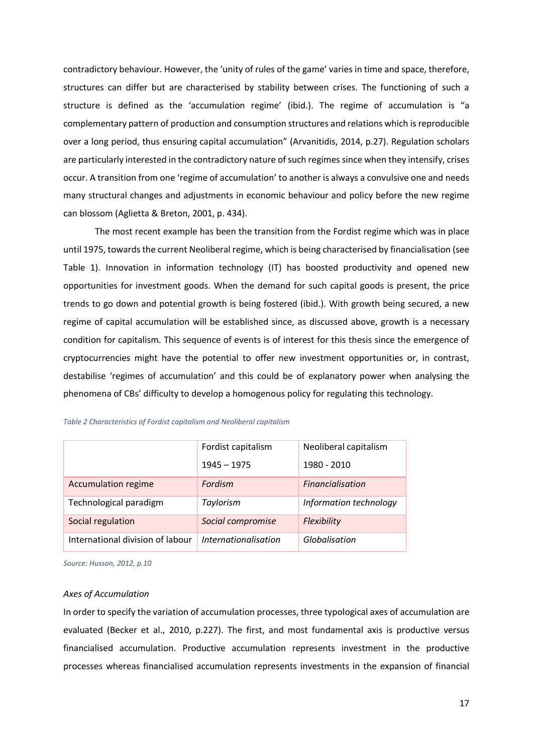contradictory behaviour. However, the 'unity of rules of the game' varies in time and space, therefore, structures can differ but are characterised by stability between crises. The functioning of such a structure is defined as the 'accumulation regime' (ibid.). The regime of accumulation is "a complementary pattern of production and consumption structures and relations which is reproducible over a long period, thus ensuring capital accumulation" (Arvanitidis, 2014, p.27). Regulation scholars are particularly interested in the contradictory nature of such regimes since when they intensify, crises occur. A transition from one 'regime of accumulation' to another is always a convulsive one and needs many structural changes and adjustments in economic behaviour and policy before the new regime can blossom (Aglietta & Breton, 2001, p. 434).

The most recent example has been the transition from the Fordist regime which was in place until 1975, towards the current Neoliberal regime, which is being characterised by financialisation (see Table 1). Innovation in information technology (IT) has boosted productivity and opened new opportunities for investment goods. When the demand for such capital goods is present, the price trends to go down and potential growth is being fostered (ibid.). With growth being secured, a new regime of capital accumulation will be established since, as discussed above, growth is a necessary condition for capitalism. This sequence of events is of interest for this thesis since the emergence of cryptocurrencies might have the potential to offer new investment opportunities or, in contrast, destabilise 'regimes of accumulation' and this could be of explanatory power when analysing the phenomena of CBs' difficulty to develop a homogenous policy for regulating this technology.

|                                  | Fordist capitalism          | Neoliberal capitalism  |  |  |
|----------------------------------|-----------------------------|------------------------|--|--|
|                                  | $1945 - 1975$               | 1980 - 2010            |  |  |
| <b>Accumulation regime</b>       | Fordism                     | Financialisation       |  |  |
| Technological paradigm           | Taylorism                   | Information technology |  |  |
| Social regulation                | Social compromise           | Flexibility            |  |  |
| International division of labour | <i>Internationalisation</i> | Globalisation          |  |  |

*Table 2 Characteristics of Fordist capitalism and Neoliberal capitalism*

*Source: Husson, 2012, p.10*

#### *Axes of Accumulation*

In order to specify the variation of accumulation processes, three typological axes of accumulation are evaluated (Becker et al., 2010, p.227). The first, and most fundamental axis is productive versus financialised accumulation. Productive accumulation represents investment in the productive processes whereas financialised accumulation represents investments in the expansion of financial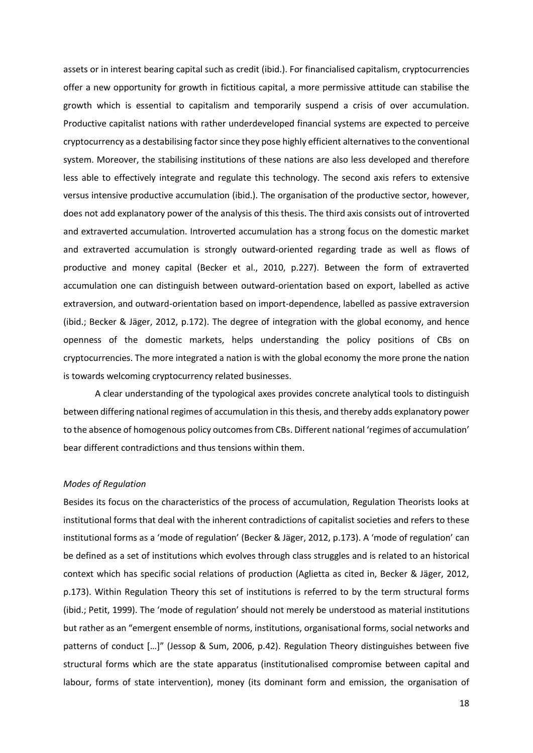assets or in interest bearing capital such as credit (ibid.). For financialised capitalism, cryptocurrencies offer a new opportunity for growth in fictitious capital, a more permissive attitude can stabilise the growth which is essential to capitalism and temporarily suspend a crisis of over accumulation. Productive capitalist nations with rather underdeveloped financial systems are expected to perceive cryptocurrency as a destabilising factor since they pose highly efficient alternatives to the conventional system. Moreover, the stabilising institutions of these nations are also less developed and therefore less able to effectively integrate and regulate this technology. The second axis refers to extensive versus intensive productive accumulation (ibid.). The organisation of the productive sector, however, does not add explanatory power of the analysis of this thesis. The third axis consists out of introverted and extraverted accumulation. Introverted accumulation has a strong focus on the domestic market and extraverted accumulation is strongly outward-oriented regarding trade as well as flows of productive and money capital (Becker et al., 2010, p.227). Between the form of extraverted accumulation one can distinguish between outward-orientation based on export, labelled as active extraversion, and outward-orientation based on import-dependence, labelled as passive extraversion (ibid.; Becker & Jäger, 2012, p.172). The degree of integration with the global economy, and hence openness of the domestic markets, helps understanding the policy positions of CBs on cryptocurrencies. The more integrated a nation is with the global economy the more prone the nation is towards welcoming cryptocurrency related businesses.

A clear understanding of the typological axes provides concrete analytical tools to distinguish between differing national regimes of accumulation in this thesis, and thereby adds explanatory power to the absence of homogenous policy outcomes from CBs. Different national 'regimes of accumulation' bear different contradictions and thus tensions within them.

#### *Modes of Regulation*

Besides its focus on the characteristics of the process of accumulation, Regulation Theorists looks at institutional forms that deal with the inherent contradictions of capitalist societies and refers to these institutional forms as a 'mode of regulation' (Becker & Jäger, 2012, p.173). A 'mode of regulation' can be defined as a set of institutions which evolves through class struggles and is related to an historical context which has specific social relations of production (Aglietta as cited in, Becker & Jäger, 2012, p.173). Within Regulation Theory this set of institutions is referred to by the term structural forms (ibid.; Petit, 1999). The 'mode of regulation' should not merely be understood as material institutions but rather as an "emergent ensemble of norms, institutions, organisational forms, social networks and patterns of conduct […]" (Jessop & Sum, 2006, p.42). Regulation Theory distinguishes between five structural forms which are the state apparatus (institutionalised compromise between capital and labour, forms of state intervention), money (its dominant form and emission, the organisation of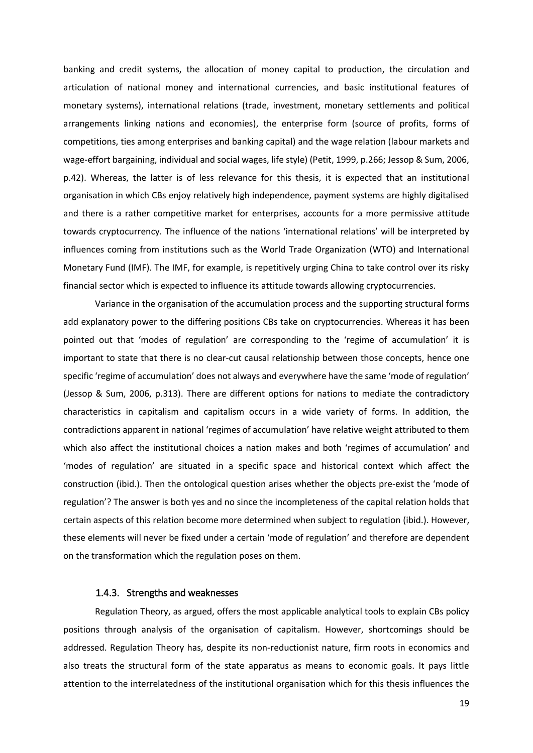banking and credit systems, the allocation of money capital to production, the circulation and articulation of national money and international currencies, and basic institutional features of monetary systems), international relations (trade, investment, monetary settlements and political arrangements linking nations and economies), the enterprise form (source of profits, forms of competitions, ties among enterprises and banking capital) and the wage relation (labour markets and wage-effort bargaining, individual and social wages, life style) (Petit, 1999, p.266; Jessop & Sum, 2006, p.42). Whereas, the latter is of less relevance for this thesis, it is expected that an institutional organisation in which CBs enjoy relatively high independence, payment systems are highly digitalised and there is a rather competitive market for enterprises, accounts for a more permissive attitude towards cryptocurrency. The influence of the nations 'international relations' will be interpreted by influences coming from institutions such as the World Trade Organization (WTO) and International Monetary Fund (IMF). The IMF, for example, is repetitively urging China to take control over its risky financial sector which is expected to influence its attitude towards allowing cryptocurrencies.

Variance in the organisation of the accumulation process and the supporting structural forms add explanatory power to the differing positions CBs take on cryptocurrencies. Whereas it has been pointed out that 'modes of regulation' are corresponding to the 'regime of accumulation' it is important to state that there is no clear-cut causal relationship between those concepts, hence one specific 'regime of accumulation' does not always and everywhere have the same 'mode of regulation' (Jessop & Sum, 2006, p.313). There are different options for nations to mediate the contradictory characteristics in capitalism and capitalism occurs in a wide variety of forms. In addition, the contradictions apparent in national 'regimes of accumulation' have relative weight attributed to them which also affect the institutional choices a nation makes and both 'regimes of accumulation' and 'modes of regulation' are situated in a specific space and historical context which affect the construction (ibid.). Then the ontological question arises whether the objects pre-exist the 'mode of regulation'? The answer is both yes and no since the incompleteness of the capital relation holds that certain aspects of this relation become more determined when subject to regulation (ibid.). However, these elements will never be fixed under a certain 'mode of regulation' and therefore are dependent on the transformation which the regulation poses on them.

#### 1.4.3. Strengths and weaknesses

<span id="page-23-0"></span>Regulation Theory, as argued, offers the most applicable analytical tools to explain CBs policy positions through analysis of the organisation of capitalism. However, shortcomings should be addressed. Regulation Theory has, despite its non-reductionist nature, firm roots in economics and also treats the structural form of the state apparatus as means to economic goals. It pays little attention to the interrelatedness of the institutional organisation which for this thesis influences the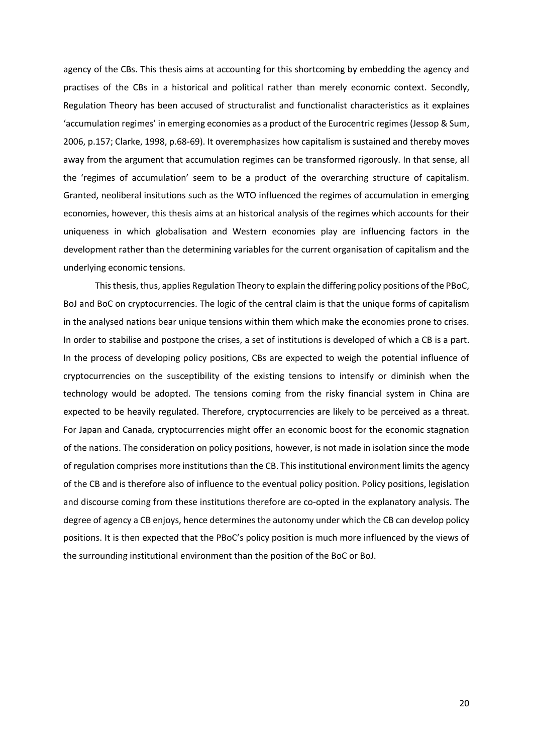agency of the CBs. This thesis aims at accounting for this shortcoming by embedding the agency and practises of the CBs in a historical and political rather than merely economic context. Secondly, Regulation Theory has been accused of structuralist and functionalist characteristics as it explaines 'accumulation regimes' in emerging economies as a product of the Eurocentric regimes (Jessop & Sum, 2006, p.157; Clarke, 1998, p.68-69). It overemphasizes how capitalism is sustained and thereby moves away from the argument that accumulation regimes can be transformed rigorously. In that sense, all the 'regimes of accumulation' seem to be a product of the overarching structure of capitalism. Granted, neoliberal insitutions such as the WTO influenced the regimes of accumulation in emerging economies, however, this thesis aims at an historical analysis of the regimes which accounts for their uniqueness in which globalisation and Western economies play are influencing factors in the development rather than the determining variables for the current organisation of capitalism and the underlying economic tensions.

This thesis, thus, applies Regulation Theory to explain the differing policy positions of the PBoC, BoJ and BoC on cryptocurrencies. The logic of the central claim is that the unique forms of capitalism in the analysed nations bear unique tensions within them which make the economies prone to crises. In order to stabilise and postpone the crises, a set of institutions is developed of which a CB is a part. In the process of developing policy positions, CBs are expected to weigh the potential influence of cryptocurrencies on the susceptibility of the existing tensions to intensify or diminish when the technology would be adopted. The tensions coming from the risky financial system in China are expected to be heavily regulated. Therefore, cryptocurrencies are likely to be perceived as a threat. For Japan and Canada, cryptocurrencies might offer an economic boost for the economic stagnation of the nations. The consideration on policy positions, however, is not made in isolation since the mode of regulation comprises more institutions than the CB. This institutional environment limits the agency of the CB and is therefore also of influence to the eventual policy position. Policy positions, legislation and discourse coming from these institutions therefore are co-opted in the explanatory analysis. The degree of agency a CB enjoys, hence determines the autonomy under which the CB can develop policy positions. It is then expected that the PBoC's policy position is much more influenced by the views of the surrounding institutional environment than the position of the BoC or BoJ.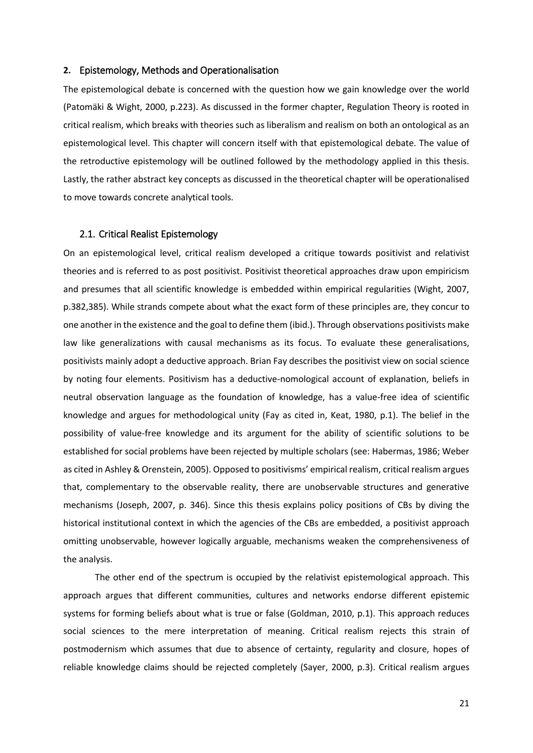#### <span id="page-25-0"></span>**2.** Epistemology, Methods and Operationalisation

The epistemological debate is concerned with the question how we gain knowledge over the world (Patomäki & Wight, 2000, p.223). As discussed in the former chapter, Regulation Theory is rooted in critical realism, which breaks with theories such as liberalism and realism on both an ontological as an epistemological level. This chapter will concern itself with that epistemological debate. The value of the retroductive epistemology will be outlined followed by the methodology applied in this thesis. Lastly, the rather abstract key concepts as discussed in the theoretical chapter will be operationalised to move towards concrete analytical tools.

#### <span id="page-25-1"></span>2.1. Critical Realist Epistemology

On an epistemological level, critical realism developed a critique towards positivist and relativist theories and is referred to as post positivist. Positivist theoretical approaches draw upon empiricism and presumes that all scientific knowledge is embedded within empirical regularities (Wight, 2007, p.382,385). While strands compete about what the exact form of these principles are, they concur to one another in the existence and the goal to define them (ibid.). Through observations positivists make law like generalizations with causal mechanisms as its focus. To evaluate these generalisations, positivists mainly adopt a deductive approach. Brian Fay describes the positivist view on social science by noting four elements. Positivism has a deductive-nomological account of explanation, beliefs in neutral observation language as the foundation of knowledge, has a value-free idea of scientific knowledge and argues for methodological unity (Fay as cited in, Keat, 1980, p.1). The belief in the possibility of value-free knowledge and its argument for the ability of scientific solutions to be established for social problems have been rejected by multiple scholars (see: Habermas, 1986; Weber as cited in Ashley & Orenstein, 2005). Opposed to positivisms' empirical realism, critical realism argues that, complementary to the observable reality, there are unobservable structures and generative mechanisms (Joseph, 2007, p. 346). Since this thesis explains policy positions of CBs by diving the historical institutional context in which the agencies of the CBs are embedded, a positivist approach omitting unobservable, however logically arguable, mechanisms weaken the comprehensiveness of the analysis.

The other end of the spectrum is occupied by the relativist epistemological approach. This approach argues that different communities, cultures and networks endorse different epistemic systems for forming beliefs about what is true or false (Goldman, 2010, p.1). This approach reduces social sciences to the mere interpretation of meaning. Critical realism rejects this strain of postmodernism which assumes that due to absence of certainty, regularity and closure, hopes of reliable knowledge claims should be rejected completely (Sayer, 2000, p.3). Critical realism argues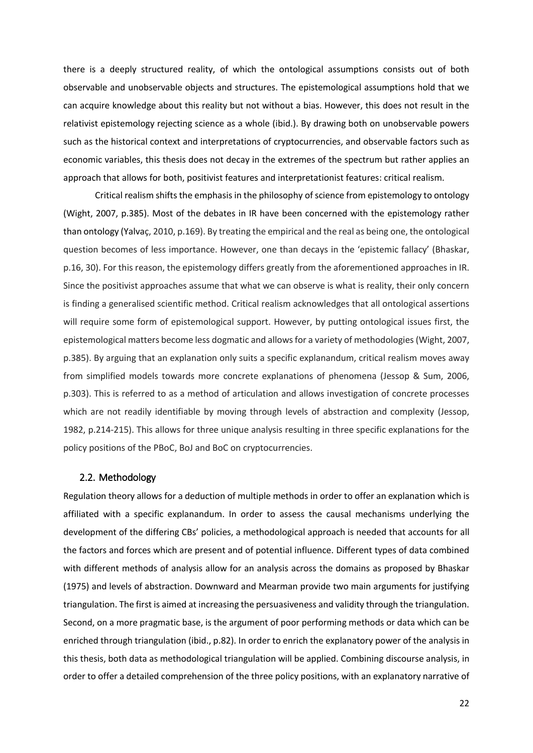there is a deeply structured reality, of which the ontological assumptions consists out of both observable and unobservable objects and structures. The epistemological assumptions hold that we can acquire knowledge about this reality but not without a bias. However, this does not result in the relativist epistemology rejecting science as a whole (ibid.). By drawing both on unobservable powers such as the historical context and interpretations of cryptocurrencies, and observable factors such as economic variables, this thesis does not decay in the extremes of the spectrum but rather applies an approach that allows for both, positivist features and interpretationist features: critical realism.

Critical realism shifts the emphasis in the philosophy of science from epistemology to ontology (Wight, 2007, p.385). Most of the debates in IR have been concerned with the epistemology rather than ontology (Yalvaç, 2010, p.169). By treating the empirical and the real as being one, the ontological question becomes of less importance. However, one than decays in the 'epistemic fallacy' (Bhaskar, p.16, 30). For this reason, the epistemology differs greatly from the aforementioned approaches in IR. Since the positivist approaches assume that what we can observe is what is reality, their only concern is finding a generalised scientific method. Critical realism acknowledges that all ontological assertions will require some form of epistemological support. However, by putting ontological issues first, the epistemological matters become less dogmatic and allows for a variety of methodologies(Wight, 2007, p.385). By arguing that an explanation only suits a specific explanandum, critical realism moves away from simplified models towards more concrete explanations of phenomena (Jessop & Sum, 2006, p.303). This is referred to as a method of articulation and allows investigation of concrete processes which are not readily identifiable by moving through levels of abstraction and complexity (Jessop, 1982, p.214-215). This allows for three unique analysis resulting in three specific explanations for the policy positions of the PBoC, BoJ and BoC on cryptocurrencies.

#### <span id="page-26-0"></span>2.2. Methodology

Regulation theory allows for a deduction of multiple methods in order to offer an explanation which is affiliated with a specific explanandum. In order to assess the causal mechanisms underlying the development of the differing CBs' policies, a methodological approach is needed that accounts for all the factors and forces which are present and of potential influence. Different types of data combined with different methods of analysis allow for an analysis across the domains as proposed by Bhaskar (1975) and levels of abstraction. Downward and Mearman provide two main arguments for justifying triangulation. The first is aimed at increasing the persuasiveness and validity through the triangulation. Second, on a more pragmatic base, is the argument of poor performing methods or data which can be enriched through triangulation (ibid., p.82). In order to enrich the explanatory power of the analysis in this thesis, both data as methodological triangulation will be applied. Combining discourse analysis, in order to offer a detailed comprehension of the three policy positions, with an explanatory narrative of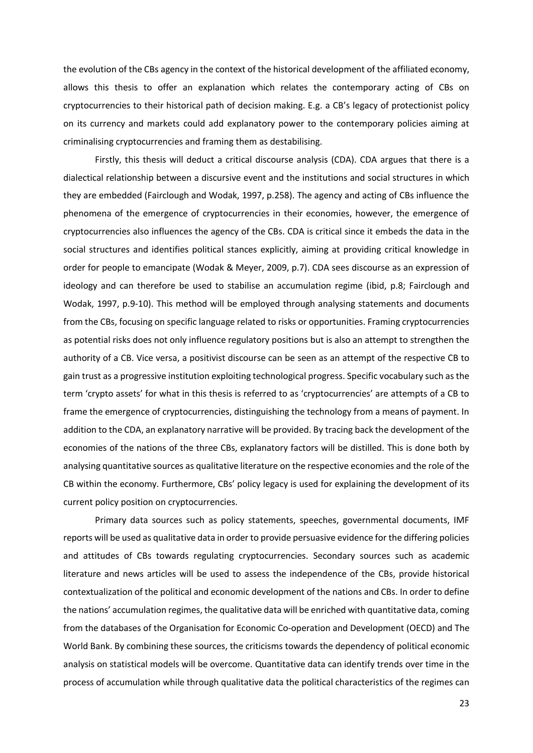the evolution of the CBs agency in the context of the historical development of the affiliated economy, allows this thesis to offer an explanation which relates the contemporary acting of CBs on cryptocurrencies to their historical path of decision making. E.g. a CB's legacy of protectionist policy on its currency and markets could add explanatory power to the contemporary policies aiming at criminalising cryptocurrencies and framing them as destabilising.

Firstly, this thesis will deduct a critical discourse analysis (CDA). CDA argues that there is a dialectical relationship between a discursive event and the institutions and social structures in which they are embedded (Fairclough and Wodak, 1997, p.258). The agency and acting of CBs influence the phenomena of the emergence of cryptocurrencies in their economies, however, the emergence of cryptocurrencies also influences the agency of the CBs. CDA is critical since it embeds the data in the social structures and identifies political stances explicitly, aiming at providing critical knowledge in order for people to emancipate (Wodak & Meyer, 2009, p.7). CDA sees discourse as an expression of ideology and can therefore be used to stabilise an accumulation regime (ibid, p.8; Fairclough and Wodak, 1997, p.9-10). This method will be employed through analysing statements and documents from the CBs, focusing on specific language related to risks or opportunities. Framing cryptocurrencies as potential risks does not only influence regulatory positions but is also an attempt to strengthen the authority of a CB. Vice versa, a positivist discourse can be seen as an attempt of the respective CB to gain trust as a progressive institution exploiting technological progress. Specific vocabulary such as the term 'crypto assets' for what in this thesis is referred to as 'cryptocurrencies' are attempts of a CB to frame the emergence of cryptocurrencies, distinguishing the technology from a means of payment. In addition to the CDA, an explanatory narrative will be provided. By tracing back the development of the economies of the nations of the three CBs, explanatory factors will be distilled. This is done both by analysing quantitative sources as qualitative literature on the respective economies and the role of the CB within the economy. Furthermore, CBs' policy legacy is used for explaining the development of its current policy position on cryptocurrencies.

Primary data sources such as policy statements, speeches, governmental documents, IMF reports will be used as qualitative data in order to provide persuasive evidence for the differing policies and attitudes of CBs towards regulating cryptocurrencies. Secondary sources such as academic literature and news articles will be used to assess the independence of the CBs, provide historical contextualization of the political and economic development of the nations and CBs. In order to define the nations' accumulation regimes, the qualitative data will be enriched with quantitative data, coming from the databases of the Organisation for Economic Co-operation and Development (OECD) and The World Bank. By combining these sources, the criticisms towards the dependency of political economic analysis on statistical models will be overcome. Quantitative data can identify trends over time in the process of accumulation while through qualitative data the political characteristics of the regimes can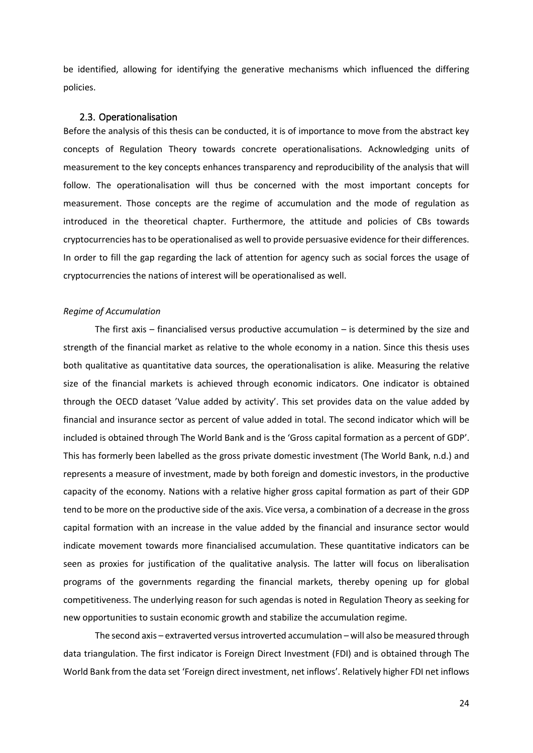be identified, allowing for identifying the generative mechanisms which influenced the differing policies.

#### <span id="page-28-0"></span>2.3. Operationalisation

Before the analysis of this thesis can be conducted, it is of importance to move from the abstract key concepts of Regulation Theory towards concrete operationalisations. Acknowledging units of measurement to the key concepts enhances transparency and reproducibility of the analysis that will follow. The operationalisation will thus be concerned with the most important concepts for measurement. Those concepts are the regime of accumulation and the mode of regulation as introduced in the theoretical chapter. Furthermore, the attitude and policies of CBs towards cryptocurrencies has to be operationalised as well to provide persuasive evidence for their differences. In order to fill the gap regarding the lack of attention for agency such as social forces the usage of cryptocurrencies the nations of interest will be operationalised as well.

#### *Regime of Accumulation*

The first axis – financialised versus productive accumulation – is determined by the size and strength of the financial market as relative to the whole economy in a nation. Since this thesis uses both qualitative as quantitative data sources, the operationalisation is alike. Measuring the relative size of the financial markets is achieved through economic indicators. One indicator is obtained through the OECD dataset 'Value added by activity'. This set provides data on the value added by financial and insurance sector as percent of value added in total. The second indicator which will be included is obtained through The World Bank and is the 'Gross capital formation as a percent of GDP'. This has formerly been labelled as the gross private domestic investment (The World Bank, n.d.) and represents a measure of investment, made by both foreign and domestic investors, in the productive capacity of the economy. Nations with a relative higher gross capital formation as part of their GDP tend to be more on the productive side of the axis. Vice versa, a combination of a decrease in the gross capital formation with an increase in the value added by the financial and insurance sector would indicate movement towards more financialised accumulation. These quantitative indicators can be seen as proxies for justification of the qualitative analysis. The latter will focus on liberalisation programs of the governments regarding the financial markets, thereby opening up for global competitiveness. The underlying reason for such agendas is noted in Regulation Theory as seeking for new opportunities to sustain economic growth and stabilize the accumulation regime.

The second axis – extraverted versus introverted accumulation – will also be measured through data triangulation. The first indicator is Foreign Direct Investment (FDI) and is obtained through The World Bank from the data set 'Foreign direct investment, net inflows'. Relatively higher FDI net inflows

24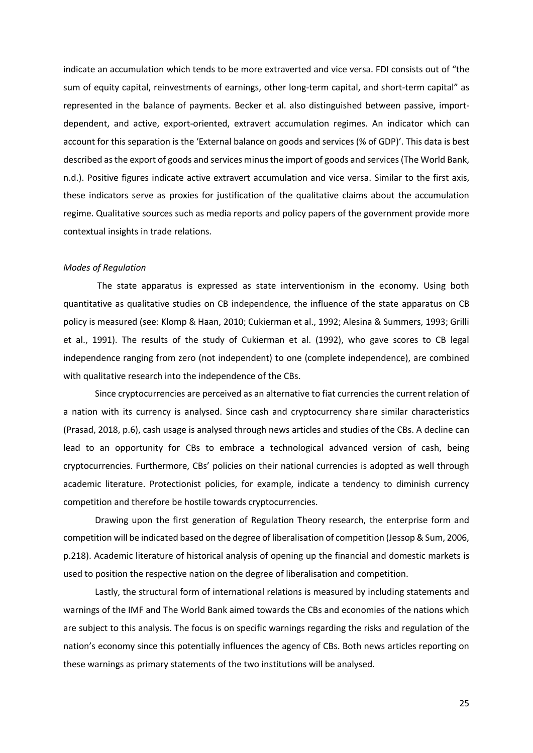indicate an accumulation which tends to be more extraverted and vice versa. FDI consists out of "the sum of equity capital, reinvestments of earnings, other long-term capital, and short-term capital" as represented in the balance of payments. Becker et al. also distinguished between passive, importdependent, and active, export-oriented, extravert accumulation regimes. An indicator which can account for this separation is the 'External balance on goods and services (% of GDP)'. This data is best described as the export of goods and services minus the import of goods and services (The World Bank, n.d.). Positive figures indicate active extravert accumulation and vice versa. Similar to the first axis, these indicators serve as proxies for justification of the qualitative claims about the accumulation regime. Qualitative sources such as media reports and policy papers of the government provide more contextual insights in trade relations.

#### *Modes of Regulation*

The state apparatus is expressed as state interventionism in the economy. Using both quantitative as qualitative studies on CB independence, the influence of the state apparatus on CB policy is measured (see: Klomp & Haan, 2010; Cukierman et al., 1992; Alesina & Summers, 1993; Grilli et al., 1991). The results of the study of Cukierman et al. (1992), who gave scores to CB legal independence ranging from zero (not independent) to one (complete independence), are combined with qualitative research into the independence of the CBs.

Since cryptocurrencies are perceived as an alternative to fiat currencies the current relation of a nation with its currency is analysed. Since cash and cryptocurrency share similar characteristics (Prasad, 2018, p.6), cash usage is analysed through news articles and studies of the CBs. A decline can lead to an opportunity for CBs to embrace a technological advanced version of cash, being cryptocurrencies. Furthermore, CBs' policies on their national currencies is adopted as well through academic literature. Protectionist policies, for example, indicate a tendency to diminish currency competition and therefore be hostile towards cryptocurrencies.

Drawing upon the first generation of Regulation Theory research, the enterprise form and competition will be indicated based on the degree of liberalisation of competition (Jessop & Sum, 2006, p.218). Academic literature of historical analysis of opening up the financial and domestic markets is used to position the respective nation on the degree of liberalisation and competition.

Lastly, the structural form of international relations is measured by including statements and warnings of the IMF and The World Bank aimed towards the CBs and economies of the nations which are subject to this analysis. The focus is on specific warnings regarding the risks and regulation of the nation's economy since this potentially influences the agency of CBs. Both news articles reporting on these warnings as primary statements of the two institutions will be analysed.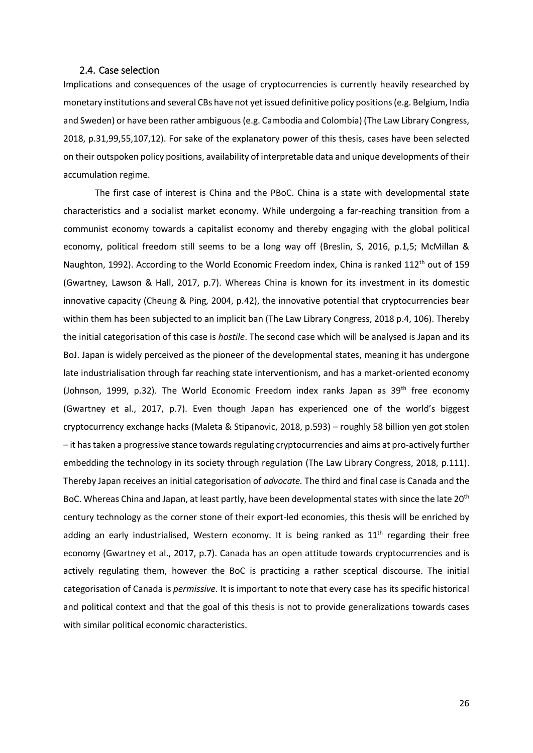#### <span id="page-30-0"></span>2.4. Case selection

Implications and consequences of the usage of cryptocurrencies is currently heavily researched by monetary institutions and several CBs have not yet issued definitive policy positions(e.g. Belgium, India and Sweden) or have been rather ambiguous (e.g. Cambodia and Colombia) (The Law Library Congress, 2018, p.31,99,55,107,12). For sake of the explanatory power of this thesis, cases have been selected on their outspoken policy positions, availability of interpretable data and unique developments of their accumulation regime.

The first case of interest is China and the PBoC. China is a state with developmental state characteristics and a socialist market economy. While undergoing a far-reaching transition from a communist economy towards a capitalist economy and thereby engaging with the global political economy, political freedom still seems to be a long way off (Breslin, S, 2016, p.1,5; McMillan & Naughton, 1992). According to the World Economic Freedom index, China is ranked 112<sup>th</sup> out of 159 (Gwartney, Lawson & Hall, 2017, p.7). Whereas China is known for its investment in its domestic innovative capacity (Cheung & Ping, 2004, p.42), the innovative potential that cryptocurrencies bear within them has been subjected to an implicit ban (The Law Library Congress, 2018 p.4, 106). Thereby the initial categorisation of this case is *hostile*. The second case which will be analysed is Japan and its BoJ. Japan is widely perceived as the pioneer of the developmental states, meaning it has undergone late industrialisation through far reaching state interventionism, and has a market-oriented economy (Johnson, 1999, p.32). The World Economic Freedom index ranks Japan as 39<sup>th</sup> free economy (Gwartney et al., 2017, p.7). Even though Japan has experienced one of the world's biggest cryptocurrency exchange hacks (Maleta & Stipanovic, 2018, p.593) – roughly 58 billion yen got stolen – it has taken a progressive stance towards regulating cryptocurrencies and aims at pro-actively further embedding the technology in its society through regulation (The Law Library Congress, 2018, p.111). Thereby Japan receives an initial categorisation of *advocate.* The third and final case is Canada and the BoC. Whereas China and Japan, at least partly, have been developmental states with since the late 20<sup>th</sup> century technology as the corner stone of their export-led economies, this thesis will be enriched by adding an early industrialised, Western economy. It is being ranked as  $11<sup>th</sup>$  regarding their free economy (Gwartney et al., 2017, p.7). Canada has an open attitude towards cryptocurrencies and is actively regulating them, however the BoC is practicing a rather sceptical discourse. The initial categorisation of Canada is *permissive.* It is important to note that every case has its specific historical and political context and that the goal of this thesis is not to provide generalizations towards cases with similar political economic characteristics.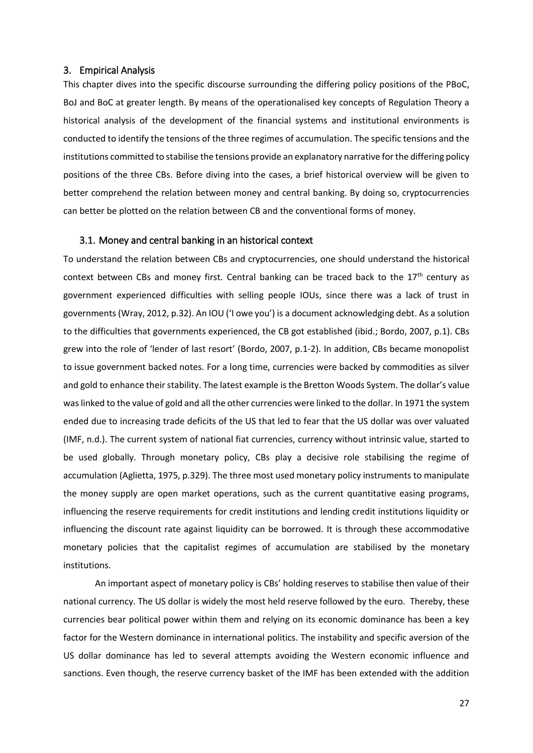#### <span id="page-31-0"></span>3. Empirical Analysis

This chapter dives into the specific discourse surrounding the differing policy positions of the PBoC, BoJ and BoC at greater length. By means of the operationalised key concepts of Regulation Theory a historical analysis of the development of the financial systems and institutional environments is conducted to identify the tensions of the three regimes of accumulation. The specific tensions and the institutions committed to stabilise the tensions provide an explanatory narrative for the differing policy positions of the three CBs. Before diving into the cases, a brief historical overview will be given to better comprehend the relation between money and central banking. By doing so, cryptocurrencies can better be plotted on the relation between CB and the conventional forms of money.

#### <span id="page-31-1"></span>3.1. Money and central banking in an historical context

To understand the relation between CBs and cryptocurrencies, one should understand the historical context between CBs and money first. Central banking can be traced back to the  $17<sup>th</sup>$  century as government experienced difficulties with selling people IOUs, since there was a lack of trust in governments (Wray, 2012, p.32). An IOU ('I owe you') is a document acknowledging debt. As a solution to the difficulties that governments experienced, the CB got established (ibid.; Bordo, 2007, p.1). CBs grew into the role of 'lender of last resort' (Bordo, 2007, p.1-2). In addition, CBs became monopolist to issue government backed notes. For a long time, currencies were backed by commodities as silver and gold to enhance their stability. The latest example is the Bretton Woods System. The dollar's value was linked to the value of gold and all the other currencies were linked to the dollar. In 1971 the system ended due to increasing trade deficits of the US that led to fear that the US dollar was over valuated (IMF, n.d.). The current system of national fiat currencies, currency without intrinsic value, started to be used globally. Through monetary policy, CBs play a decisive role stabilising the regime of accumulation (Aglietta, 1975, p.329). The three most used monetary policy instruments to manipulate the money supply are open market operations, such as the current quantitative easing programs, influencing the reserve requirements for credit institutions and lending credit institutions liquidity or influencing the discount rate against liquidity can be borrowed. It is through these accommodative monetary policies that the capitalist regimes of accumulation are stabilised by the monetary institutions.

An important aspect of monetary policy is CBs' holding reserves to stabilise then value of their national currency. The US dollar is widely the most held reserve followed by the euro. Thereby, these currencies bear political power within them and relying on its economic dominance has been a key factor for the Western dominance in international politics. The instability and specific aversion of the US dollar dominance has led to several attempts avoiding the Western economic influence and sanctions. Even though, the reserve currency basket of the IMF has been extended with the addition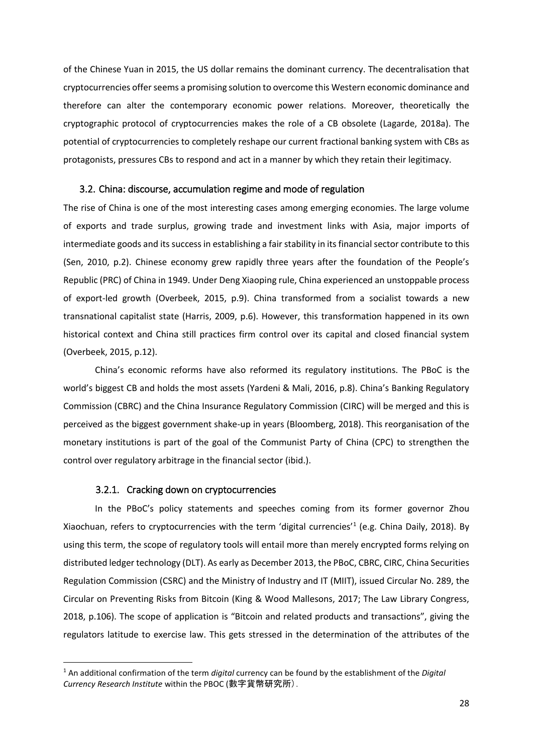of the Chinese Yuan in 2015, the US dollar remains the dominant currency. The decentralisation that cryptocurrencies offer seems a promising solution to overcome this Western economic dominance and therefore can alter the contemporary economic power relations. Moreover, theoretically the cryptographic protocol of cryptocurrencies makes the role of a CB obsolete (Lagarde, 2018a). The potential of cryptocurrencies to completely reshape our current fractional banking system with CBs as protagonists, pressures CBs to respond and act in a manner by which they retain their legitimacy.

#### <span id="page-32-0"></span>3.2. China: discourse, accumulation regime and mode of regulation

The rise of China is one of the most interesting cases among emerging economies. The large volume of exports and trade surplus, growing trade and investment links with Asia, major imports of intermediate goods and its success in establishing a fair stability in its financial sector contribute to this (Sen, 2010, p.2). Chinese economy grew rapidly three years after the foundation of the People's Republic (PRC) of China in 1949. Under Deng Xiaoping rule, China experienced an unstoppable process of export-led growth (Overbeek, 2015, p.9). China transformed from a socialist towards a new transnational capitalist state (Harris, 2009, p.6). However, this transformation happened in its own historical context and China still practices firm control over its capital and closed financial system (Overbeek, 2015, p.12).

China's economic reforms have also reformed its regulatory institutions. The PBoC is the world's biggest CB and holds the most assets (Yardeni & Mali, 2016, p.8). China's Banking Regulatory Commission (CBRC) and the China Insurance Regulatory Commission (CIRC) will be merged and this is perceived as the biggest government shake-up in years (Bloomberg, 2018). This reorganisation of the monetary institutions is part of the goal of the Communist Party of China (CPC) to strengthen the control over regulatory arbitrage in the financial sector (ibid.).

#### 3.2.1. Cracking down on cryptocurrencies

**.** 

<span id="page-32-1"></span>In the PBoC's policy statements and speeches coming from its former governor Zhou Xiaochuan, refers to cryptocurrencies with the term 'digital currencies'<sup>1</sup> (e.g. China Daily, 2018). By using this term, the scope of regulatory tools will entail more than merely encrypted forms relying on distributed ledger technology (DLT). As early as December 2013, the PBoC, CBRC, CIRC, China Securities Regulation Commission (CSRC) and the Ministry of Industry and IT (MIIT), issued Circular No. 289, the Circular on Preventing Risks from Bitcoin (King & Wood Mallesons, 2017; The Law Library Congress, 2018, p.106). The scope of application is "Bitcoin and related products and transactions", giving the regulators latitude to exercise law. This gets stressed in the determination of the attributes of the

<sup>1</sup> An additional confirmation of the term *digital* currency can be found by the establishment of the *Digital Currency Research Institute* within the PBOC (數字貨幣研究所).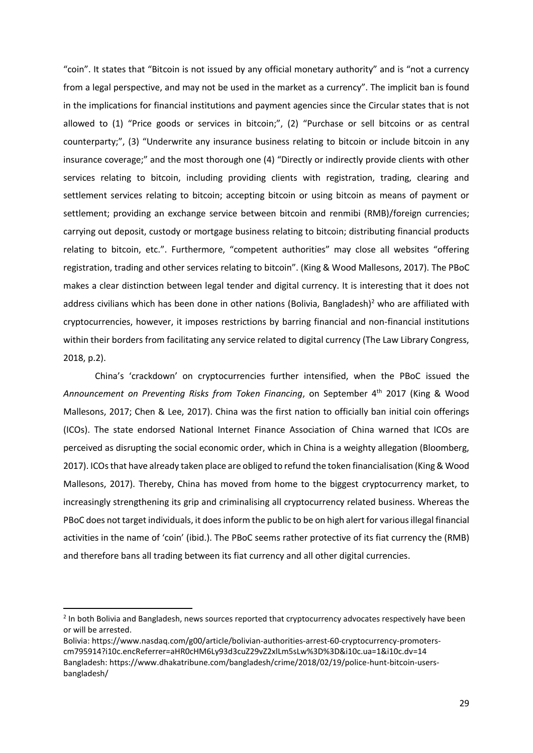"coin". It states that "Bitcoin is not issued by any official monetary authority" and is "not a currency from a legal perspective, and may not be used in the market as a currency". The implicit ban is found in the implications for financial institutions and payment agencies since the Circular states that is not allowed to (1) "Price goods or services in bitcoin;", (2) "Purchase or sell bitcoins or as central counterparty;", (3) "Underwrite any insurance business relating to bitcoin or include bitcoin in any insurance coverage;" and the most thorough one (4) "Directly or indirectly provide clients with other services relating to bitcoin, including providing clients with registration, trading, clearing and settlement services relating to bitcoin; accepting bitcoin or using bitcoin as means of payment or settlement; providing an exchange service between bitcoin and renmibi (RMB)/foreign currencies; carrying out deposit, custody or mortgage business relating to bitcoin; distributing financial products relating to bitcoin, etc.". Furthermore, "competent authorities" may close all websites "offering registration, trading and other services relating to bitcoin". (King & Wood Mallesons, 2017). The PBoC makes a clear distinction between legal tender and digital currency. It is interesting that it does not address civilians which has been done in other nations (Bolivia, Bangladesh)<sup>2</sup> who are affiliated with cryptocurrencies, however, it imposes restrictions by barring financial and non-financial institutions within their borders from facilitating any service related to digital currency (The Law Library Congress, 2018, p.2).

China's 'crackdown' on cryptocurrencies further intensified, when the PBoC issued the *Announcement on Preventing Risks from Token Financing*, on September 4th 2017 (King & Wood Mallesons, 2017; Chen & Lee, 2017). China was the first nation to officially ban initial coin offerings (ICOs). The state endorsed National Internet Finance Association of China warned that ICOs are perceived as disrupting the social economic order, which in China is a weighty allegation (Bloomberg, 2017). ICOs that have already taken place are obliged to refund the token financialisation (King & Wood Mallesons, 2017). Thereby, China has moved from home to the biggest cryptocurrency market, to increasingly strengthening its grip and criminalising all cryptocurrency related business. Whereas the PBoC does not target individuals, it does inform the public to be on high alert for various illegal financial activities in the name of 'coin' (ibid.). The PBoC seems rather protective of its fiat currency the (RMB) and therefore bans all trading between its fiat currency and all other digital currencies.

**.** 

<sup>&</sup>lt;sup>2</sup> In both Bolivia and Bangladesh, news sources reported that cryptocurrency advocates respectively have been or will be arrested.

Bolivia[: https://www.nasdaq.com/g00/article/bolivian-authorities-arrest-60-cryptocurrency-promoters](https://www.nasdaq.com/g00/article/bolivian-authorities-arrest-60-cryptocurrency-promoters-cm795914?i10c.encReferrer=aHR0cHM6Ly93d3cuZ29vZ2xlLm5sLw%3D%3D&i10c.ua=1&i10c.dv=14)[cm795914?i10c.encReferrer=aHR0cHM6Ly93d3cuZ29vZ2xlLm5sLw%3D%3D&i10c.ua=1&i10c.dv=14](https://www.nasdaq.com/g00/article/bolivian-authorities-arrest-60-cryptocurrency-promoters-cm795914?i10c.encReferrer=aHR0cHM6Ly93d3cuZ29vZ2xlLm5sLw%3D%3D&i10c.ua=1&i10c.dv=14) Bangladesh[: https://www.dhakatribune.com/bangladesh/crime/2018/02/19/police-hunt-bitcoin-users](https://www.dhakatribune.com/bangladesh/crime/2018/02/19/police-hunt-bitcoin-users-bangladesh/)[bangladesh/](https://www.dhakatribune.com/bangladesh/crime/2018/02/19/police-hunt-bitcoin-users-bangladesh/)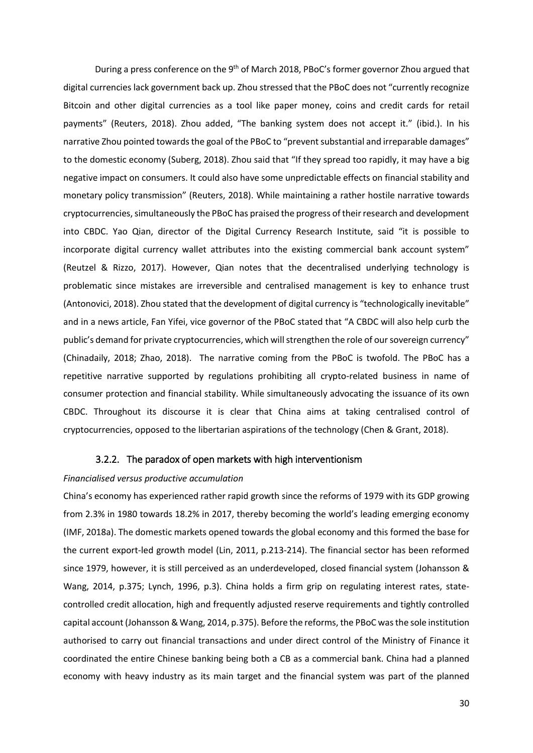During a press conference on the 9<sup>th</sup> of March 2018, PBoC's former governor Zhou argued that digital currencies lack government back up. Zhou stressed that the PBoC does not "currently recognize Bitcoin and other digital currencies as a tool like paper money, coins and credit cards for retail payments" (Reuters, 2018). Zhou added, "The banking system does not accept it." (ibid.). In his narrative Zhou pointed towards the goal of the PBoC to "prevent substantial and irreparable damages" to the domestic economy (Suberg, 2018). Zhou said that "If they spread too rapidly, it may have a big negative impact on consumers. It could also have some unpredictable effects on financial stability and monetary policy transmission" (Reuters, 2018). While maintaining a rather hostile narrative towards cryptocurrencies, simultaneously the PBoC has praised the progress of their research and development into CBDC. Yao Qian, director of the Digital Currency Research Institute, said "it is possible to incorporate digital currency wallet attributes into the existing commercial bank account system" (Reutzel & Rizzo, 2017). However, Qian notes that the decentralised underlying technology is problematic since mistakes are irreversible and centralised management is key to enhance trust (Antonovici, 2018). Zhou stated that the development of digital currency is "technologically inevitable" and in a news article, Fan Yifei, vice governor of the PBoC stated that "A CBDC will also help curb the public's demand for private cryptocurrencies, which will strengthen the role of our sovereign currency" (Chinadaily, 2018; Zhao, 2018). The narrative coming from the PBoC is twofold. The PBoC has a repetitive narrative supported by regulations prohibiting all crypto-related business in name of consumer protection and financial stability. While simultaneously advocating the issuance of its own CBDC. Throughout its discourse it is clear that China aims at taking centralised control of cryptocurrencies, opposed to the libertarian aspirations of the technology (Chen & Grant, 2018).

#### 3.2.2. The paradox of open markets with high interventionism

#### <span id="page-34-0"></span>*Financialised versus productive accumulation*

China's economy has experienced rather rapid growth since the reforms of 1979 with its GDP growing from 2.3% in 1980 towards 18.2% in 2017, thereby becoming the world's leading emerging economy (IMF, 2018a). The domestic markets opened towards the global economy and this formed the base for the current export-led growth model (Lin, 2011, p.213-214). The financial sector has been reformed since 1979, however, it is still perceived as an underdeveloped, closed financial system (Johansson & Wang, 2014, p.375; Lynch, 1996, p.3). China holds a firm grip on regulating interest rates, statecontrolled credit allocation, high and frequently adjusted reserve requirements and tightly controlled capital account (Johansson & Wang, 2014, p.375). Before the reforms, the PBoC was the sole institution authorised to carry out financial transactions and under direct control of the Ministry of Finance it coordinated the entire Chinese banking being both a CB as a commercial bank. China had a planned economy with heavy industry as its main target and the financial system was part of the planned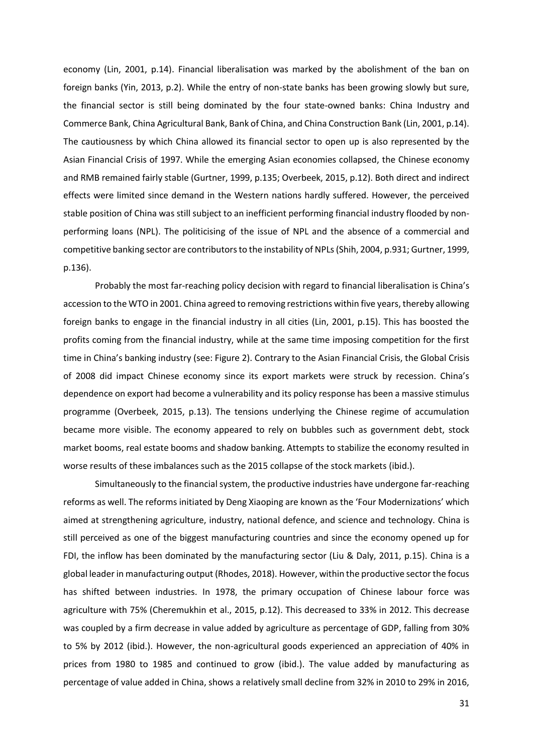economy (Lin, 2001, p.14). Financial liberalisation was marked by the abolishment of the ban on foreign banks (Yin, 2013, p.2). While the entry of non-state banks has been growing slowly but sure, the financial sector is still being dominated by the four state-owned banks: China Industry and Commerce Bank, China Agricultural Bank, Bank of China, and China Construction Bank (Lin, 2001, p.14). The cautiousness by which China allowed its financial sector to open up is also represented by the Asian Financial Crisis of 1997. While the emerging Asian economies collapsed, the Chinese economy and RMB remained fairly stable (Gurtner, 1999, p.135; Overbeek, 2015, p.12). Both direct and indirect effects were limited since demand in the Western nations hardly suffered. However, the perceived stable position of China was still subject to an inefficient performing financial industry flooded by nonperforming loans (NPL). The politicising of the issue of NPL and the absence of a commercial and competitive banking sector are contributors to the instability of NPLs (Shih, 2004, p.931; Gurtner, 1999, p.136).

Probably the most far-reaching policy decision with regard to financial liberalisation is China's accession to the WTO in 2001. China agreed to removing restrictions within five years, thereby allowing foreign banks to engage in the financial industry in all cities (Lin, 2001, p.15). This has boosted the profits coming from the financial industry, while at the same time imposing competition for the first time in China's banking industry (see: Figure 2). Contrary to the Asian Financial Crisis, the Global Crisis of 2008 did impact Chinese economy since its export markets were struck by recession. China's dependence on export had become a vulnerability and its policy response has been a massive stimulus programme (Overbeek, 2015, p.13). The tensions underlying the Chinese regime of accumulation became more visible. The economy appeared to rely on bubbles such as government debt, stock market booms, real estate booms and shadow banking. Attempts to stabilize the economy resulted in worse results of these imbalances such as the 2015 collapse of the stock markets (ibid.).

Simultaneously to the financial system, the productive industries have undergone far-reaching reforms as well. The reforms initiated by Deng Xiaoping are known as the 'Four Modernizations' which aimed at strengthening agriculture, industry, national defence, and science and technology. China is still perceived as one of the biggest manufacturing countries and since the economy opened up for FDI, the inflow has been dominated by the manufacturing sector (Liu & Daly, 2011, p.15). China is a global leader in manufacturing output (Rhodes, 2018). However, within the productive sector the focus has shifted between industries. In 1978, the primary occupation of Chinese labour force was agriculture with 75% (Cheremukhin et al., 2015, p.12). This decreased to 33% in 2012. This decrease was coupled by a firm decrease in value added by agriculture as percentage of GDP, falling from 30% to 5% by 2012 (ibid.). However, the non-agricultural goods experienced an appreciation of 40% in prices from 1980 to 1985 and continued to grow (ibid.). The value added by manufacturing as percentage of value added in China, shows a relatively small decline from 32% in 2010 to 29% in 2016,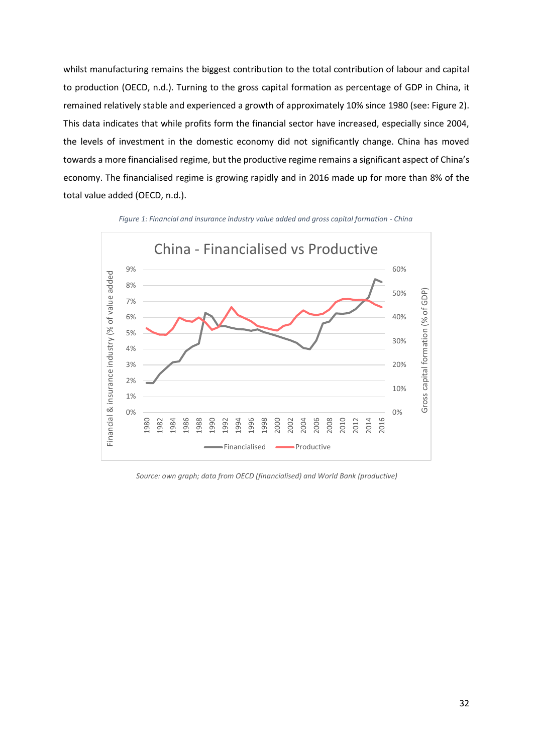whilst manufacturing remains the biggest contribution to the total contribution of labour and capital to production (OECD, n.d.). Turning to the gross capital formation as percentage of GDP in China, it remained relatively stable and experienced a growth of approximately 10% since 1980 (see: Figure 2). This data indicates that while profits form the financial sector have increased, especially since 2004, the levels of investment in the domestic economy did not significantly change. China has moved towards a more financialised regime, but the productive regime remains a significant aspect of China's economy. The financialised regime is growing rapidly and in 2016 made up for more than 8% of the total value added (OECD, n.d.).



*Figure 1: Financial and insurance industry value added and gross capital formation - China*



*Source: own graph; data from OECD (financialised) and World Bank (productive)*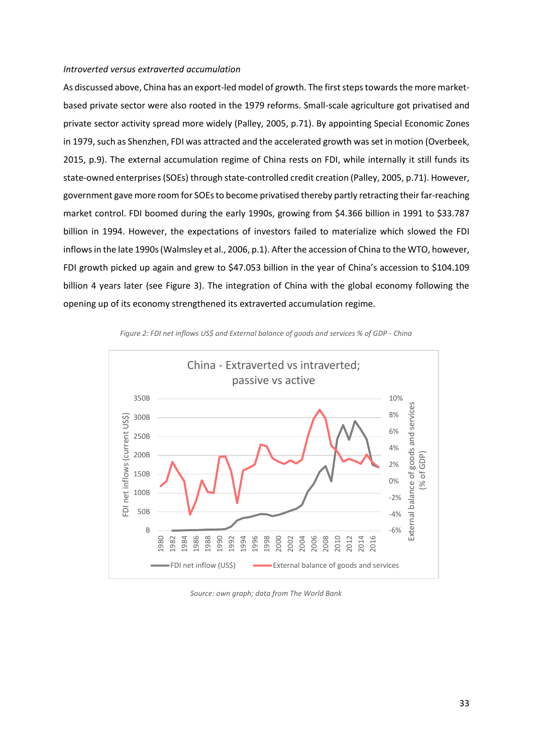#### *Introverted versus extraverted accumulation*

As discussed above, China has an export-led model of growth. The first steps towards the more marketbased private sector were also rooted in the 1979 reforms. Small-scale agriculture got privatised and private sector activity spread more widely (Palley, 2005, p.71). By appointing Special Economic Zones in 1979, such as Shenzhen, FDI was attracted and the accelerated growth was set in motion (Overbeek, 2015, p.9). The external accumulation regime of China rests on FDI, while internally it still funds its state-owned enterprises (SOEs) through state-controlled credit creation (Palley, 2005, p.71). However, government gave more room for SOEs to become privatised thereby partly retracting their far-reaching market control. FDI boomed during the early 1990s, growing from \$4.366 billion in 1991 to \$33.787 billion in 1994. However, the expectations of investors failed to materialize which slowed the FDI inflowsin the late 1990s(Walmsley et al., 2006, p.1). After the accession of China to the WTO, however, FDI growth picked up again and grew to \$47.053 billion in the year of China's accession to \$104.109 billion 4 years later (see Figure 3). The integration of China with the global economy following the opening up of its economy strengthened its extraverted accumulation regime.



*Figure 2: FDI net inflows US\$ and External balance of goods and services % of GDP - China*

*Source: own graph; data from The World Bank*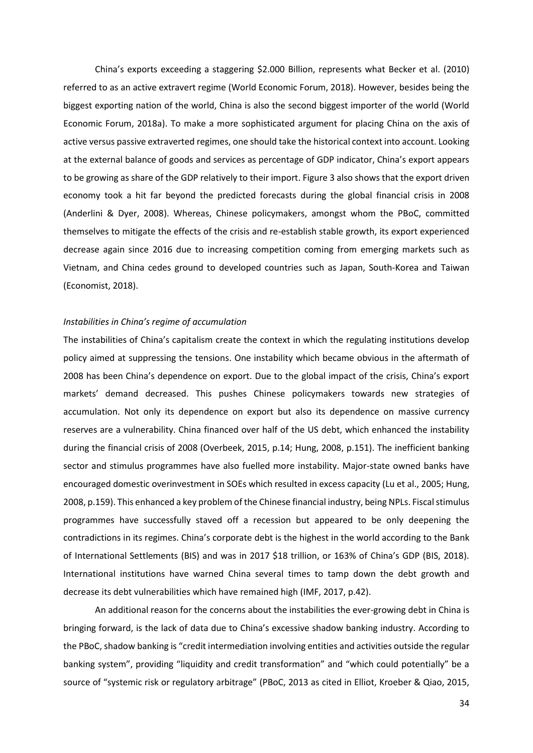China's exports exceeding a staggering \$2.000 Billion, represents what Becker et al. (2010) referred to as an active extravert regime (World Economic Forum, 2018). However, besides being the biggest exporting nation of the world, China is also the second biggest importer of the world (World Economic Forum, 2018a). To make a more sophisticated argument for placing China on the axis of active versus passive extraverted regimes, one should take the historical context into account. Looking at the external balance of goods and services as percentage of GDP indicator, China's export appears to be growing as share of the GDP relatively to their import. Figure 3 also shows that the export driven economy took a hit far beyond the predicted forecasts during the global financial crisis in 2008 (Anderlini & Dyer, 2008). Whereas, Chinese policymakers, amongst whom the PBoC, committed themselves to mitigate the effects of the crisis and re-establish stable growth, its export experienced decrease again since 2016 due to increasing competition coming from emerging markets such as Vietnam, and China cedes ground to developed countries such as Japan, South-Korea and Taiwan (Economist, 2018).

### *Instabilities in China's regime of accumulation*

The instabilities of China's capitalism create the context in which the regulating institutions develop policy aimed at suppressing the tensions. One instability which became obvious in the aftermath of 2008 has been China's dependence on export. Due to the global impact of the crisis, China's export markets' demand decreased. This pushes Chinese policymakers towards new strategies of accumulation. Not only its dependence on export but also its dependence on massive currency reserves are a vulnerability. China financed over half of the US debt, which enhanced the instability during the financial crisis of 2008 (Overbeek, 2015, p.14; Hung, 2008, p.151). The inefficient banking sector and stimulus programmes have also fuelled more instability. Major-state owned banks have encouraged domestic overinvestment in SOEs which resulted in excess capacity (Lu et al., 2005; Hung, 2008, p.159). This enhanced a key problem of the Chinese financial industry, being NPLs. Fiscal stimulus programmes have successfully staved off a recession but appeared to be only deepening the contradictions in its regimes. China's corporate debt is the highest in the world according to the Bank of International Settlements (BIS) and was in 2017 \$18 trillion, or 163% of China's GDP (BIS, 2018). International institutions have warned China several times to tamp down the debt growth and decrease its debt vulnerabilities which have remained high (IMF, 2017, p.42).

An additional reason for the concerns about the instabilities the ever-growing debt in China is bringing forward, is the lack of data due to China's excessive shadow banking industry. According to the PBoC, shadow banking is "credit intermediation involving entities and activities outside the regular banking system", providing "liquidity and credit transformation" and "which could potentially" be a source of "systemic risk or regulatory arbitrage" (PBoC, 2013 as cited in Elliot, Kroeber & Qiao, 2015,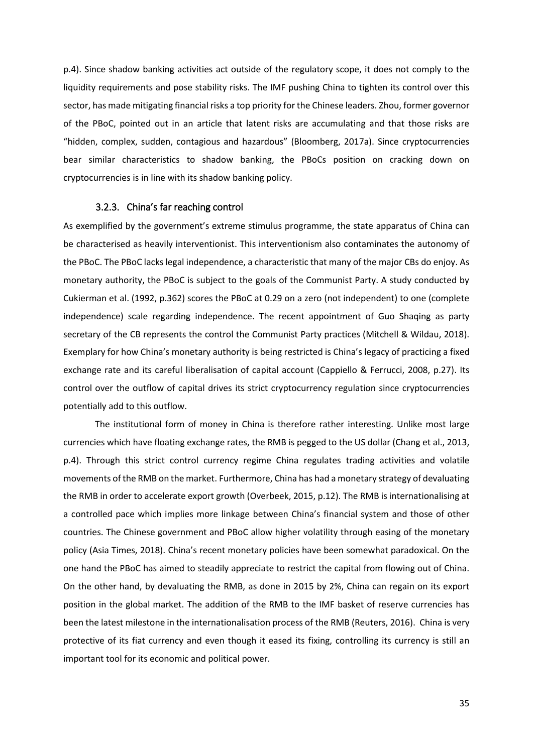p.4). Since shadow banking activities act outside of the regulatory scope, it does not comply to the liquidity requirements and pose stability risks. The IMF pushing China to tighten its control over this sector, has made mitigating financial risks a top priority for the Chinese leaders. Zhou, former governor of the PBoC, pointed out in an article that latent risks are accumulating and that those risks are "hidden, complex, sudden, contagious and hazardous" (Bloomberg, 2017a). Since cryptocurrencies bear similar characteristics to shadow banking, the PBoCs position on cracking down on cryptocurrencies is in line with its shadow banking policy.

# 3.2.3. China's far reaching control

As exemplified by the government's extreme stimulus programme, the state apparatus of China can be characterised as heavily interventionist. This interventionism also contaminates the autonomy of the PBoC. The PBoC lacks legal independence, a characteristic that many of the major CBs do enjoy. As monetary authority, the PBoC is subject to the goals of the Communist Party. A study conducted by Cukierman et al. (1992, p.362) scores the PBoC at 0.29 on a zero (not independent) to one (complete independence) scale regarding independence. The recent appointment of Guo Shaqing as party secretary of the CB represents the control the Communist Party practices (Mitchell & Wildau, 2018). Exemplary for how China's monetary authority is being restricted is China's legacy of practicing a fixed exchange rate and its careful liberalisation of capital account (Cappiello & Ferrucci, 2008, p.27). Its control over the outflow of capital drives its strict cryptocurrency regulation since cryptocurrencies potentially add to this outflow.

The institutional form of money in China is therefore rather interesting. Unlike most large currencies which have floating exchange rates, the RMB is pegged to the US dollar (Chang et al., 2013, p.4). Through this strict control currency regime China regulates trading activities and volatile movements of the RMB on the market. Furthermore, China has had a monetary strategy of devaluating the RMB in order to accelerate export growth (Overbeek, 2015, p.12). The RMB is internationalising at a controlled pace which implies more linkage between China's financial system and those of other countries. The Chinese government and PBoC allow higher volatility through easing of the monetary policy (Asia Times, 2018). China's recent monetary policies have been somewhat paradoxical. On the one hand the PBoC has aimed to steadily appreciate to restrict the capital from flowing out of China. On the other hand, by devaluating the RMB, as done in 2015 by 2%, China can regain on its export position in the global market. The addition of the RMB to the IMF basket of reserve currencies has been the latest milestone in the internationalisation process of the RMB (Reuters, 2016). China is very protective of its fiat currency and even though it eased its fixing, controlling its currency is still an important tool for its economic and political power.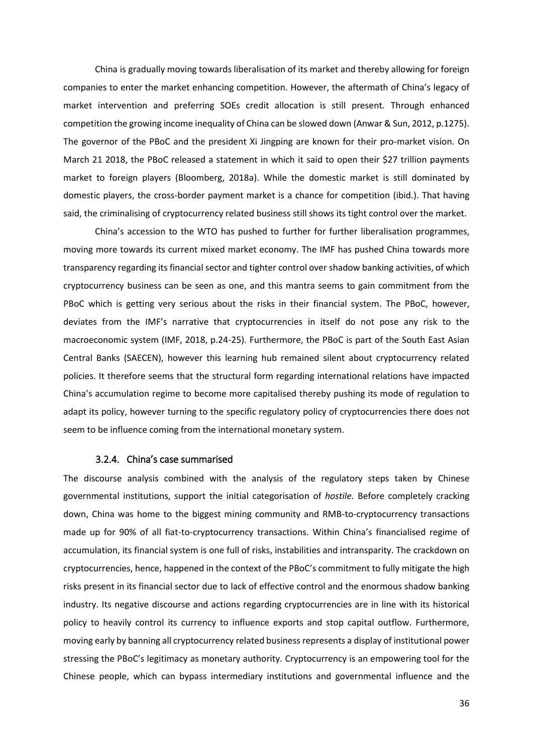China is gradually moving towards liberalisation of its market and thereby allowing for foreign companies to enter the market enhancing competition. However, the aftermath of China's legacy of market intervention and preferring SOEs credit allocation is still present. Through enhanced competition the growing income inequality of China can be slowed down (Anwar & Sun, 2012, p.1275). The governor of the PBoC and the president Xi Jingping are known for their pro-market vision. On March 21 2018, the PBoC released a statement in which it said to open their \$27 trillion payments market to foreign players (Bloomberg, 2018a). While the domestic market is still dominated by domestic players, the cross-border payment market is a chance for competition (ibid.). That having said, the criminalising of cryptocurrency related business still shows its tight control over the market.

China's accession to the WTO has pushed to further for further liberalisation programmes, moving more towards its current mixed market economy. The IMF has pushed China towards more transparency regarding its financial sector and tighter control over shadow banking activities, of which cryptocurrency business can be seen as one, and this mantra seems to gain commitment from the PBoC which is getting very serious about the risks in their financial system. The PBoC, however, deviates from the IMF's narrative that cryptocurrencies in itself do not pose any risk to the macroeconomic system (IMF, 2018, p.24-25). Furthermore, the PBoC is part of the South East Asian Central Banks (SAECEN), however this learning hub remained silent about cryptocurrency related policies. It therefore seems that the structural form regarding international relations have impacted China's accumulation regime to become more capitalised thereby pushing its mode of regulation to adapt its policy, however turning to the specific regulatory policy of cryptocurrencies there does not seem to be influence coming from the international monetary system.

### 3.2.4. China's case summarised

The discourse analysis combined with the analysis of the regulatory steps taken by Chinese governmental institutions, support the initial categorisation of *hostile.* Before completely cracking down, China was home to the biggest mining community and RMB-to-cryptocurrency transactions made up for 90% of all fiat-to-cryptocurrency transactions. Within China's financialised regime of accumulation, its financial system is one full of risks, instabilities and intransparity. The crackdown on cryptocurrencies, hence, happened in the context of the PBoC's commitment to fully mitigate the high risks present in its financial sector due to lack of effective control and the enormous shadow banking industry. Its negative discourse and actions regarding cryptocurrencies are in line with its historical policy to heavily control its currency to influence exports and stop capital outflow. Furthermore, moving early by banning all cryptocurrency related business represents a display of institutional power stressing the PBoC's legitimacy as monetary authority. Cryptocurrency is an empowering tool for the Chinese people, which can bypass intermediary institutions and governmental influence and the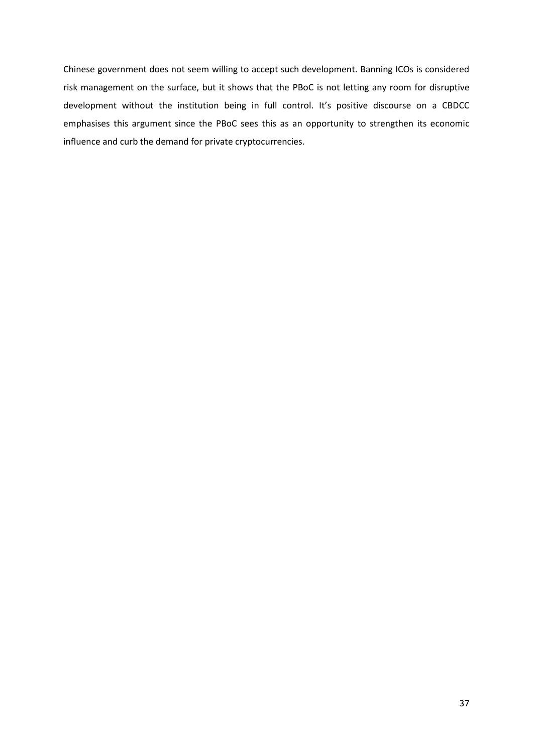Chinese government does not seem willing to accept such development. Banning ICOs is considered risk management on the surface, but it shows that the PBoC is not letting any room for disruptive development without the institution being in full control. It's positive discourse on a CBDCC emphasises this argument since the PBoC sees this as an opportunity to strengthen its economic influence and curb the demand for private cryptocurrencies.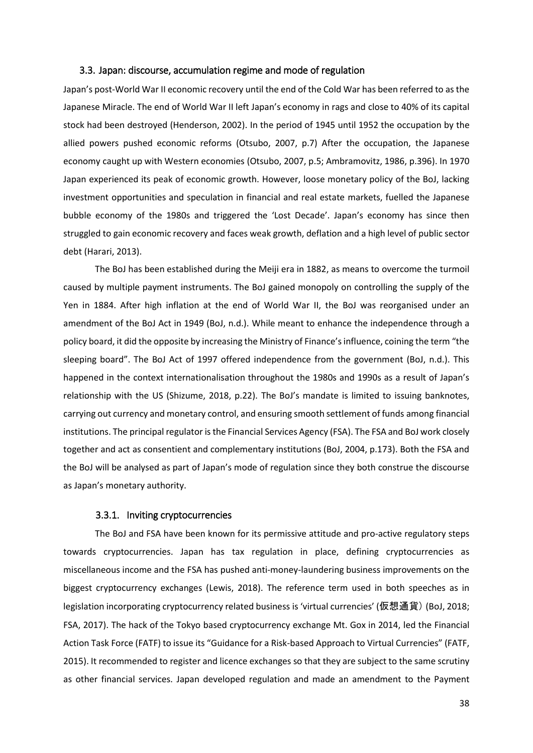#### 3.3. Japan: discourse, accumulation regime and mode of regulation

Japan's post-World War II economic recovery until the end of the Cold War has been referred to as the Japanese Miracle. The end of World War II left Japan's economy in rags and close to 40% of its capital stock had been destroyed (Henderson, 2002). In the period of 1945 until 1952 the occupation by the allied powers pushed economic reforms (Otsubo, 2007, p.7) After the occupation, the Japanese economy caught up with Western economies (Otsubo, 2007, p.5; Ambramovitz, 1986, p.396). In 1970 Japan experienced its peak of economic growth. However, loose monetary policy of the BoJ, lacking investment opportunities and speculation in financial and real estate markets, fuelled the Japanese bubble economy of the 1980s and triggered the 'Lost Decade'. Japan's economy has since then struggled to gain economic recovery and faces weak growth, deflation and a high level of public sector debt (Harari, 2013).

The BoJ has been established during the Meiji era in 1882, as means to overcome the turmoil caused by multiple payment instruments. The BoJ gained monopoly on controlling the supply of the Yen in 1884. After high inflation at the end of World War II, the BoJ was reorganised under an amendment of the BoJ Act in 1949 (BoJ, n.d.). While meant to enhance the independence through a policy board, it did the opposite by increasing the Ministry of Finance's influence, coining the term "the sleeping board". The BoJ Act of 1997 offered independence from the government (BoJ, n.d.). This happened in the context internationalisation throughout the 1980s and 1990s as a result of Japan's relationship with the US (Shizume, 2018, p.22). The BoJ's mandate is limited to issuing banknotes, carrying out currency and monetary control, and ensuring smooth settlement of funds among financial institutions. The principal regulator is the Financial Services Agency (FSA). The FSA and BoJ work closely together and act as consentient and complementary institutions (BoJ, 2004, p.173). Both the FSA and the BoJ will be analysed as part of Japan's mode of regulation since they both construe the discourse as Japan's monetary authority.

# 3.3.1. Inviting cryptocurrencies

The BoJ and FSA have been known for its permissive attitude and pro-active regulatory steps towards cryptocurrencies. Japan has tax regulation in place, defining cryptocurrencies as miscellaneous income and the FSA has pushed anti-money-laundering business improvements on the biggest cryptocurrency exchanges (Lewis, 2018). The reference term used in both speeches as in legislation incorporating cryptocurrency related business is 'virtual currencies' (仮想通貨) (BoJ, 2018; FSA, 2017). The hack of the Tokyo based cryptocurrency exchange Mt. Gox in 2014, led the Financial Action Task Force (FATF) to issue its "Guidance for a Risk-based Approach to Virtual Currencies" (FATF, 2015). It recommended to register and licence exchanges so that they are subject to the same scrutiny as other financial services. Japan developed regulation and made an amendment to the Payment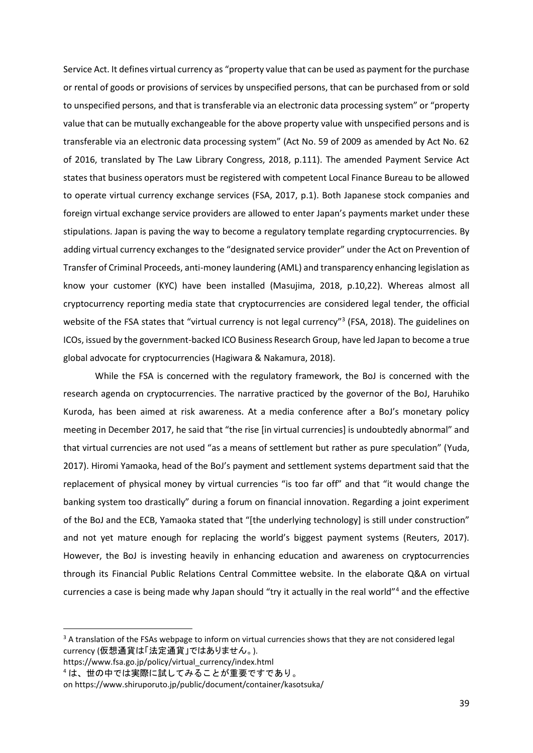Service Act. It defines virtual currency as "property value that can be used as payment for the purchase or rental of goods or provisions of services by unspecified persons, that can be purchased from or sold to unspecified persons, and that is transferable via an electronic data processing system" or "property value that can be mutually exchangeable for the above property value with unspecified persons and is transferable via an electronic data processing system" (Act No. 59 of 2009 as amended by Act No. 62 of 2016, translated by The Law Library Congress, 2018, p.111). The amended Payment Service Act states that business operators must be registered with competent Local Finance Bureau to be allowed to operate virtual currency exchange services (FSA, 2017, p.1). Both Japanese stock companies and foreign virtual exchange service providers are allowed to enter Japan's payments market under these stipulations. Japan is paving the way to become a regulatory template regarding cryptocurrencies. By adding virtual currency exchanges to the "designated service provider" under the Act on Prevention of Transfer of Criminal Proceeds, anti-money laundering (AML) and transparency enhancing legislation as know your customer (KYC) have been installed (Masujima, 2018, p.10,22). Whereas almost all cryptocurrency reporting media state that cryptocurrencies are considered legal tender, the official website of the FSA states that "virtual currency is not legal currency"<sup>3</sup> (FSA, 2018). The guidelines on ICOs, issued by the government-backed ICO Business Research Group, have led Japan to become a true global advocate for cryptocurrencies (Hagiwara & Nakamura, 2018).

While the FSA is concerned with the regulatory framework, the BoJ is concerned with the research agenda on cryptocurrencies. The narrative practiced by the governor of the BoJ, Haruhiko Kuroda, has been aimed at risk awareness. At a media conference after a BoJ's monetary policy meeting in December 2017, he said that "the rise [in virtual currencies] is undoubtedly abnormal" and that virtual currencies are not used "as a means of settlement but rather as pure speculation" (Yuda, 2017). Hiromi Yamaoka, head of the BoJ's payment and settlement systems department said that the replacement of physical money by virtual currencies "is too far off" and that "it would change the banking system too drastically" during a forum on financial innovation. Regarding a joint experiment of the BoJ and the ECB, Yamaoka stated that "[the underlying technology] is still under construction" and not yet mature enough for replacing the world's biggest payment systems (Reuters, 2017). However, the BoJ is investing heavily in enhancing education and awareness on cryptocurrencies through its Financial Public Relations Central Committee website. In the elaborate Q&A on virtual currencies a case is being made why Japan should "try it actually in the real world"<sup>4</sup> and the effective

[https://www.fsa.go.jp/policy/virtual\\_currency/index.html](https://www.fsa.go.jp/policy/virtual_currency/index.html)

**.** 

 $3$  A translation of the FSAs webpage to inform on virtual currencies shows that they are not considered legal currency (仮想通貨は「法定通貨」ではありません。).

<sup>4</sup> は、世の中では実際に試してみることが重要ですであり。

o[n https://www.shiruporuto.jp/public/document/container/kasotsuka/](https://www.shiruporuto.jp/public/document/container/kasotsuka/)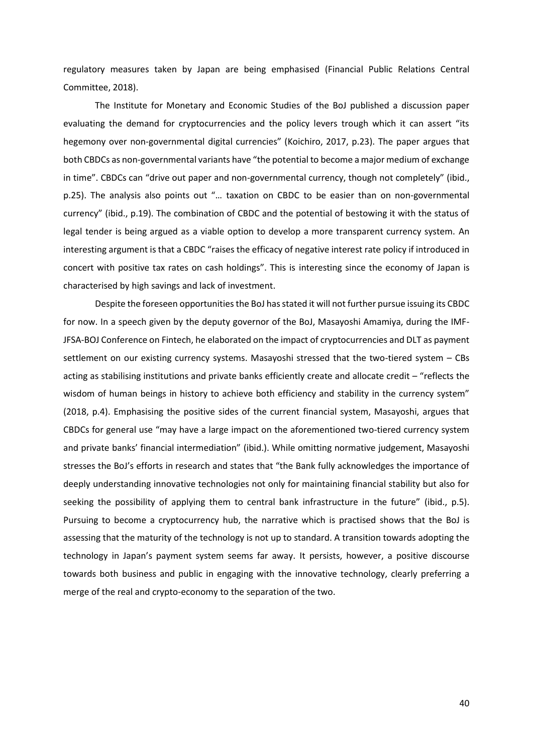regulatory measures taken by Japan are being emphasised (Financial Public Relations Central Committee, 2018).

The Institute for Monetary and Economic Studies of the BoJ published a discussion paper evaluating the demand for cryptocurrencies and the policy levers trough which it can assert "its hegemony over non-governmental digital currencies" (Koichiro, 2017, p.23). The paper argues that both CBDCs as non-governmental variants have "the potential to become a major medium of exchange in time". CBDCs can "drive out paper and non-governmental currency, though not completely" (ibid., p.25). The analysis also points out "… taxation on CBDC to be easier than on non-governmental currency" (ibid., p.19). The combination of CBDC and the potential of bestowing it with the status of legal tender is being argued as a viable option to develop a more transparent currency system. An interesting argument is that a CBDC "raises the efficacy of negative interest rate policy if introduced in concert with positive tax rates on cash holdings". This is interesting since the economy of Japan is characterised by high savings and lack of investment.

Despite the foreseen opportunities the BoJ has stated it will not further pursue issuing its CBDC for now. In a speech given by the deputy governor of the BoJ, Masayoshi Amamiya, during the IMF-JFSA-BOJ Conference on Fintech, he elaborated on the impact of cryptocurrencies and DLT as payment settlement on our existing currency systems. Masayoshi stressed that the two-tiered system – CBs acting as stabilising institutions and private banks efficiently create and allocate credit – "reflects the wisdom of human beings in history to achieve both efficiency and stability in the currency system" (2018, p.4). Emphasising the positive sides of the current financial system, Masayoshi, argues that CBDCs for general use "may have a large impact on the aforementioned two-tiered currency system and private banks' financial intermediation" (ibid.). While omitting normative judgement, Masayoshi stresses the BoJ's efforts in research and states that "the Bank fully acknowledges the importance of deeply understanding innovative technologies not only for maintaining financial stability but also for seeking the possibility of applying them to central bank infrastructure in the future" (ibid., p.5). Pursuing to become a cryptocurrency hub, the narrative which is practised shows that the BoJ is assessing that the maturity of the technology is not up to standard. A transition towards adopting the technology in Japan's payment system seems far away. It persists, however, a positive discourse towards both business and public in engaging with the innovative technology, clearly preferring a merge of the real and crypto-economy to the separation of the two.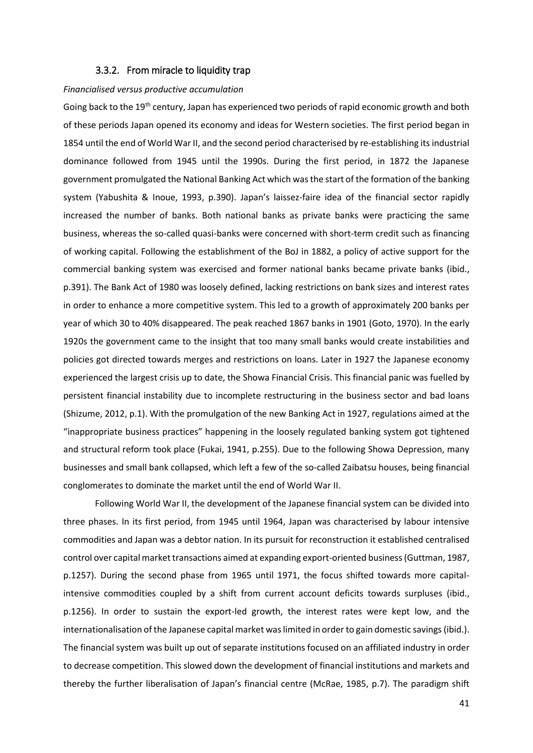### 3.3.2. From miracle to liquidity trap

#### *Financialised versus productive accumulation*

Going back to the 19<sup>th</sup> century, Japan has experienced two periods of rapid economic growth and both of these periods Japan opened its economy and ideas for Western societies. The first period began in 1854 until the end of World War II, and the second period characterised by re-establishing its industrial dominance followed from 1945 until the 1990s. During the first period, in 1872 the Japanese government promulgated the National Banking Act which was the start of the formation of the banking system (Yabushita & Inoue, 1993, p.390). Japan's laissez-faire idea of the financial sector rapidly increased the number of banks. Both national banks as private banks were practicing the same business, whereas the so-called quasi-banks were concerned with short-term credit such as financing of working capital. Following the establishment of the BoJ in 1882, a policy of active support for the commercial banking system was exercised and former national banks became private banks (ibid., p.391). The Bank Act of 1980 was loosely defined, lacking restrictions on bank sizes and interest rates in order to enhance a more competitive system. This led to a growth of approximately 200 banks per year of which 30 to 40% disappeared. The peak reached 1867 banks in 1901 (Goto, 1970). In the early 1920s the government came to the insight that too many small banks would create instabilities and policies got directed towards merges and restrictions on loans. Later in 1927 the Japanese economy experienced the largest crisis up to date, the Showa Financial Crisis. This financial panic was fuelled by persistent financial instability due to incomplete restructuring in the business sector and bad loans (Shizume, 2012, p.1). With the promulgation of the new Banking Act in 1927, regulations aimed at the "inappropriate business practices" happening in the loosely regulated banking system got tightened and structural reform took place (Fukai, 1941, p.255). Due to the following Showa Depression, many businesses and small bank collapsed, which left a few of the so-called Zaibatsu houses, being financial conglomerates to dominate the market until the end of World War II.

Following World War II, the development of the Japanese financial system can be divided into three phases. In its first period, from 1945 until 1964, Japan was characterised by labour intensive commodities and Japan was a debtor nation. In its pursuit for reconstruction it established centralised control over capital market transactions aimed at expanding export-oriented business (Guttman, 1987, p.1257). During the second phase from 1965 until 1971, the focus shifted towards more capitalintensive commodities coupled by a shift from current account deficits towards surpluses (ibid., p.1256). In order to sustain the export-led growth, the interest rates were kept low, and the internationalisation of the Japanese capital market was limited in order to gain domestic savings (ibid.). The financial system was built up out of separate institutions focused on an affiliated industry in order to decrease competition. This slowed down the development of financial institutions and markets and thereby the further liberalisation of Japan's financial centre (McRae, 1985, p.7). The paradigm shift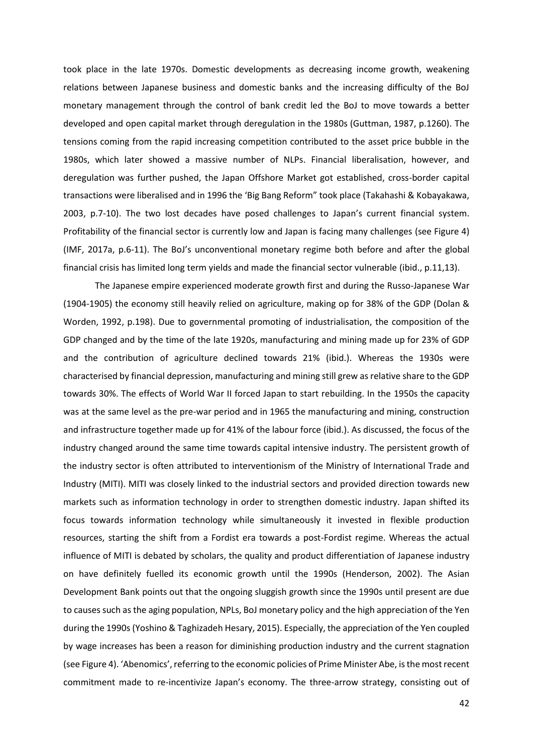took place in the late 1970s. Domestic developments as decreasing income growth, weakening relations between Japanese business and domestic banks and the increasing difficulty of the BoJ monetary management through the control of bank credit led the BoJ to move towards a better developed and open capital market through deregulation in the 1980s (Guttman, 1987, p.1260). The tensions coming from the rapid increasing competition contributed to the asset price bubble in the 1980s, which later showed a massive number of NLPs. Financial liberalisation, however, and deregulation was further pushed, the Japan Offshore Market got established, cross-border capital transactions were liberalised and in 1996 the 'Big Bang Reform" took place (Takahashi & Kobayakawa, 2003, p.7-10). The two lost decades have posed challenges to Japan's current financial system. Profitability of the financial sector is currently low and Japan is facing many challenges (see Figure 4) (IMF, 2017a, p.6-11). The BoJ's unconventional monetary regime both before and after the global financial crisis has limited long term yields and made the financial sector vulnerable (ibid., p.11,13).

The Japanese empire experienced moderate growth first and during the Russo-Japanese War (1904-1905) the economy still heavily relied on agriculture, making op for 38% of the GDP (Dolan & Worden, 1992, p.198). Due to governmental promoting of industrialisation, the composition of the GDP changed and by the time of the late 1920s, manufacturing and mining made up for 23% of GDP and the contribution of agriculture declined towards 21% (ibid.). Whereas the 1930s were characterised by financial depression, manufacturing and mining still grew as relative share to the GDP towards 30%. The effects of World War II forced Japan to start rebuilding. In the 1950s the capacity was at the same level as the pre-war period and in 1965 the manufacturing and mining, construction and infrastructure together made up for 41% of the labour force (ibid.). As discussed, the focus of the industry changed around the same time towards capital intensive industry. The persistent growth of the industry sector is often attributed to interventionism of the Ministry of International Trade and Industry (MITI). MITI was closely linked to the industrial sectors and provided direction towards new markets such as information technology in order to strengthen domestic industry. Japan shifted its focus towards information technology while simultaneously it invested in flexible production resources, starting the shift from a Fordist era towards a post-Fordist regime. Whereas the actual influence of MITI is debated by scholars, the quality and product differentiation of Japanese industry on have definitely fuelled its economic growth until the 1990s (Henderson, 2002). The Asian Development Bank points out that the ongoing sluggish growth since the 1990s until present are due to causes such as the aging population, NPLs, BoJ monetary policy and the high appreciation of the Yen during the 1990s (Yoshino & Taghizadeh Hesary, 2015). Especially, the appreciation of the Yen coupled by wage increases has been a reason for diminishing production industry and the current stagnation (see Figure 4). 'Abenomics', referring to the economic policies of Prime Minister Abe, is the most recent commitment made to re-incentivize Japan's economy. The three-arrow strategy, consisting out of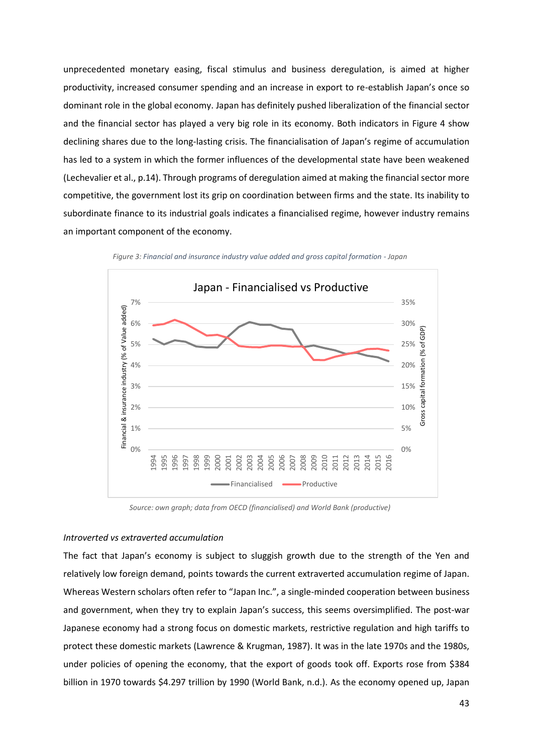unprecedented monetary easing, fiscal stimulus and business deregulation, is aimed at higher productivity, increased consumer spending and an increase in export to re-establish Japan's once so dominant role in the global economy. Japan has definitely pushed liberalization of the financial sector and the financial sector has played a very big role in its economy. Both indicators in Figure 4 show declining shares due to the long-lasting crisis. The financialisation of Japan's regime of accumulation has led to a system in which the former influences of the developmental state have been weakened (Lechevalier et al., p.14). Through programs of deregulation aimed at making the financial sector more competitive, the government lost its grip on coordination between firms and the state. Its inability to subordinate finance to its industrial goals indicates a financialised regime, however industry remains an important component of the economy.



*Figure 3: Financial and insurance industry value added and gross capital formation - Japan*

*Source: own graph; data from OECD (financialised) and World Bank (productive)*

#### *Introverted vs extraverted accumulation*

The fact that Japan's economy is subject to sluggish growth due to the strength of the Yen and relatively low foreign demand, points towards the current extraverted accumulation regime of Japan. Whereas Western scholars often refer to "Japan Inc.", a single-minded cooperation between business and government, when they try to explain Japan's success, this seems oversimplified. The post-war Japanese economy had a strong focus on domestic markets, restrictive regulation and high tariffs to protect these domestic markets (Lawrence & Krugman, 1987). It was in the late 1970s and the 1980s, under policies of opening the economy, that the export of goods took off. Exports rose from \$384 billion in 1970 towards \$4.297 trillion by 1990 (World Bank, n.d.). As the economy opened up, Japan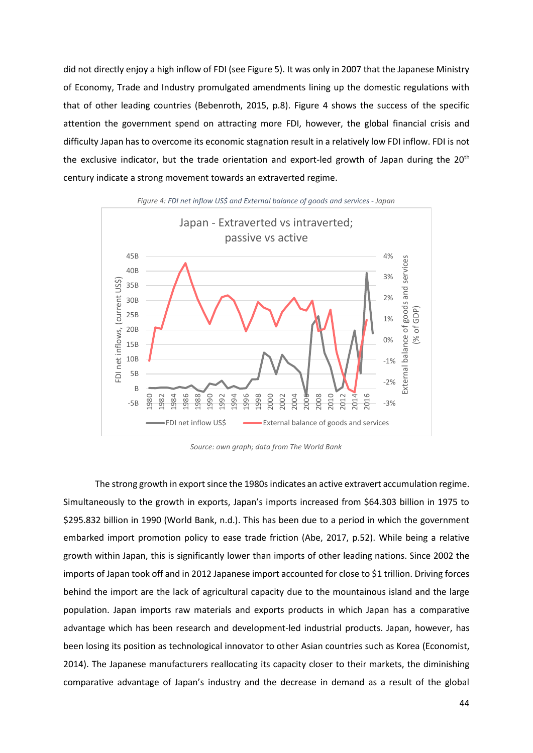did not directly enjoy a high inflow of FDI (see Figure 5). It was only in 2007 that the Japanese Ministry of Economy, Trade and Industry promulgated amendments lining up the domestic regulations with that of other leading countries (Bebenroth, 2015, p.8). Figure 4 shows the success of the specific attention the government spend on attracting more FDI, however, the global financial crisis and difficulty Japan has to overcome its economic stagnation result in a relatively low FDI inflow. FDI is not the exclusive indicator, but the trade orientation and export-led growth of Japan during the 20<sup>th</sup> century indicate a strong movement towards an extraverted regime.



*Source: own graph; data from The World Bank* 

The strong growth in export since the 1980s indicates an active extravert accumulation regime. Simultaneously to the growth in exports, Japan's imports increased from \$64.303 billion in 1975 to \$295.832 billion in 1990 (World Bank, n.d.). This has been due to a period in which the government embarked import promotion policy to ease trade friction (Abe, 2017, p.52). While being a relative growth within Japan, this is significantly lower than imports of other leading nations. Since 2002 the imports of Japan took off and in 2012 Japanese import accounted for close to \$1 trillion. Driving forces behind the import are the lack of agricultural capacity due to the mountainous island and the large population. Japan imports raw materials and exports products in which Japan has a comparative advantage which has been research and development-led industrial products. Japan, however, has been losing its position as technological innovator to other Asian countries such as Korea (Economist, 2014). The Japanese manufacturers reallocating its capacity closer to their markets, the diminishing comparative advantage of Japan's industry and the decrease in demand as a result of the global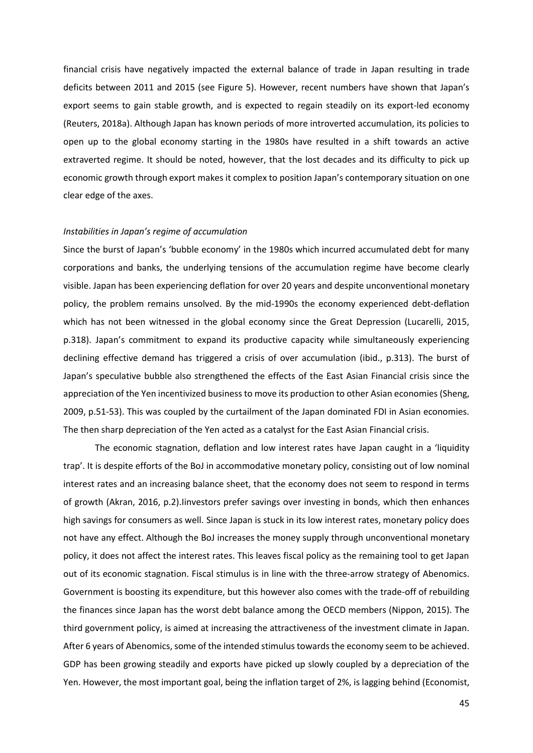financial crisis have negatively impacted the external balance of trade in Japan resulting in trade deficits between 2011 and 2015 (see Figure 5). However, recent numbers have shown that Japan's export seems to gain stable growth, and is expected to regain steadily on its export-led economy (Reuters, 2018a). Although Japan has known periods of more introverted accumulation, its policies to open up to the global economy starting in the 1980s have resulted in a shift towards an active extraverted regime. It should be noted, however, that the lost decades and its difficulty to pick up economic growth through export makes it complex to position Japan's contemporary situation on one clear edge of the axes.

#### *Instabilities in Japan's regime of accumulation*

Since the burst of Japan's 'bubble economy' in the 1980s which incurred accumulated debt for many corporations and banks, the underlying tensions of the accumulation regime have become clearly visible. Japan has been experiencing deflation for over 20 years and despite unconventional monetary policy, the problem remains unsolved. By the mid-1990s the economy experienced debt-deflation which has not been witnessed in the global economy since the Great Depression (Lucarelli, 2015, p.318). Japan's commitment to expand its productive capacity while simultaneously experiencing declining effective demand has triggered a crisis of over accumulation (ibid., p.313). The burst of Japan's speculative bubble also strengthened the effects of the East Asian Financial crisis since the appreciation of the Yen incentivized business to move its production to other Asian economies (Sheng, 2009, p.51-53). This was coupled by the curtailment of the Japan dominated FDI in Asian economies. The then sharp depreciation of the Yen acted as a catalyst for the East Asian Financial crisis.

The economic stagnation, deflation and low interest rates have Japan caught in a 'liquidity trap'. It is despite efforts of the BoJ in accommodative monetary policy, consisting out of low nominal interest rates and an increasing balance sheet, that the economy does not seem to respond in terms of growth (Akran, 2016, p.2).Iinvestors prefer savings over investing in bonds, which then enhances high savings for consumers as well. Since Japan is stuck in its low interest rates, monetary policy does not have any effect. Although the BoJ increases the money supply through unconventional monetary policy, it does not affect the interest rates. This leaves fiscal policy as the remaining tool to get Japan out of its economic stagnation. Fiscal stimulus is in line with the three-arrow strategy of Abenomics. Government is boosting its expenditure, but this however also comes with the trade-off of rebuilding the finances since Japan has the worst debt balance among the OECD members (Nippon, 2015). The third government policy, is aimed at increasing the attractiveness of the investment climate in Japan. After 6 years of Abenomics, some of the intended stimulus towards the economy seem to be achieved. GDP has been growing steadily and exports have picked up slowly coupled by a depreciation of the Yen. However, the most important goal, being the inflation target of 2%, is lagging behind (Economist,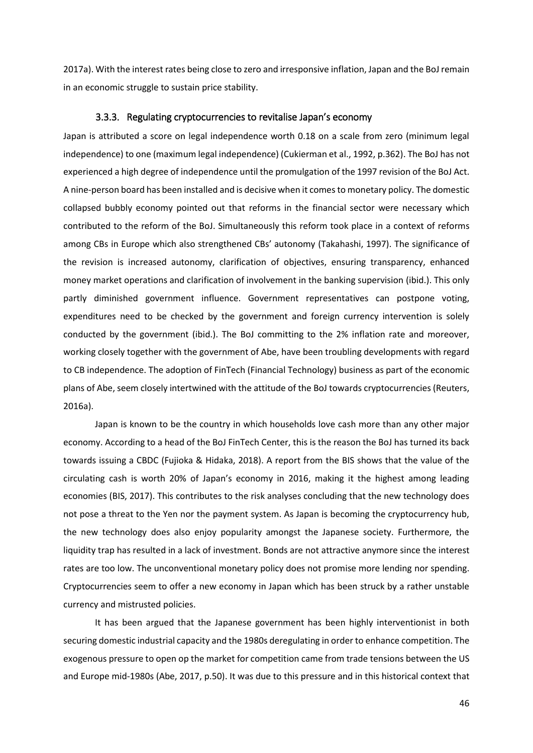2017a). With the interest rates being close to zero and irresponsive inflation, Japan and the BoJ remain in an economic struggle to sustain price stability.

# 3.3.3. Regulating cryptocurrencies to revitalise Japan's economy

Japan is attributed a score on legal independence worth 0.18 on a scale from zero (minimum legal independence) to one (maximum legal independence) (Cukierman et al., 1992, p.362). The BoJ has not experienced a high degree of independence until the promulgation of the 1997 revision of the BoJ Act. A nine-person board has been installed and is decisive when it comes to monetary policy. The domestic collapsed bubbly economy pointed out that reforms in the financial sector were necessary which contributed to the reform of the BoJ. Simultaneously this reform took place in a context of reforms among CBs in Europe which also strengthened CBs' autonomy (Takahashi, 1997). The significance of the revision is increased autonomy, clarification of objectives, ensuring transparency, enhanced money market operations and clarification of involvement in the banking supervision (ibid.). This only partly diminished government influence. Government representatives can postpone voting, expenditures need to be checked by the government and foreign currency intervention is solely conducted by the government (ibid.). The BoJ committing to the 2% inflation rate and moreover, working closely together with the government of Abe, have been troubling developments with regard to CB independence. The adoption of FinTech (Financial Technology) business as part of the economic plans of Abe, seem closely intertwined with the attitude of the BoJ towards cryptocurrencies (Reuters, 2016a).

Japan is known to be the country in which households love cash more than any other major economy. According to a head of the BoJ FinTech Center, this is the reason the BoJ has turned its back towards issuing a CBDC (Fujioka & Hidaka, 2018). A report from the BIS shows that the value of the circulating cash is worth 20% of Japan's economy in 2016, making it the highest among leading economies (BIS, 2017). This contributes to the risk analyses concluding that the new technology does not pose a threat to the Yen nor the payment system. As Japan is becoming the cryptocurrency hub, the new technology does also enjoy popularity amongst the Japanese society. Furthermore, the liquidity trap has resulted in a lack of investment. Bonds are not attractive anymore since the interest rates are too low. The unconventional monetary policy does not promise more lending nor spending. Cryptocurrencies seem to offer a new economy in Japan which has been struck by a rather unstable currency and mistrusted policies.

It has been argued that the Japanese government has been highly interventionist in both securing domestic industrial capacity and the 1980s deregulating in order to enhance competition. The exogenous pressure to open op the market for competition came from trade tensions between the US and Europe mid-1980s (Abe, 2017, p.50). It was due to this pressure and in this historical context that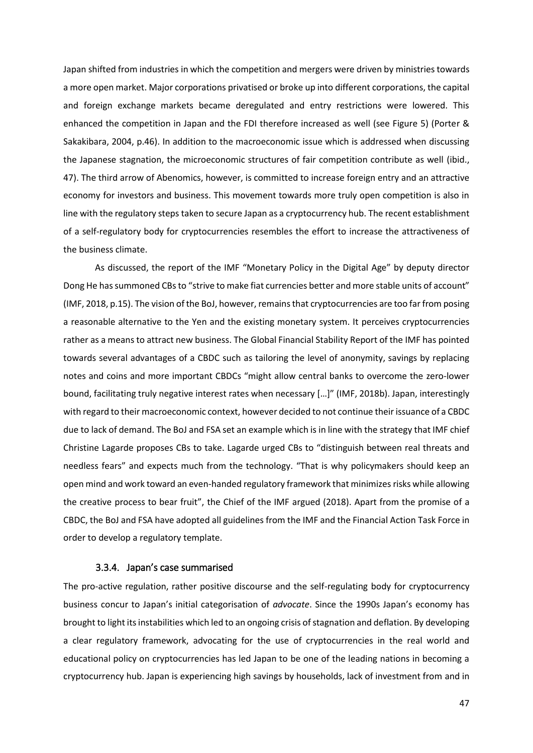Japan shifted from industries in which the competition and mergers were driven by ministries towards a more open market. Major corporations privatised or broke up into different corporations, the capital and foreign exchange markets became deregulated and entry restrictions were lowered. This enhanced the competition in Japan and the FDI therefore increased as well (see Figure 5) (Porter & Sakakibara, 2004, p.46). In addition to the macroeconomic issue which is addressed when discussing the Japanese stagnation, the microeconomic structures of fair competition contribute as well (ibid., 47). The third arrow of Abenomics, however, is committed to increase foreign entry and an attractive economy for investors and business. This movement towards more truly open competition is also in line with the regulatory steps taken to secure Japan as a cryptocurrency hub. The recent establishment of a self-regulatory body for cryptocurrencies resembles the effort to increase the attractiveness of the business climate.

As discussed, the report of the IMF "Monetary Policy in the Digital Age" by deputy director Dong He has summoned CBs to "strive to make fiat currencies better and more stable units of account" (IMF, 2018, p.15). The vision of the BoJ, however, remains that cryptocurrencies are too far from posing a reasonable alternative to the Yen and the existing monetary system. It perceives cryptocurrencies rather as a means to attract new business. The Global Financial Stability Report of the IMF has pointed towards several advantages of a CBDC such as tailoring the level of anonymity, savings by replacing notes and coins and more important CBDCs "might allow central banks to overcome the zero-lower bound, facilitating truly negative interest rates when necessary […]" (IMF, 2018b). Japan, interestingly with regard to their macroeconomic context, however decided to not continue their issuance of a CBDC due to lack of demand. The BoJ and FSA set an example which is in line with the strategy that IMF chief Christine Lagarde proposes CBs to take. Lagarde urged CBs to "distinguish between real threats and needless fears" and expects much from the technology. "That is why policymakers should keep an open mind and work toward an even-handed regulatory framework that minimizes risks while allowing the creative process to bear fruit", the Chief of the IMF argued (2018). Apart from the promise of a CBDC, the BoJ and FSA have adopted all guidelines from the IMF and the Financial Action Task Force in order to develop a regulatory template.

### 3.3.4. Japan's case summarised

The pro-active regulation, rather positive discourse and the self-regulating body for cryptocurrency business concur to Japan's initial categorisation of *advocate*. Since the 1990s Japan's economy has brought to light its instabilities which led to an ongoing crisis of stagnation and deflation. By developing a clear regulatory framework, advocating for the use of cryptocurrencies in the real world and educational policy on cryptocurrencies has led Japan to be one of the leading nations in becoming a cryptocurrency hub. Japan is experiencing high savings by households, lack of investment from and in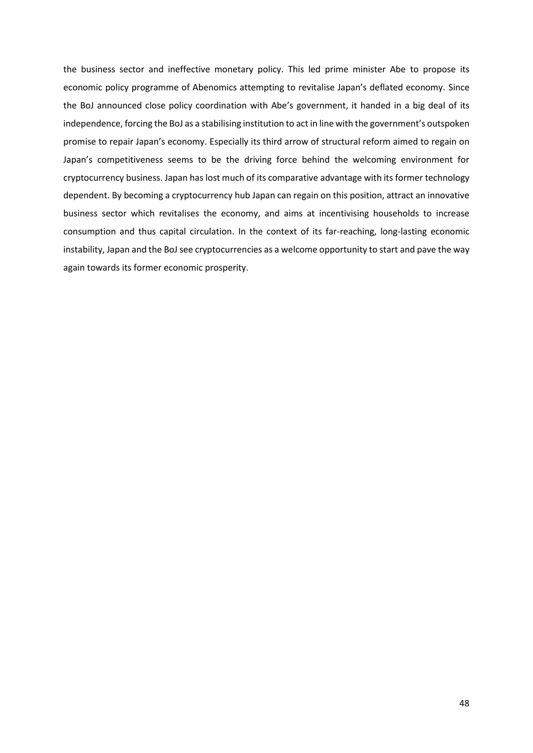the business sector and ineffective monetary policy. This led prime minister Abe to propose its economic policy programme of Abenomics attempting to revitalise Japan's deflated economy. Since the BoJ announced close policy coordination with Abe's government, it handed in a big deal of its independence, forcing the BoJ as a stabilising institution to act in line with the government's outspoken promise to repair Japan's economy. Especially its third arrow of structural reform aimed to regain on Japan's competitiveness seems to be the driving force behind the welcoming environment for cryptocurrency business. Japan has lost much of its comparative advantage with its former technology dependent. By becoming a cryptocurrency hub Japan can regain on this position, attract an innovative business sector which revitalises the economy, and aims at incentivising households to increase consumption and thus capital circulation. In the context of its far-reaching, long-lasting economic instability, Japan and the BoJ see cryptocurrencies as a welcome opportunity to start and pave the way again towards its former economic prosperity.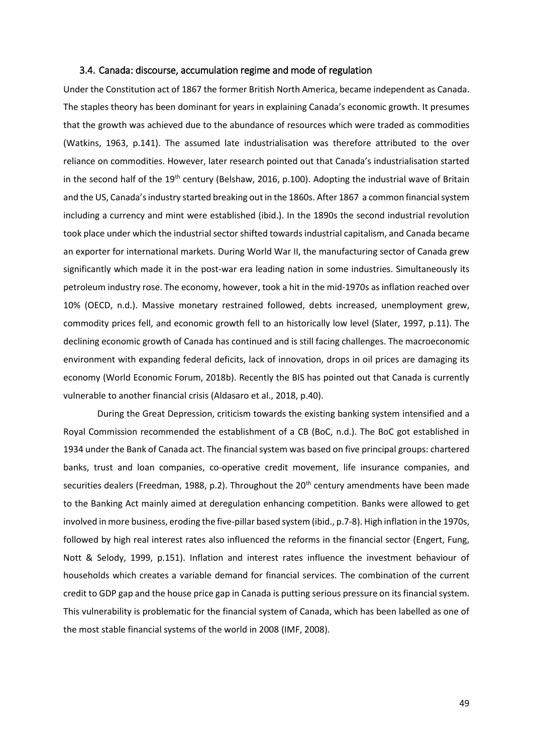# 3.4. Canada: discourse, accumulation regime and mode of regulation

Under the Constitution act of 1867 the former British North America, became independent as Canada. The staples theory has been dominant for years in explaining Canada's economic growth. It presumes that the growth was achieved due to the abundance of resources which were traded as commodities (Watkins, 1963, p.141). The assumed late industrialisation was therefore attributed to the over reliance on commodities. However, later research pointed out that Canada's industrialisation started in the second half of the 19<sup>th</sup> century (Belshaw, 2016, p.100). Adopting the industrial wave of Britain and the US, Canada's industry started breaking out in the 1860s. After 1867 a common financial system including a currency and mint were established (ibid.). In the 1890s the second industrial revolution took place under which the industrial sector shifted towards industrial capitalism, and Canada became an exporter for international markets. During World War II, the manufacturing sector of Canada grew significantly which made it in the post-war era leading nation in some industries. Simultaneously its petroleum industry rose. The economy, however, took a hit in the mid-1970s as inflation reached over 10% (OECD, n.d.). Massive monetary restrained followed, debts increased, unemployment grew, commodity prices fell, and economic growth fell to an historically low level (Slater, 1997, p.11). The declining economic growth of Canada has continued and is still facing challenges. The macroeconomic environment with expanding federal deficits, lack of innovation, drops in oil prices are damaging its economy (World Economic Forum, 2018b). Recently the BIS has pointed out that Canada is currently vulnerable to another financial crisis (Aldasaro et al., 2018, p.40).

During the Great Depression, criticism towards the existing banking system intensified and a Royal Commission recommended the establishment of a CB (BoC, n.d.). The BoC got established in 1934 under the Bank of Canada act. The financial system was based on five principal groups: chartered banks, trust and loan companies, co-operative credit movement, life insurance companies, and securities dealers (Freedman, 1988, p.2). Throughout the  $20<sup>th</sup>$  century amendments have been made to the Banking Act mainly aimed at deregulation enhancing competition. Banks were allowed to get involved in more business, eroding the five-pillar based system (ibid., p.7-8). High inflation in the 1970s, followed by high real interest rates also influenced the reforms in the financial sector (Engert, Fung, Nott & Selody, 1999, p.151). Inflation and interest rates influence the investment behaviour of households which creates a variable demand for financial services. The combination of the current credit to GDP gap and the house price gap in Canada is putting serious pressure on its financial system. This vulnerability is problematic for the financial system of Canada, which has been labelled as one of the most stable financial systems of the world in 2008 (IMF, 2008).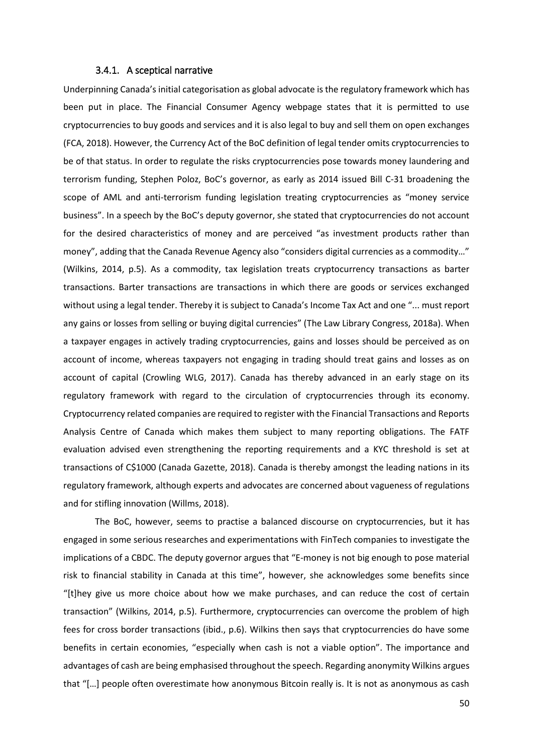#### 3.4.1. A sceptical narrative

Underpinning Canada's initial categorisation as global advocate is the regulatory framework which has been put in place. The Financial Consumer Agency webpage states that it is permitted to use cryptocurrencies to buy goods and services and it is also legal to buy and sell them on open exchanges (FCA, 2018). However, the Currency Act of the BoC definition of legal tender omits cryptocurrencies to be of that status. In order to regulate the risks cryptocurrencies pose towards money laundering and terrorism funding, Stephen Poloz, BoC's governor, as early as 2014 issued Bill C-31 broadening the scope of AML and anti-terrorism funding legislation treating cryptocurrencies as "money service business". In a speech by the BoC's deputy governor, she stated that cryptocurrencies do not account for the desired characteristics of money and are perceived "as investment products rather than money", adding that the Canada Revenue Agency also "considers digital currencies as a commodity…" (Wilkins, 2014, p.5). As a commodity, tax legislation treats cryptocurrency transactions as barter transactions. Barter transactions are transactions in which there are goods or services exchanged without using a legal tender. Thereby it is subject to Canada's Income Tax Act and one "... must report any gains or losses from selling or buying digital currencies" (The Law Library Congress, 2018a). When a taxpayer engages in actively trading cryptocurrencies, gains and losses should be perceived as on account of income, whereas taxpayers not engaging in trading should treat gains and losses as on account of capital (Crowling WLG, 2017). Canada has thereby advanced in an early stage on its regulatory framework with regard to the circulation of cryptocurrencies through its economy. Cryptocurrency related companies are required to register with the Financial Transactions and Reports Analysis Centre of Canada which makes them subject to many reporting obligations. The FATF evaluation advised even strengthening the reporting requirements and a KYC threshold is set at transactions of C\$1000 (Canada Gazette, 2018). Canada is thereby amongst the leading nations in its regulatory framework, although experts and advocates are concerned about vagueness of regulations and for stifling innovation (Willms, 2018).

The BoC, however, seems to practise a balanced discourse on cryptocurrencies, but it has engaged in some serious researches and experimentations with FinTech companies to investigate the implications of a CBDC. The deputy governor argues that "E-money is not big enough to pose material risk to financial stability in Canada at this time", however, she acknowledges some benefits since "[t]hey give us more choice about how we make purchases, and can reduce the cost of certain transaction" (Wilkins, 2014, p.5). Furthermore, cryptocurrencies can overcome the problem of high fees for cross border transactions (ibid., p.6). Wilkins then says that cryptocurrencies do have some benefits in certain economies, "especially when cash is not a viable option". The importance and advantages of cash are being emphasised throughout the speech. Regarding anonymity Wilkins argues that "[…] people often overestimate how anonymous Bitcoin really is. It is not as anonymous as cash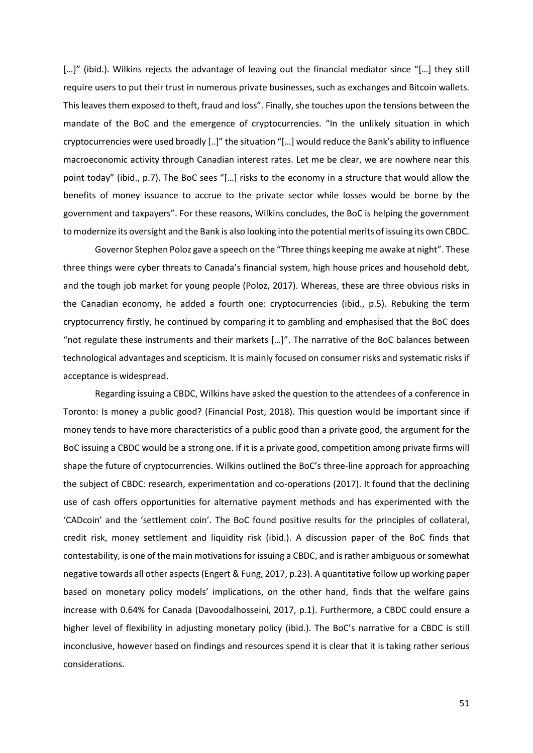[...]" (ibid.). Wilkins rejects the advantage of leaving out the financial mediator since "[...] they still require users to put their trust in numerous private businesses, such as exchanges and Bitcoin wallets. This leaves them exposed to theft, fraud and loss". Finally, she touches upon the tensions between the mandate of the BoC and the emergence of cryptocurrencies. "In the unlikely situation in which cryptocurrencies were used broadly [..]" the situation "[…] would reduce the Bank's ability to influence macroeconomic activity through Canadian interest rates. Let me be clear, we are nowhere near this point today" (ibid., p.7). The BoC sees "[…] risks to the economy in a structure that would allow the benefits of money issuance to accrue to the private sector while losses would be borne by the government and taxpayers". For these reasons, Wilkins concludes, the BoC is helping the government to modernize its oversight and the Bank is also looking into the potential merits of issuing its own CBDC.

Governor Stephen Poloz gave a speech on the "Three things keeping me awake at night". These three things were cyber threats to Canada's financial system, high house prices and household debt, and the tough job market for young people (Poloz, 2017). Whereas, these are three obvious risks in the Canadian economy, he added a fourth one: cryptocurrencies (ibid., p.5). Rebuking the term cryptocurrency firstly, he continued by comparing it to gambling and emphasised that the BoC does "not regulate these instruments and their markets […]". The narrative of the BoC balances between technological advantages and scepticism. It is mainly focused on consumer risks and systematic risks if acceptance is widespread.

Regarding issuing a CBDC, Wilkins have asked the question to the attendees of a conference in Toronto: Is money a public good? (Financial Post, 2018). This question would be important since if money tends to have more characteristics of a public good than a private good, the argument for the BoC issuing a CBDC would be a strong one. If it is a private good, competition among private firms will shape the future of cryptocurrencies. Wilkins outlined the BoC's three-line approach for approaching the subject of CBDC: research, experimentation and co-operations (2017). It found that the declining use of cash offers opportunities for alternative payment methods and has experimented with the 'CADcoin' and the 'settlement coin'. The BoC found positive results for the principles of collateral, credit risk, money settlement and liquidity risk (ibid.). A discussion paper of the BoC finds that contestability, is one of the main motivations for issuing a CBDC, and is rather ambiguous or somewhat negative towards all other aspects (Engert & Fung, 2017, p.23). A quantitative follow up working paper based on monetary policy models' implications, on the other hand, finds that the welfare gains increase with 0.64% for Canada (Davoodalhosseini, 2017, p.1). Furthermore, a CBDC could ensure a higher level of flexibility in adjusting monetary policy (ibid.). The BoC's narrative for a CBDC is still inconclusive, however based on findings and resources spend it is clear that it is taking rather serious considerations.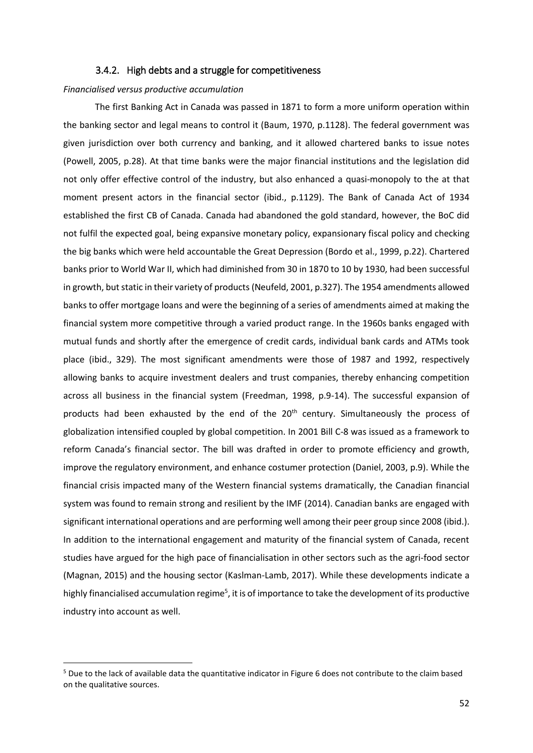# 3.4.2. High debts and a struggle for competitiveness

#### *Financialised versus productive accumulation*

The first Banking Act in Canada was passed in 1871 to form a more uniform operation within the banking sector and legal means to control it (Baum, 1970, p.1128). The federal government was given jurisdiction over both currency and banking, and it allowed chartered banks to issue notes (Powell, 2005, p.28). At that time banks were the major financial institutions and the legislation did not only offer effective control of the industry, but also enhanced a quasi-monopoly to the at that moment present actors in the financial sector (ibid., p.1129). The Bank of Canada Act of 1934 established the first CB of Canada. Canada had abandoned the gold standard, however, the BoC did not fulfil the expected goal, being expansive monetary policy, expansionary fiscal policy and checking the big banks which were held accountable the Great Depression (Bordo et al., 1999, p.22). Chartered banks prior to World War II, which had diminished from 30 in 1870 to 10 by 1930, had been successful in growth, but static in their variety of products(Neufeld, 2001, p.327). The 1954 amendments allowed banks to offer mortgage loans and were the beginning of a series of amendments aimed at making the financial system more competitive through a varied product range. In the 1960s banks engaged with mutual funds and shortly after the emergence of credit cards, individual bank cards and ATMs took place (ibid., 329). The most significant amendments were those of 1987 and 1992, respectively allowing banks to acquire investment dealers and trust companies, thereby enhancing competition across all business in the financial system (Freedman, 1998, p.9-14). The successful expansion of products had been exhausted by the end of the 20<sup>th</sup> century. Simultaneously the process of globalization intensified coupled by global competition. In 2001 Bill C-8 was issued as a framework to reform Canada's financial sector. The bill was drafted in order to promote efficiency and growth, improve the regulatory environment, and enhance costumer protection (Daniel, 2003, p.9). While the financial crisis impacted many of the Western financial systems dramatically, the Canadian financial system was found to remain strong and resilient by the IMF (2014). Canadian banks are engaged with significant international operations and are performing well among their peer group since 2008 (ibid.). In addition to the international engagement and maturity of the financial system of Canada, recent studies have argued for the high pace of financialisation in other sectors such as the agri-food sector (Magnan, 2015) and the housing sector (Kaslman-Lamb, 2017). While these developments indicate a highly financialised accumulation regime<sup>5</sup>, it is of importance to take the development of its productive industry into account as well.

**.** 

 $5$  Due to the lack of available data the quantitative indicator in Figure 6 does not contribute to the claim based on the qualitative sources.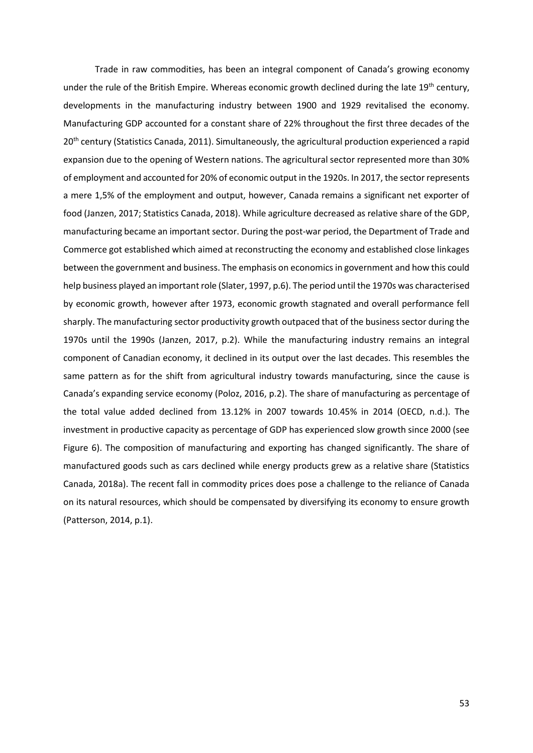Trade in raw commodities, has been an integral component of Canada's growing economy under the rule of the British Empire. Whereas economic growth declined during the late  $19<sup>th</sup>$  century, developments in the manufacturing industry between 1900 and 1929 revitalised the economy. Manufacturing GDP accounted for a constant share of 22% throughout the first three decades of the 20<sup>th</sup> century (Statistics Canada, 2011). Simultaneously, the agricultural production experienced a rapid expansion due to the opening of Western nations. The agricultural sector represented more than 30% of employment and accounted for 20% of economic output in the 1920s. In 2017, the sector represents a mere 1,5% of the employment and output, however, Canada remains a significant net exporter of food (Janzen, 2017; Statistics Canada, 2018). While agriculture decreased as relative share of the GDP, manufacturing became an important sector. During the post-war period, the Department of Trade and Commerce got established which aimed at reconstructing the economy and established close linkages between the government and business. The emphasis on economics in government and how this could help business played an important role (Slater, 1997, p.6). The period until the 1970s was characterised by economic growth, however after 1973, economic growth stagnated and overall performance fell sharply. The manufacturing sector productivity growth outpaced that of the business sector during the 1970s until the 1990s (Janzen, 2017, p.2). While the manufacturing industry remains an integral component of Canadian economy, it declined in its output over the last decades. This resembles the same pattern as for the shift from agricultural industry towards manufacturing, since the cause is Canada's expanding service economy (Poloz, 2016, p.2). The share of manufacturing as percentage of the total value added declined from 13.12% in 2007 towards 10.45% in 2014 (OECD, n.d.). The investment in productive capacity as percentage of GDP has experienced slow growth since 2000 (see Figure 6). The composition of manufacturing and exporting has changed significantly. The share of manufactured goods such as cars declined while energy products grew as a relative share (Statistics Canada, 2018a). The recent fall in commodity prices does pose a challenge to the reliance of Canada on its natural resources, which should be compensated by diversifying its economy to ensure growth (Patterson, 2014, p.1).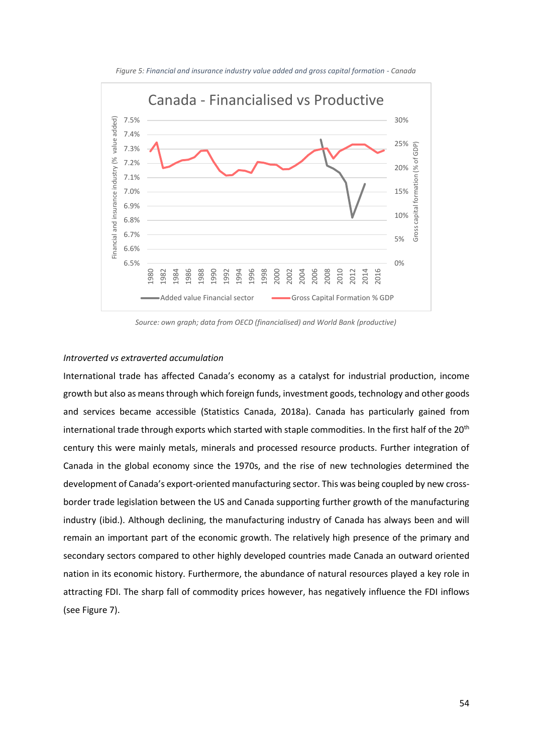

*Figure 5: Financial and insurance industry value added and gross capital formation - Canada*

*Source: own graph; data from OECD (financialised) and World Bank (productive)*

### *Introverted vs extraverted accumulation*

International trade has affected Canada's economy as a catalyst for industrial production, income growth but also as means through which foreign funds, investment goods, technology and other goods and services became accessible (Statistics Canada, 2018a). Canada has particularly gained from international trade through exports which started with staple commodities. In the first half of the 20<sup>th</sup> century this were mainly metals, minerals and processed resource products. Further integration of Canada in the global economy since the 1970s, and the rise of new technologies determined the development of Canada's export-oriented manufacturing sector. This was being coupled by new crossborder trade legislation between the US and Canada supporting further growth of the manufacturing industry (ibid.). Although declining, the manufacturing industry of Canada has always been and will remain an important part of the economic growth. The relatively high presence of the primary and secondary sectors compared to other highly developed countries made Canada an outward oriented nation in its economic history. Furthermore, the abundance of natural resources played a key role in attracting FDI. The sharp fall of commodity prices however, has negatively influence the FDI inflows (see Figure 7).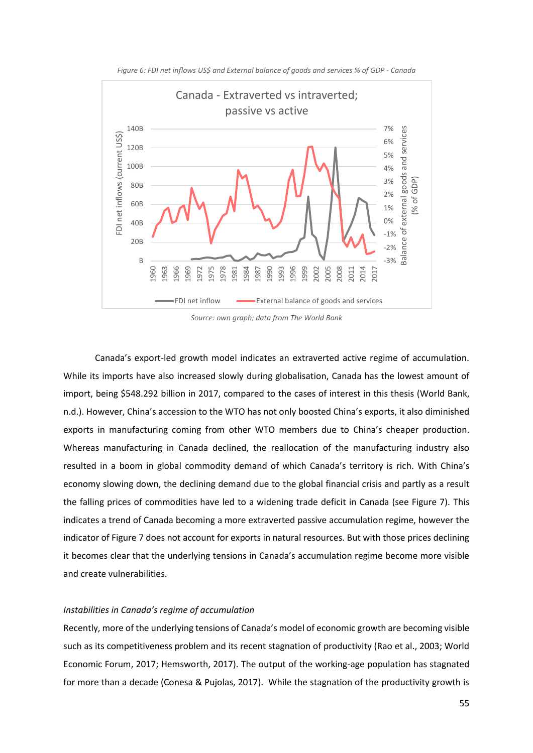

*Figure 6: FDI net inflows US\$ and External balance of goods and services % of GDP - Canada*

*Source: own graph; data from The World Bank*

Canada's export-led growth model indicates an extraverted active regime of accumulation. While its imports have also increased slowly during globalisation, Canada has the lowest amount of import, being \$548.292 billion in 2017, compared to the cases of interest in this thesis (World Bank, n.d.). However, China's accession to the WTO has not only boosted China's exports, it also diminished exports in manufacturing coming from other WTO members due to China's cheaper production. Whereas manufacturing in Canada declined, the reallocation of the manufacturing industry also resulted in a boom in global commodity demand of which Canada's territory is rich. With China's economy slowing down, the declining demand due to the global financial crisis and partly as a result the falling prices of commodities have led to a widening trade deficit in Canada (see Figure 7). This indicates a trend of Canada becoming a more extraverted passive accumulation regime, however the indicator of Figure 7 does not account for exports in natural resources. But with those prices declining it becomes clear that the underlying tensions in Canada's accumulation regime become more visible and create vulnerabilities.

# *Instabilities in Canada's regime of accumulation*

Recently, more of the underlying tensions of Canada's model of economic growth are becoming visible such as its competitiveness problem and its recent stagnation of productivity (Rao et al., 2003; World Economic Forum, 2017; Hemsworth, 2017). The output of the working-age population has stagnated for more than a decade (Conesa & Pujolas, 2017). While the stagnation of the productivity growth is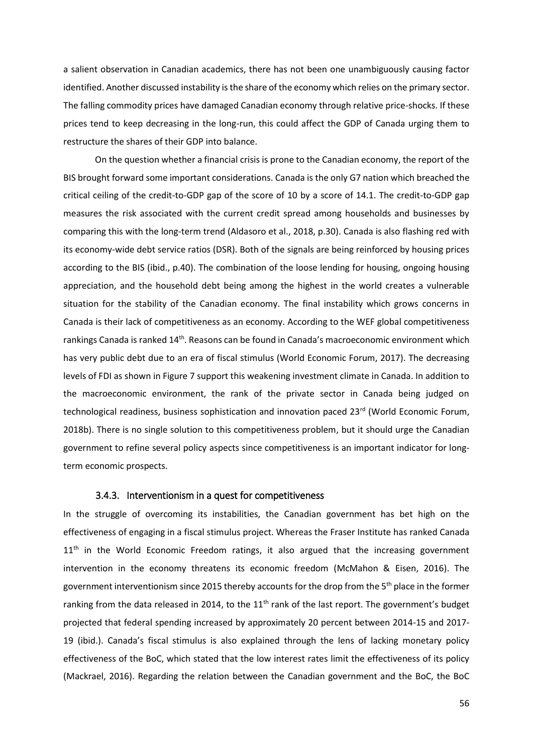a salient observation in Canadian academics, there has not been one unambiguously causing factor identified. Another discussed instability is the share of the economy which relies on the primary sector. The falling commodity prices have damaged Canadian economy through relative price-shocks. If these prices tend to keep decreasing in the long-run, this could affect the GDP of Canada urging them to restructure the shares of their GDP into balance.

On the question whether a financial crisis is prone to the Canadian economy, the report of the BIS brought forward some important considerations. Canada is the only G7 nation which breached the critical ceiling of the credit-to-GDP gap of the score of 10 by a score of 14.1. The credit-to-GDP gap measures the risk associated with the current credit spread among households and businesses by comparing this with the long-term trend (Aldasoro et al., 2018, p.30). Canada is also flashing red with its economy-wide debt service ratios (DSR). Both of the signals are being reinforced by housing prices according to the BIS (ibid., p.40). The combination of the loose lending for housing, ongoing housing appreciation, and the household debt being among the highest in the world creates a vulnerable situation for the stability of the Canadian economy. The final instability which grows concerns in Canada is their lack of competitiveness as an economy. According to the WEF global competitiveness rankings Canada is ranked 14<sup>th</sup>. Reasons can be found in Canada's macroeconomic environment which has very public debt due to an era of fiscal stimulus (World Economic Forum, 2017). The decreasing levels of FDI as shown in Figure 7 support this weakening investment climate in Canada. In addition to the macroeconomic environment, the rank of the private sector in Canada being judged on technological readiness, business sophistication and innovation paced 23<sup>rd</sup> (World Economic Forum, 2018b). There is no single solution to this competitiveness problem, but it should urge the Canadian government to refine several policy aspects since competitiveness is an important indicator for longterm economic prospects.

# 3.4.3. Interventionism in a quest for competitiveness

In the struggle of overcoming its instabilities, the Canadian government has bet high on the effectiveness of engaging in a fiscal stimulus project. Whereas the Fraser Institute has ranked Canada  $11<sup>th</sup>$  in the World Economic Freedom ratings, it also argued that the increasing government intervention in the economy threatens its economic freedom (McMahon & Eisen, 2016). The government interventionism since 2015 thereby accounts for the drop from the 5<sup>th</sup> place in the former ranking from the data released in 2014, to the  $11<sup>th</sup>$  rank of the last report. The government's budget projected that federal spending increased by approximately 20 percent between 2014-15 and 2017- 19 (ibid.). Canada's fiscal stimulus is also explained through the lens of lacking monetary policy effectiveness of the BoC, which stated that the low interest rates limit the effectiveness of its policy (Mackrael, 2016). Regarding the relation between the Canadian government and the BoC, the BoC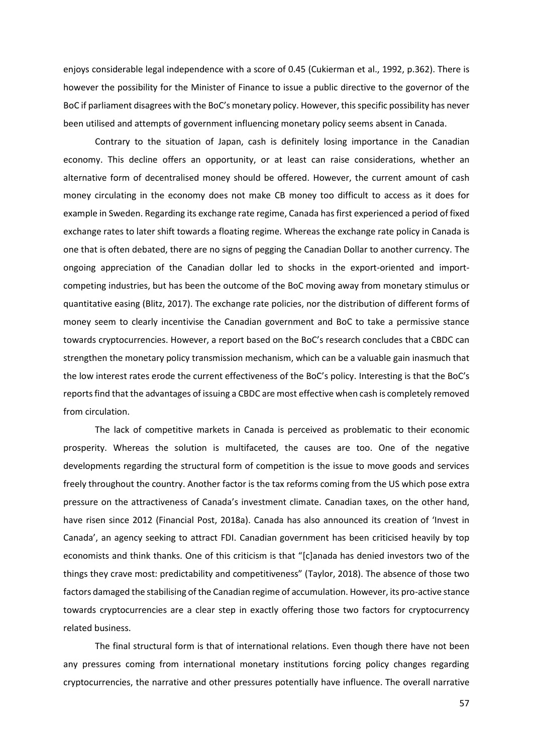enjoys considerable legal independence with a score of 0.45 (Cukierman et al., 1992, p.362). There is however the possibility for the Minister of Finance to issue a public directive to the governor of the BoC if parliament disagrees with the BoC's monetary policy. However, this specific possibility has never been utilised and attempts of government influencing monetary policy seems absent in Canada.

Contrary to the situation of Japan, cash is definitely losing importance in the Canadian economy. This decline offers an opportunity, or at least can raise considerations, whether an alternative form of decentralised money should be offered. However, the current amount of cash money circulating in the economy does not make CB money too difficult to access as it does for example in Sweden. Regarding its exchange rate regime, Canada has first experienced a period of fixed exchange rates to later shift towards a floating regime. Whereas the exchange rate policy in Canada is one that is often debated, there are no signs of pegging the Canadian Dollar to another currency. The ongoing appreciation of the Canadian dollar led to shocks in the export-oriented and importcompeting industries, but has been the outcome of the BoC moving away from monetary stimulus or quantitative easing (Blitz, 2017). The exchange rate policies, nor the distribution of different forms of money seem to clearly incentivise the Canadian government and BoC to take a permissive stance towards cryptocurrencies. However, a report based on the BoC's research concludes that a CBDC can strengthen the monetary policy transmission mechanism, which can be a valuable gain inasmuch that the low interest rates erode the current effectiveness of the BoC's policy. Interesting is that the BoC's reports find that the advantages of issuing a CBDC are most effective when cash is completely removed from circulation.

The lack of competitive markets in Canada is perceived as problematic to their economic prosperity. Whereas the solution is multifaceted, the causes are too. One of the negative developments regarding the structural form of competition is the issue to move goods and services freely throughout the country. Another factor is the tax reforms coming from the US which pose extra pressure on the attractiveness of Canada's investment climate. Canadian taxes, on the other hand, have risen since 2012 (Financial Post, 2018a). Canada has also announced its creation of 'Invest in Canada', an agency seeking to attract FDI. Canadian government has been criticised heavily by top economists and think thanks. One of this criticism is that "[c]anada has denied investors two of the things they crave most: predictability and competitiveness" (Taylor, 2018). The absence of those two factors damaged the stabilising of the Canadian regime of accumulation. However, its pro-active stance towards cryptocurrencies are a clear step in exactly offering those two factors for cryptocurrency related business.

The final structural form is that of international relations. Even though there have not been any pressures coming from international monetary institutions forcing policy changes regarding cryptocurrencies, the narrative and other pressures potentially have influence. The overall narrative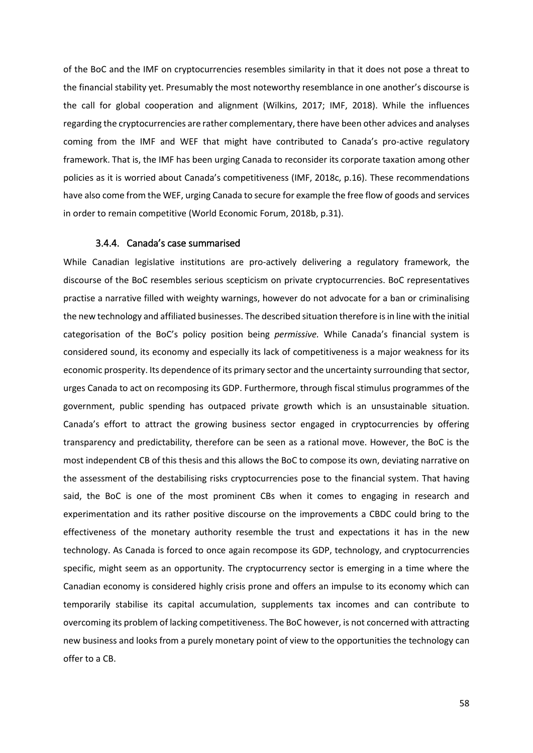of the BoC and the IMF on cryptocurrencies resembles similarity in that it does not pose a threat to the financial stability yet. Presumably the most noteworthy resemblance in one another's discourse is the call for global cooperation and alignment (Wilkins, 2017; IMF, 2018). While the influences regarding the cryptocurrencies are rather complementary, there have been other advices and analyses coming from the IMF and WEF that might have contributed to Canada's pro-active regulatory framework. That is, the IMF has been urging Canada to reconsider its corporate taxation among other policies as it is worried about Canada's competitiveness (IMF, 2018c, p.16). These recommendations have also come from the WEF, urging Canada to secure for example the free flow of goods and services in order to remain competitive (World Economic Forum, 2018b, p.31).

## 3.4.4. Canada's case summarised

While Canadian legislative institutions are pro-actively delivering a regulatory framework, the discourse of the BoC resembles serious scepticism on private cryptocurrencies. BoC representatives practise a narrative filled with weighty warnings, however do not advocate for a ban or criminalising the new technology and affiliated businesses. The described situation therefore is in line with the initial categorisation of the BoC's policy position being *permissive.* While Canada's financial system is considered sound, its economy and especially its lack of competitiveness is a major weakness for its economic prosperity. Its dependence of its primary sector and the uncertainty surrounding that sector, urges Canada to act on recomposing its GDP. Furthermore, through fiscal stimulus programmes of the government, public spending has outpaced private growth which is an unsustainable situation. Canada's effort to attract the growing business sector engaged in cryptocurrencies by offering transparency and predictability, therefore can be seen as a rational move. However, the BoC is the most independent CB of this thesis and this allows the BoC to compose its own, deviating narrative on the assessment of the destabilising risks cryptocurrencies pose to the financial system. That having said, the BoC is one of the most prominent CBs when it comes to engaging in research and experimentation and its rather positive discourse on the improvements a CBDC could bring to the effectiveness of the monetary authority resemble the trust and expectations it has in the new technology. As Canada is forced to once again recompose its GDP, technology, and cryptocurrencies specific, might seem as an opportunity. The cryptocurrency sector is emerging in a time where the Canadian economy is considered highly crisis prone and offers an impulse to its economy which can temporarily stabilise its capital accumulation, supplements tax incomes and can contribute to overcoming its problem of lacking competitiveness. The BoC however, is not concerned with attracting new business and looks from a purely monetary point of view to the opportunities the technology can offer to a CB.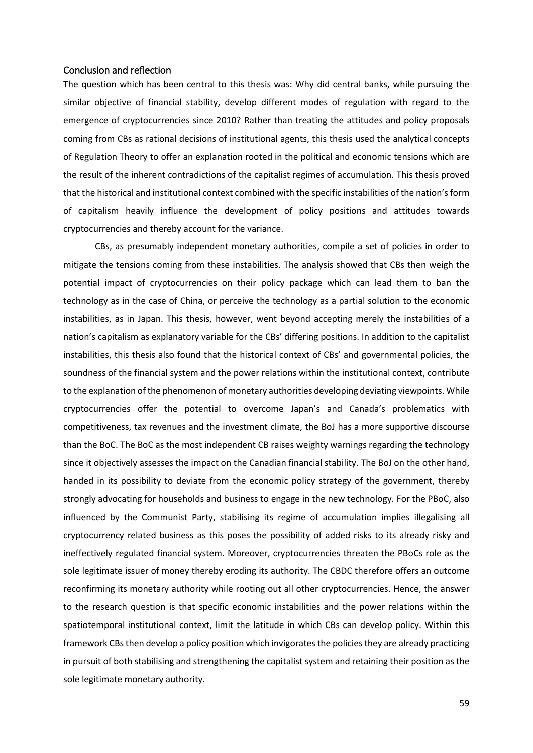# Conclusion and reflection

The question which has been central to this thesis was: Why did central banks, while pursuing the similar objective of financial stability, develop different modes of regulation with regard to the emergence of cryptocurrencies since 2010? Rather than treating the attitudes and policy proposals coming from CBs as rational decisions of institutional agents, this thesis used the analytical concepts of Regulation Theory to offer an explanation rooted in the political and economic tensions which are the result of the inherent contradictions of the capitalist regimes of accumulation. This thesis proved that the historical and institutional context combined with the specific instabilities of the nation's form of capitalism heavily influence the development of policy positions and attitudes towards cryptocurrencies and thereby account for the variance.

CBs, as presumably independent monetary authorities, compile a set of policies in order to mitigate the tensions coming from these instabilities. The analysis showed that CBs then weigh the potential impact of cryptocurrencies on their policy package which can lead them to ban the technology as in the case of China, or perceive the technology as a partial solution to the economic instabilities, as in Japan. This thesis, however, went beyond accepting merely the instabilities of a nation's capitalism as explanatory variable for the CBs' differing positions. In addition to the capitalist instabilities, this thesis also found that the historical context of CBs' and governmental policies, the soundness of the financial system and the power relations within the institutional context, contribute to the explanation of the phenomenon of monetary authorities developing deviating viewpoints. While cryptocurrencies offer the potential to overcome Japan's and Canada's problematics with competitiveness, tax revenues and the investment climate, the BoJ has a more supportive discourse than the BoC. The BoC as the most independent CB raises weighty warnings regarding the technology since it objectively assesses the impact on the Canadian financial stability. The BoJ on the other hand, handed in its possibility to deviate from the economic policy strategy of the government, thereby strongly advocating for households and business to engage in the new technology. For the PBoC, also influenced by the Communist Party, stabilising its regime of accumulation implies illegalising all cryptocurrency related business as this poses the possibility of added risks to its already risky and ineffectively regulated financial system. Moreover, cryptocurrencies threaten the PBoCs role as the sole legitimate issuer of money thereby eroding its authority. The CBDC therefore offers an outcome reconfirming its monetary authority while rooting out all other cryptocurrencies. Hence, the answer to the research question is that specific economic instabilities and the power relations within the spatiotemporal institutional context, limit the latitude in which CBs can develop policy. Within this framework CBs then develop a policy position which invigoratesthe policies they are already practicing in pursuit of both stabilising and strengthening the capitalist system and retaining their position as the sole legitimate monetary authority.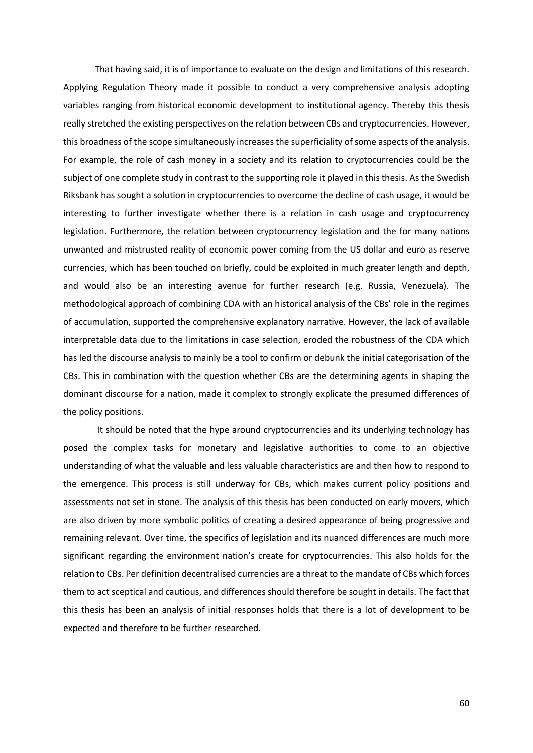That having said, it is of importance to evaluate on the design and limitations of this research. Applying Regulation Theory made it possible to conduct a very comprehensive analysis adopting variables ranging from historical economic development to institutional agency. Thereby this thesis really stretched the existing perspectives on the relation between CBs and cryptocurrencies. However, this broadness of the scope simultaneously increases the superficiality of some aspects of the analysis. For example, the role of cash money in a society and its relation to cryptocurrencies could be the subject of one complete study in contrast to the supporting role it played in this thesis. As the Swedish Riksbank has sought a solution in cryptocurrencies to overcome the decline of cash usage, it would be interesting to further investigate whether there is a relation in cash usage and cryptocurrency legislation. Furthermore, the relation between cryptocurrency legislation and the for many nations unwanted and mistrusted reality of economic power coming from the US dollar and euro as reserve currencies, which has been touched on briefly, could be exploited in much greater length and depth, and would also be an interesting avenue for further research (e.g. Russia, Venezuela). The methodological approach of combining CDA with an historical analysis of the CBs' role in the regimes of accumulation, supported the comprehensive explanatory narrative. However, the lack of available interpretable data due to the limitations in case selection, eroded the robustness of the CDA which has led the discourse analysis to mainly be a tool to confirm or debunk the initial categorisation of the CBs. This in combination with the question whether CBs are the determining agents in shaping the dominant discourse for a nation, made it complex to strongly explicate the presumed differences of the policy positions.

It should be noted that the hype around cryptocurrencies and its underlying technology has posed the complex tasks for monetary and legislative authorities to come to an objective understanding of what the valuable and less valuable characteristics are and then how to respond to the emergence. This process is still underway for CBs, which makes current policy positions and assessments not set in stone. The analysis of this thesis has been conducted on early movers, which are also driven by more symbolic politics of creating a desired appearance of being progressive and remaining relevant. Over time, the specifics of legislation and its nuanced differences are much more significant regarding the environment nation's create for cryptocurrencies. This also holds for the relation to CBs. Per definition decentralised currencies are a threat to the mandate of CBs which forces them to act sceptical and cautious, and differences should therefore be sought in details. The fact that this thesis has been an analysis of initial responses holds that there is a lot of development to be expected and therefore to be further researched.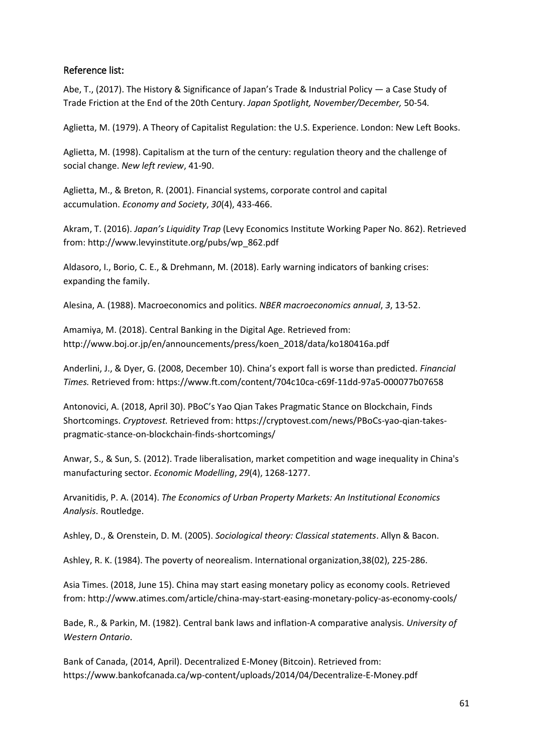# Reference list:

Abe, T., (2017). The History & Significance of Japan's Trade & Industrial Policy — a Case Study of Trade Friction at the End of the 20th Century. *Japan Spotlight, November/December,* 50-54*.* 

Aglietta, M. (1979). A Theory of Capitalist Regulation: the U.S. Experience. London: New Left Books.

Aglietta, M. (1998). Capitalism at the turn of the century: regulation theory and the challenge of social change. *New left review*, 41-90.

Aglietta, M., & Breton, R. (2001). Financial systems, corporate control and capital accumulation. *Economy and Society*, *30*(4), 433-466.

Akram, T. (2016). *Japan's Liquidity Trap* (Levy Economics Institute Working Paper No. 862). Retrieved from: [http://www.levyinstitute.org/pubs/wp\\_862.pdf](http://www.levyinstitute.org/pubs/wp_862.pdf) 

Aldasoro, I., Borio, C. E., & Drehmann, M. (2018). Early warning indicators of banking crises: expanding the family.

Alesina, A. (1988). Macroeconomics and politics. *NBER macroeconomics annual*, *3*, 13-52.

Amamiya, M. (2018). Central Banking in the Digital Age. Retrieved from: [http://www.boj.or.jp/en/announcements/press/koen\\_2018/data/ko180416a.pdf](http://www.boj.or.jp/en/announcements/press/koen_2018/data/ko180416a.pdf)

Anderlini, J., & Dyer, G. (2008, December 10). China's export fall is worse than predicted. *Financial Times.* Retrieved from:<https://www.ft.com/content/704c10ca-c69f-11dd-97a5-000077b07658>

Antonovici, A. (2018, April 30). PBoC's Yao Qian Takes Pragmatic Stance on Blockchain, Finds Shortcomings. *Cryptovest.* Retrieved from: [https://cryptovest.com/news/PBoCs-yao-qian-takes](https://cryptovest.com/news/pbocs-yao-qian-takes-pragmatic-stance-on-blockchain-finds-shortcomings/)[pragmatic-stance-on-blockchain-finds-shortcomings/](https://cryptovest.com/news/pbocs-yao-qian-takes-pragmatic-stance-on-blockchain-finds-shortcomings/)

Anwar, S., & Sun, S. (2012). Trade liberalisation, market competition and wage inequality in China's manufacturing sector. *Economic Modelling*, *29*(4), 1268-1277.

Arvanitidis, P. A. (2014). *The Economics of Urban Property Markets: An Institutional Economics Analysis*. Routledge.

Ashley, D., & Orenstein, D. M. (2005). *Sociological theory: Classical statements*. Allyn & Bacon.

Ashley, R. K. (1984). The poverty of neorealism. International organization,38(02), 225-286.

Asia Times. (2018, June 15). China may start easing monetary policy as economy cools. Retrieved from:<http://www.atimes.com/article/china-may-start-easing-monetary-policy-as-economy-cools/>

Bade, R., & Parkin, M. (1982). Central bank laws and inflation-A comparative analysis. *University of Western Ontario*.

Bank of Canada, (2014, April). Decentralized E-Money (Bitcoin). Retrieved from: <https://www.bankofcanada.ca/wp-content/uploads/2014/04/Decentralize-E-Money.pdf>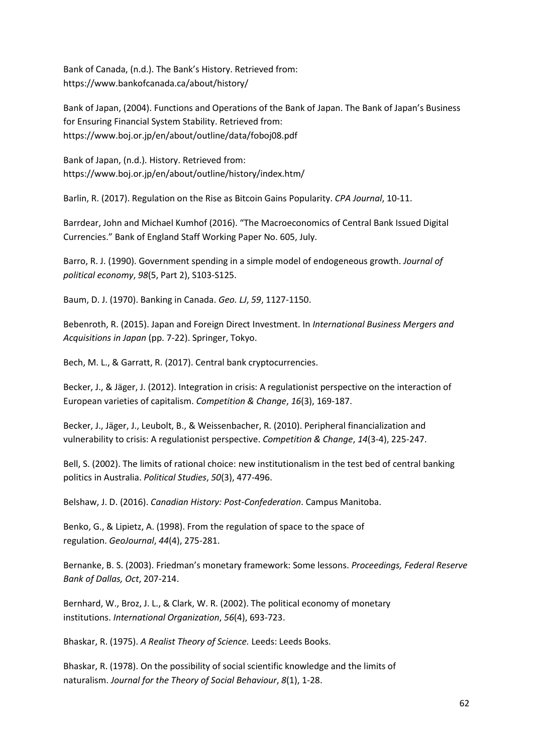Bank of Canada, (n.d.). The Bank's History. Retrieved from: <https://www.bankofcanada.ca/about/history/>

Bank of Japan, (2004). Functions and Operations of the Bank of Japan. The Bank of Japan's Business for Ensuring Financial System Stability. Retrieved from: <https://www.boj.or.jp/en/about/outline/data/foboj08.pdf>

Bank of Japan, (n.d.). History. Retrieved from: <https://www.boj.or.jp/en/about/outline/history/index.htm/>

Barlin, R. (2017). Regulation on the Rise as Bitcoin Gains Popularity. *CPA Journal*, 10-11.

Barrdear, John and Michael Kumhof (2016). "The Macroeconomics of Central Bank Issued Digital Currencies." Bank of England Staff Working Paper No. 605, July.

Barro, R. J. (1990). Government spending in a simple model of endogeneous growth. *Journal of political economy*, *98*(5, Part 2), S103-S125.

Baum, D. J. (1970). Banking in Canada. *Geo. LJ*, *59*, 1127-1150.

Bebenroth, R. (2015). Japan and Foreign Direct Investment. In *International Business Mergers and Acquisitions in Japan* (pp. 7-22). Springer, Tokyo.

Bech, M. L., & Garratt, R. (2017). Central bank cryptocurrencies.

Becker, J., & Jäger, J. (2012). Integration in crisis: A regulationist perspective on the interaction of European varieties of capitalism. *Competition & Change*, *16*(3), 169-187.

Becker, J., Jäger, J., Leubolt, B., & Weissenbacher, R. (2010). Peripheral financialization and vulnerability to crisis: A regulationist perspective. *Competition & Change*, *14*(3-4), 225-247.

Bell, S. (2002). The limits of rational choice: new institutionalism in the test bed of central banking politics in Australia. *Political Studies*, *50*(3), 477-496.

Belshaw, J. D. (2016). *Canadian History: Post-Confederation*. Campus Manitoba.

Benko, G., & Lipietz, A. (1998). From the regulation of space to the space of regulation. *GeoJournal*, *44*(4), 275-281.

Bernanke, B. S. (2003). Friedman's monetary framework: Some lessons. *Proceedings, Federal Reserve Bank of Dallas, Oct*, 207-214.

Bernhard, W., Broz, J. L., & Clark, W. R. (2002). The political economy of monetary institutions. *International Organization*, *56*(4), 693-723.

Bhaskar, R. (1975). *A Realist Theory of Science.* Leeds: Leeds Books.

Bhaskar, R. (1978). On the possibility of social scientific knowledge and the limits of naturalism. *Journal for the Theory of Social Behaviour*, *8*(1), 1-28.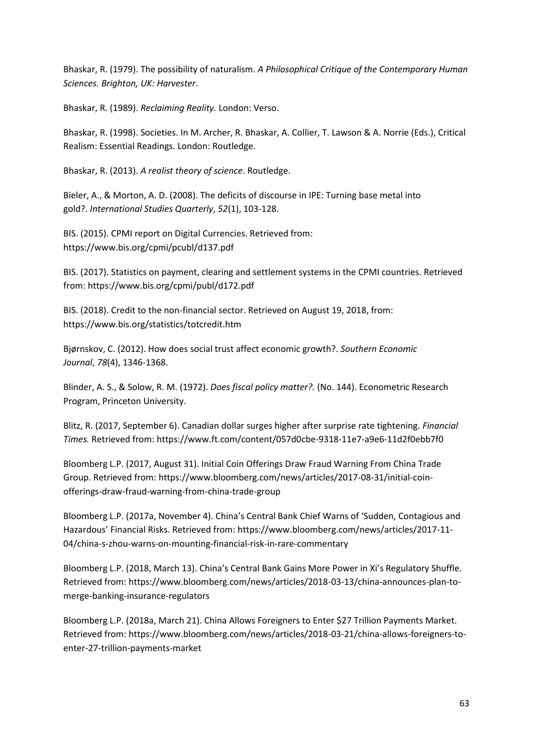Bhaskar, R. (1979). The possibility of naturalism. *A Philosophical Critique of the Contemporary Human Sciences. Brighton, UK: Harvester*.

Bhaskar, R. (1989). *Reclaiming Reality.* London: Verso.

Bhaskar, R. (1998). Societies. In M. Archer, R. Bhaskar, A. Collier, T. Lawson & A. Norrie (Eds.), Critical Realism: Essential Readings. London: Routledge.

Bhaskar, R. (2013). *A realist theory of science*. Routledge.

Bieler, A., & Morton, A. D. (2008). The deficits of discourse in IPE: Turning base metal into gold?. *International Studies Quarterly*, *52*(1), 103-128.

BIS. (2015). CPMI report on Digital Currencies. Retrieved from: <https://www.bis.org/cpmi/pcubl/d137.pdf>

BIS. (2017). Statistics on payment, clearing and settlement systems in the CPMI countries. Retrieved from:<https://www.bis.org/cpmi/publ/d172.pdf>

BIS. (2018). Credit to the non-financial sector. Retrieved on August 19, 2018, from: <https://www.bis.org/statistics/totcredit.htm>

Bjørnskov, C. (2012). How does social trust affect economic growth?. *Southern Economic Journal*, *78*(4), 1346-1368.

Blinder, A. S., & Solow, R. M. (1972). *Does fiscal policy matter?.* (No. 144). Econometric Research Program, Princeton University.

Blitz, R. (2017, September 6). Canadian dollar surges higher after surprise rate tightening. *Financial Times.* Retrieved from:<https://www.ft.com/content/057d0cbe-9318-11e7-a9e6-11d2f0ebb7f0>

Bloomberg L.P. (2017, August 31). Initial Coin Offerings Draw Fraud Warning From China Trade Group. Retrieved from: [https://www.bloomberg.com/news/articles/2017-08-31/initial-coin](https://www.bloomberg.com/news/articles/2017-08-31/initial-coin-offerings-draw-fraud-warning-from-china-trade-group)[offerings-draw-fraud-warning-from-china-trade-group](https://www.bloomberg.com/news/articles/2017-08-31/initial-coin-offerings-draw-fraud-warning-from-china-trade-group)

Bloomberg L.P. (2017a, November 4). China's Central Bank Chief Warns of 'Sudden, Contagious and Hazardous' Financial Risks. Retrieved from: [https://www.bloomberg.com/news/articles/2017-11-](https://www.bloomberg.com/news/articles/2017-11-04/china-s-zhou-warns-on-mounting-financial-risk-in-rare-commentary) [04/china-s-zhou-warns-on-mounting-financial-risk-in-rare-commentary](https://www.bloomberg.com/news/articles/2017-11-04/china-s-zhou-warns-on-mounting-financial-risk-in-rare-commentary)

Bloomberg L.P. (2018, March 13). China's Central Bank Gains More Power in Xi's Regulatory Shuffle. Retrieved from[: https://www.bloomberg.com/news/articles/2018-03-13/china-announces-plan-to](https://www.bloomberg.com/news/articles/2018-03-13/china-announces-plan-to-merge-banking-insurance-regulators)[merge-banking-insurance-regulators](https://www.bloomberg.com/news/articles/2018-03-13/china-announces-plan-to-merge-banking-insurance-regulators)

Bloomberg L.P. (2018a, March 21). China Allows Foreigners to Enter \$27 Trillion Payments Market. Retrieved from[: https://www.bloomberg.com/news/articles/2018-03-21/china-allows-foreigners-to](https://www.bloomberg.com/news/articles/2018-03-21/china-allows-foreigners-to-enter-27-trillion-payments-market)[enter-27-trillion-payments-market](https://www.bloomberg.com/news/articles/2018-03-21/china-allows-foreigners-to-enter-27-trillion-payments-market)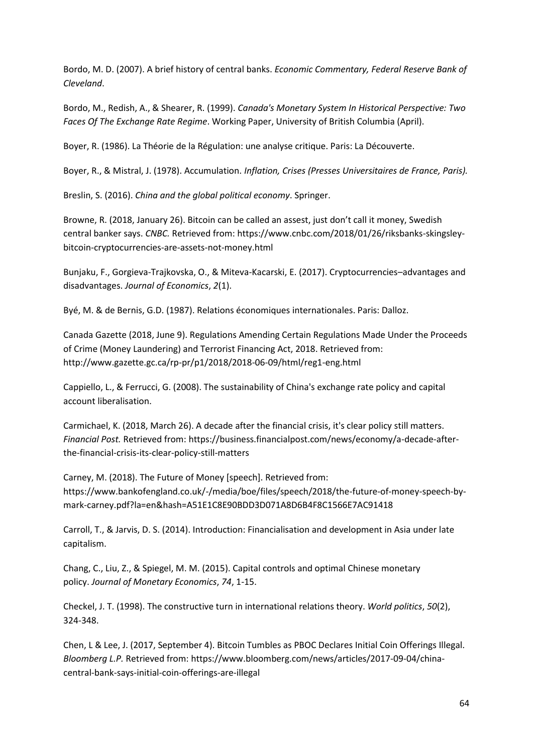Bordo, M. D. (2007). A brief history of central banks. *Economic Commentary, Federal Reserve Bank of Cleveland*.

Bordo, M., Redish, A., & Shearer, R. (1999). *Canada's Monetary System In Historical Perspective: Two Faces Of The Exchange Rate Regime*. Working Paper, University of British Columbia (April).

Boyer, R. (1986). La Théorie de la Régulation: une analyse critique. Paris: La Découverte.

Boyer, R., & Mistral, J. (1978). Accumulation. *Inflation, Crises (Presses Universitaires de France, Paris).*

Breslin, S. (2016). *China and the global political economy*. Springer.

Browne, R. (2018, January 26). Bitcoin can be called an assest, just don't call it money, Swedish central banker says. *CNBC.* Retrieved from: [https://www.cnbc.com/2018/01/26/riksbanks-skingsley](https://www.cnbc.com/2018/01/26/riksbanks-skingsley-bitcoin-cryptocurrencies-are-assets-not-money.html)[bitcoin-cryptocurrencies-are-assets-not-money.html](https://www.cnbc.com/2018/01/26/riksbanks-skingsley-bitcoin-cryptocurrencies-are-assets-not-money.html)

Bunjaku, F., Gorgieva-Trajkovska, O., & Miteva-Kacarski, E. (2017). Cryptocurrencies–advantages and disadvantages. *Journal of Economics*, *2*(1).

Byé, M. & de Bernis, G.D. (1987). Relations économiques internationales. Paris: Dalloz.

Canada Gazette (2018, June 9). Regulations Amending Certain Regulations Made Under the Proceeds of Crime (Money Laundering) and Terrorist Financing Act, 2018. Retrieved from: <http://www.gazette.gc.ca/rp-pr/p1/2018/2018-06-09/html/reg1-eng.html>

Cappiello, L., & Ferrucci, G. (2008). The sustainability of China's exchange rate policy and capital account liberalisation.

Carmichael, K. (2018, March 26). A decade after the financial crisis, it's clear policy still matters. *Financial Post.* Retrieved from[: https://business.financialpost.com/news/economy/a-decade-after](https://business.financialpost.com/news/economy/a-decade-after-the-financial-crisis-its-clear-policy-still-matters)[the-financial-crisis-its-clear-policy-still-matters](https://business.financialpost.com/news/economy/a-decade-after-the-financial-crisis-its-clear-policy-still-matters)

Carney, M. (2018). The Future of Money [speech]. Retrieved from: [https://www.bankofengland.co.uk/-/media/boe/files/speech/2018/the-future-of-money-speech-by](https://www.bankofengland.co.uk/-/media/boe/files/speech/2018/the-future-of-money-speech-by-mark-carney.pdf?la=en&hash=A51E1C8E90BDD3D071A8D6B4F8C1566E7AC91418)[mark-carney.pdf?la=en&hash=A51E1C8E90BDD3D071A8D6B4F8C1566E7AC91418](https://www.bankofengland.co.uk/-/media/boe/files/speech/2018/the-future-of-money-speech-by-mark-carney.pdf?la=en&hash=A51E1C8E90BDD3D071A8D6B4F8C1566E7AC91418) 

Carroll, T., & Jarvis, D. S. (2014). Introduction: Financialisation and development in Asia under late capitalism.

Chang, C., Liu, Z., & Spiegel, M. M. (2015). Capital controls and optimal Chinese monetary policy. *Journal of Monetary Economics*, *74*, 1-15.

Checkel, J. T. (1998). The constructive turn in international relations theory. *World politics*, *50*(2), 324-348.

Chen, L & Lee, J. (2017, September 4). Bitcoin Tumbles as PBOC Declares Initial Coin Offerings Illegal. *Bloomberg L.P.* Retrieved from: [https://www.bloomberg.com/news/articles/2017-09-04/china](https://www.bloomberg.com/news/articles/2017-09-04/china-central-bank-says-initial-coin-offerings-are-illegal)[central-bank-says-initial-coin-offerings-are-illegal](https://www.bloomberg.com/news/articles/2017-09-04/china-central-bank-says-initial-coin-offerings-are-illegal)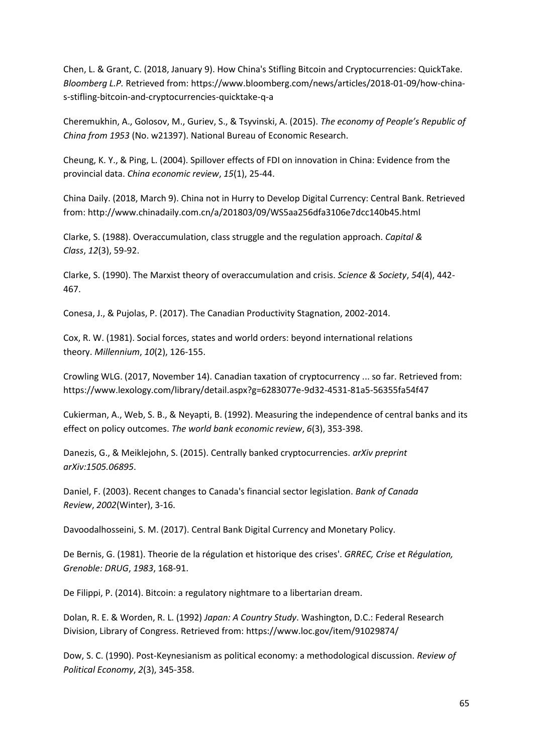Chen, L. & Grant, C. (2018, January 9). How China's Stifling Bitcoin and Cryptocurrencies: QuickTake. *Bloomberg L.P.* Retrieved from: [https://www.bloomberg.com/news/articles/2018-01-09/how-china](https://www.bloomberg.com/news/articles/2018-01-09/how-china-s-stifling-bitcoin-and-cryptocurrencies-quicktake-q-a)[s-stifling-bitcoin-and-cryptocurrencies-quicktake-q-a](https://www.bloomberg.com/news/articles/2018-01-09/how-china-s-stifling-bitcoin-and-cryptocurrencies-quicktake-q-a)

Cheremukhin, A., Golosov, M., Guriev, S., & Tsyvinski, A. (2015). *The economy of People's Republic of China from 1953* (No. w21397). National Bureau of Economic Research.

Cheung, K. Y., & Ping, L. (2004). Spillover effects of FDI on innovation in China: Evidence from the provincial data. *China economic review*, *15*(1), 25-44.

China Daily. (2018, March 9). China not in Hurry to Develop Digital Currency: Central Bank. Retrieved from:<http://www.chinadaily.com.cn/a/201803/09/WS5aa256dfa3106e7dcc140b45.html>

Clarke, S. (1988). Overaccumulation, class struggle and the regulation approach. *Capital & Class*, *12*(3), 59-92.

Clarke, S. (1990). The Marxist theory of overaccumulation and crisis. *Science & Society*, *54*(4), 442- 467.

Conesa, J., & Pujolas, P. (2017). The Canadian Productivity Stagnation, 2002-2014.

Cox, R. W. (1981). Social forces, states and world orders: beyond international relations theory. *Millennium*, *10*(2), 126-155.

Crowling WLG. (2017, November 14). Canadian taxation of cryptocurrency ... so far. Retrieved from: <https://www.lexology.com/library/detail.aspx?g=6283077e-9d32-4531-81a5-56355fa54f47>

Cukierman, A., Web, S. B., & Neyapti, B. (1992). Measuring the independence of central banks and its effect on policy outcomes. *The world bank economic review*, *6*(3), 353-398.

Danezis, G., & Meiklejohn, S. (2015). Centrally banked cryptocurrencies. *arXiv preprint arXiv:1505.06895*.

Daniel, F. (2003). Recent changes to Canada's financial sector legislation. *Bank of Canada Review*, *2002*(Winter), 3-16.

Davoodalhosseini, S. M. (2017). Central Bank Digital Currency and Monetary Policy.

De Bernis, G. (1981). Theorie de la régulation et historique des crises'. *GRREC, Crise et Régulation, Grenoble: DRUG*, *1983*, 168-91.

De Filippi, P. (2014). Bitcoin: a regulatory nightmare to a libertarian dream.

Dolan, R. E. & Worden, R. L. (1992) *Japan: A Country Study*. Washington, D.C.: Federal Research Division, Library of Congress. Retrieved from:<https://www.loc.gov/item/91029874/>

Dow, S. C. (1990). Post-Keynesianism as political economy: a methodological discussion. *Review of Political Economy*, *2*(3), 345-358.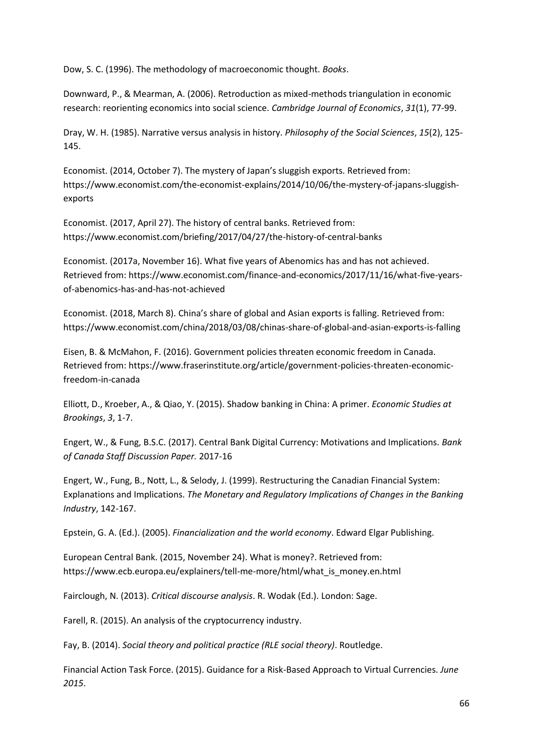Dow, S. C. (1996). The methodology of macroeconomic thought. *Books*.

Downward, P., & Mearman, A. (2006). Retroduction as mixed-methods triangulation in economic research: reorienting economics into social science. *Cambridge Journal of Economics*, *31*(1), 77-99.

Dray, W. H. (1985). Narrative versus analysis in history. *Philosophy of the Social Sciences*, *15*(2), 125- 145.

Economist. (2014, October 7). The mystery of Japan's sluggish exports. Retrieved from: [https://www.economist.com/the-economist-explains/2014/10/06/the-mystery-of-japans-sluggish](https://www.economist.com/the-economist-explains/2014/10/06/the-mystery-of-japans-sluggish-exports)[exports](https://www.economist.com/the-economist-explains/2014/10/06/the-mystery-of-japans-sluggish-exports)

Economist. (2017, April 27). The history of central banks. Retrieved from: <https://www.economist.com/briefing/2017/04/27/the-history-of-central-banks>

Economist. (2017a, November 16). What five years of Abenomics has and has not achieved. Retrieved from[: https://www.economist.com/finance-and-economics/2017/11/16/what-five-years](https://www.economist.com/finance-and-economics/2017/11/16/what-five-years-of-abenomics-has-and-has-not-achieved)[of-abenomics-has-and-has-not-achieved](https://www.economist.com/finance-and-economics/2017/11/16/what-five-years-of-abenomics-has-and-has-not-achieved)

Economist. (2018, March 8). China's share of global and Asian exports is falling. Retrieved from: <https://www.economist.com/china/2018/03/08/chinas-share-of-global-and-asian-exports-is-falling>

Eisen, B. & McMahon, F. (2016). Government policies threaten economic freedom in Canada. Retrieved from[: https://www.fraserinstitute.org/article/government-policies-threaten-economic](https://www.fraserinstitute.org/article/government-policies-threaten-economic-freedom-in-canada)[freedom-in-canada](https://www.fraserinstitute.org/article/government-policies-threaten-economic-freedom-in-canada)

Elliott, D., Kroeber, A., & Qiao, Y. (2015). Shadow banking in China: A primer. *Economic Studies at Brookings*, *3*, 1-7.

Engert, W., & Fung, B.S.C. (2017). Central Bank Digital Currency: Motivations and Implications. *Bank of Canada Staff Discussion Paper.* 2017-16

Engert, W., Fung, B., Nott, L., & Selody, J. (1999). Restructuring the Canadian Financial System: Explanations and Implications. *The Monetary and Regulatory Implications of Changes in the Banking Industry*, 142-167.

Epstein, G. A. (Ed.). (2005). *Financialization and the world economy*. Edward Elgar Publishing.

European Central Bank. (2015, November 24). What is money?. Retrieved from: [https://www.ecb.europa.eu/explainers/tell-me-more/html/what\\_is\\_money.en.html](https://www.ecb.europa.eu/explainers/tell-me-more/html/what_is_money.en.html)

Fairclough, N. (2013). *Critical discourse analysis*. R. Wodak (Ed.). London: Sage.

Farell, R. (2015). An analysis of the cryptocurrency industry.

Fay, B. (2014). *Social theory and political practice (RLE social theory)*. Routledge.

Financial Action Task Force. (2015). Guidance for a Risk-Based Approach to Virtual Currencies. *June 2015*.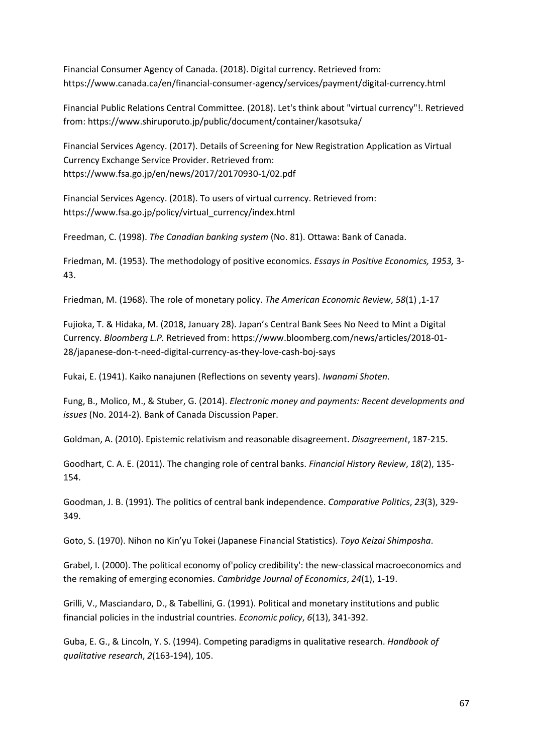Financial Consumer Agency of Canada. (2018). Digital currency. Retrieved from: <https://www.canada.ca/en/financial-consumer-agency/services/payment/digital-currency.html>

Financial Public Relations Central Committee. (2018). Let's think about "virtual currency"!. Retrieved from:<https://www.shiruporuto.jp/public/document/container/kasotsuka/>

Financial Services Agency. (2017). Details of Screening for New Registration Application as Virtual Currency Exchange Service Provider. Retrieved from: <https://www.fsa.go.jp/en/news/2017/20170930-1/02.pdf>

Financial Services Agency. (2018). To users of virtual currency. Retrieved from: [https://www.fsa.go.jp/policy/virtual\\_currency/index.html](https://www.fsa.go.jp/policy/virtual_currency/index.html)

Freedman, C. (1998). *The Canadian banking system* (No. 81). Ottawa: Bank of Canada.

Friedman, M. (1953). The methodology of positive economics. *Essays in Positive Economics, 1953,* 3- 43.

Friedman, M. (1968). The role of monetary policy. *The American Economic Review*, *58*(1) ,1-17

Fujioka, T. & Hidaka, M. (2018, January 28). Japan's Central Bank Sees No Need to Mint a Digital Currency. *Bloomberg L.P.* Retrieved from: [https://www.bloomberg.com/news/articles/2018-01-](https://www.bloomberg.com/news/articles/2018-01-28/japanese-don-t-need-digital-currency-as-they-love-cash-boj-says) [28/japanese-don-t-need-digital-currency-as-they-love-cash-boj-says](https://www.bloomberg.com/news/articles/2018-01-28/japanese-don-t-need-digital-currency-as-they-love-cash-boj-says)

Fukai, E. (1941). Kaiko nanajunen (Reflections on seventy years). *Iwanami Shoten*.

Fung, B., Molico, M., & Stuber, G. (2014). *Electronic money and payments: Recent developments and issues* (No. 2014-2). Bank of Canada Discussion Paper.

Goldman, A. (2010). Epistemic relativism and reasonable disagreement. *Disagreement*, 187-215.

Goodhart, C. A. E. (2011). The changing role of central banks. *Financial History Review*, *18*(2), 135- 154.

Goodman, J. B. (1991). The politics of central bank independence. *Comparative Politics*, *23*(3), 329- 349.

Goto, S. (1970). Nihon no Kin'yu Tokei (Japanese Financial Statistics). *Toyo Keizai Shimposha*.

Grabel, I. (2000). The political economy of'policy credibility': the new-classical macroeconomics and the remaking of emerging economies. *Cambridge Journal of Economics*, *24*(1), 1-19.

Grilli, V., Masciandaro, D., & Tabellini, G. (1991). Political and monetary institutions and public financial policies in the industrial countries. *Economic policy*, *6*(13), 341-392.

Guba, E. G., & Lincoln, Y. S. (1994). Competing paradigms in qualitative research. *Handbook of qualitative research*, *2*(163-194), 105.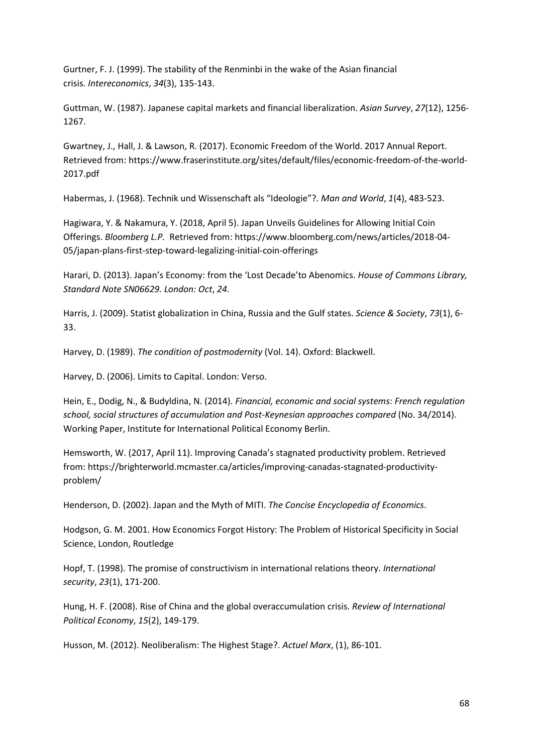Gurtner, F. J. (1999). The stability of the Renminbi in the wake of the Asian financial crisis. *Intereconomics*, *34*(3), 135-143.

Guttman, W. (1987). Japanese capital markets and financial liberalization. *Asian Survey*, *27*(12), 1256- 1267.

Gwartney, J., Hall, J. & Lawson, R. (2017). Economic Freedom of the World. 2017 Annual Report. Retrieved from[: https://www.fraserinstitute.org/sites/default/files/economic-freedom-of-the-world-](https://www.fraserinstitute.org/sites/default/files/economic-freedom-of-the-world-2017.pdf)[2017.pdf](https://www.fraserinstitute.org/sites/default/files/economic-freedom-of-the-world-2017.pdf)

Habermas, J. (1968). Technik und Wissenschaft als "Ideologie"?. *Man and World*, *1*(4), 483-523.

Hagiwara, Y. & Nakamura, Y. (2018, April 5). Japan Unveils Guidelines for Allowing Initial Coin Offerings. *Bloomberg L.P.* Retrieved from: [https://www.bloomberg.com/news/articles/2018-04-](https://www.bloomberg.com/news/articles/2018-04-05/japan-plans-first-step-toward-legalizing-initial-coin-offerings) [05/japan-plans-first-step-toward-legalizing-initial-coin-offerings](https://www.bloomberg.com/news/articles/2018-04-05/japan-plans-first-step-toward-legalizing-initial-coin-offerings)

Harari, D. (2013). Japan's Economy: from the 'Lost Decade'to Abenomics. *House of Commons Library, Standard Note SN06629. London: Oct*, *24*.

Harris, J. (2009). Statist globalization in China, Russia and the Gulf states. *Science & Society*, *73*(1), 6- 33.

Harvey, D. (1989). *The condition of postmodernity* (Vol. 14). Oxford: Blackwell.

Harvey, D. (2006). Limits to Capital. London: Verso.

Hein, E., Dodig, N., & Budyldina, N. (2014). *Financial, economic and social systems: French regulation school, social structures of accumulation and Post-Keynesian approaches compared* (No. 34/2014). Working Paper, Institute for International Political Economy Berlin.

Hemsworth, W. (2017, April 11). Improving Canada's stagnated productivity problem. Retrieved from: [https://brighterworld.mcmaster.ca/articles/improving-canadas-stagnated-productivity](https://brighterworld.mcmaster.ca/articles/improving-canadas-stagnated-productivity-problem/)[problem/](https://brighterworld.mcmaster.ca/articles/improving-canadas-stagnated-productivity-problem/)

Henderson, D. (2002). Japan and the Myth of MITI. *The Concise Encyclopedia of Economics*.

Hodgson, G. M. 2001. How Economics Forgot History: The Problem of Historical Specificity in Social Science, London, Routledge

Hopf, T. (1998). The promise of constructivism in international relations theory. *International security*, *23*(1), 171-200.

Hung, H. F. (2008). Rise of China and the global overaccumulation crisis. *Review of International Political Economy*, *15*(2), 149-179.

Husson, M. (2012). Neoliberalism: The Highest Stage?. *Actuel Marx*, (1), 86-101.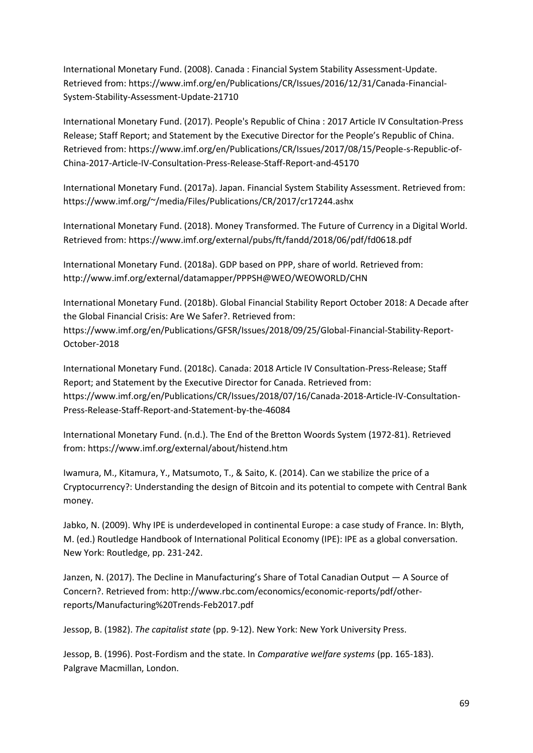International Monetary Fund. (2008). Canada : Financial System Stability Assessment-Update. Retrieved from[: https://www.imf.org/en/Publications/CR/Issues/2016/12/31/Canada-Financial-](https://www.imf.org/en/Publications/CR/Issues/2016/12/31/Canada-Financial-System-Stability-Assessment-Update-21710)[System-Stability-Assessment-Update-21710](https://www.imf.org/en/Publications/CR/Issues/2016/12/31/Canada-Financial-System-Stability-Assessment-Update-21710)

International Monetary Fund. (2017). People's Republic of China : 2017 Article IV Consultation-Press Release; Staff Report; and Statement by the Executive Director for the People's Republic of China. Retrieved from[: https://www.imf.org/en/Publications/CR/Issues/2017/08/15/People-s-Republic-of-](https://www.imf.org/en/Publications/CR/Issues/2017/08/15/People-s-Republic-of-China-2017-Article-IV-Consultation-Press-Release-Staff-Report-and-45170)[China-2017-Article-IV-Consultation-Press-Release-Staff-Report-and-45170](https://www.imf.org/en/Publications/CR/Issues/2017/08/15/People-s-Republic-of-China-2017-Article-IV-Consultation-Press-Release-Staff-Report-and-45170)

International Monetary Fund. (2017a). Japan. Financial System Stability Assessment. Retrieved from: <https://www.imf.org/~/media/Files/Publications/CR/2017/cr17244.ashx>

International Monetary Fund. (2018). Money Transformed. The Future of Currency in a Digital World. Retrieved from[: https://www.imf.org/external/pubs/ft/fandd/2018/06/pdf/fd0618.pdf](https://www.imf.org/external/pubs/ft/fandd/2018/06/pdf/fd0618.pdf)

International Monetary Fund. (2018a). GDP based on PPP, share of world. Retrieved from: <http://www.imf.org/external/datamapper/PPPSH@WEO/WEOWORLD/CHN>

International Monetary Fund. (2018b). Global Financial Stability Report October 2018: A Decade after the Global Financial Crisis: Are We Safer?. Retrieved from: [https://www.imf.org/en/Publications/GFSR/Issues/2018/09/25/Global-Financial-Stability-Report-](https://www.imf.org/en/Publications/GFSR/Issues/2018/09/25/Global-Financial-Stability-Report-October-2018)[October-2018](https://www.imf.org/en/Publications/GFSR/Issues/2018/09/25/Global-Financial-Stability-Report-October-2018)

International Monetary Fund. (2018c). Canada: 2018 Article IV Consultation-Press-Release; Staff Report; and Statement by the Executive Director for Canada. Retrieved from: [https://www.imf.org/en/Publications/CR/Issues/2018/07/16/Canada-2018-Article-IV-Consultation-](https://www.imf.org/en/Publications/CR/Issues/2018/07/16/Canada-2018-Article-IV-Consultation-Press-Release-Staff-Report-and-Statement-by-the-46084)[Press-Release-Staff-Report-and-Statement-by-the-46084](https://www.imf.org/en/Publications/CR/Issues/2018/07/16/Canada-2018-Article-IV-Consultation-Press-Release-Staff-Report-and-Statement-by-the-46084)

International Monetary Fund. (n.d.). The End of the Bretton Woords System (1972-81). Retrieved from:<https://www.imf.org/external/about/histend.htm>

Iwamura, M., Kitamura, Y., Matsumoto, T., & Saito, K. (2014). Can we stabilize the price of a Cryptocurrency?: Understanding the design of Bitcoin and its potential to compete with Central Bank money.

Jabko, N. (2009). Why IPE is underdeveloped in continental Europe: a case study of France. In: Blyth, M. (ed.) Routledge Handbook of International Political Economy (IPE): IPE as a global conversation. New York: Routledge, pp. 231-242.

Janzen, N. (2017). The Decline in Manufacturing's Share of Total Canadian Output — A Source of Concern?. Retrieved from: [http://www.rbc.com/economics/economic-reports/pdf/other](http://www.rbc.com/economics/economic-reports/pdf/other-reports/Manufacturing%20Trends-Feb2017.pdf)[reports/Manufacturing%20Trends-Feb2017.pdf](http://www.rbc.com/economics/economic-reports/pdf/other-reports/Manufacturing%20Trends-Feb2017.pdf)

Jessop, B. (1982). *The capitalist state* (pp. 9-12). New York: New York University Press.

Jessop, B. (1996). Post-Fordism and the state. In *Comparative welfare systems* (pp. 165-183). Palgrave Macmillan, London.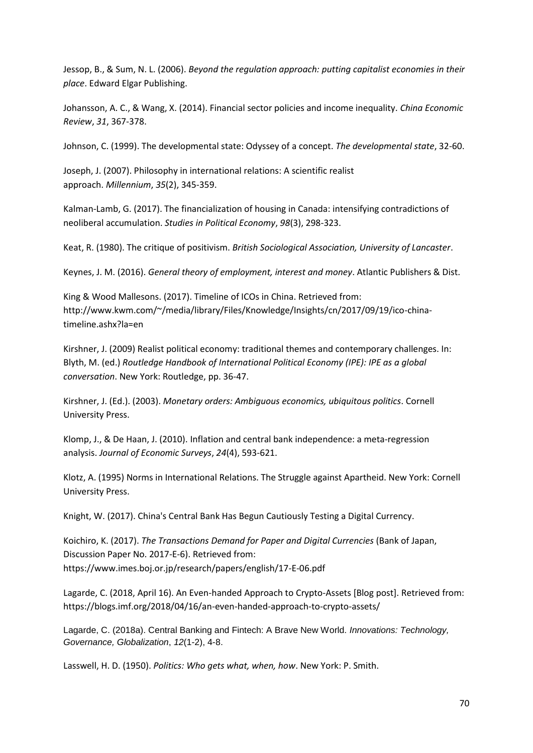Jessop, B., & Sum, N. L. (2006). *Beyond the regulation approach: putting capitalist economies in their place*. Edward Elgar Publishing.

Johansson, A. C., & Wang, X. (2014). Financial sector policies and income inequality. *China Economic Review*, *31*, 367-378.

Johnson, C. (1999). The developmental state: Odyssey of a concept. *The developmental state*, 32-60.

Joseph, J. (2007). Philosophy in international relations: A scientific realist approach. *Millennium*, *35*(2), 345-359.

Kalman-Lamb, G. (2017). The financialization of housing in Canada: intensifying contradictions of neoliberal accumulation. *Studies in Political Economy*, *98*(3), 298-323.

Keat, R. (1980). The critique of positivism. *British Sociological Association, University of Lancaster*.

Keynes, J. M. (2016). *General theory of employment, interest and money*. Atlantic Publishers & Dist.

King & Wood Mallesons. (2017). Timeline of ICOs in China. Retrieved from: [http://www.kwm.com/~/media/library/Files/Knowledge/Insights/cn/2017/09/19/ico-china](http://www.kwm.com/~/media/library/Files/Knowledge/Insights/cn/2017/09/19/ico-china-timeline.ashx?la=en)[timeline.ashx?la=en](http://www.kwm.com/~/media/library/Files/Knowledge/Insights/cn/2017/09/19/ico-china-timeline.ashx?la=en)

Kirshner, J. (2009) Realist political economy: traditional themes and contemporary challenges. In: Blyth, M. (ed.) *Routledge Handbook of International Political Economy (IPE): IPE as a global conversation*. New York: Routledge, pp. 36-47.

Kirshner, J. (Ed.). (2003). *Monetary orders: Ambiguous economics, ubiquitous politics*. Cornell University Press.

Klomp, J., & De Haan, J. (2010). Inflation and central bank independence: a meta‐regression analysis. *Journal of Economic Surveys*, *24*(4), 593-621.

Klotz, A. (1995) Norms in International Relations. The Struggle against Apartheid. New York: Cornell University Press.

Knight, W. (2017). China's Central Bank Has Begun Cautiously Testing a Digital Currency.

Koichiro, K. (2017). *The Transactions Demand for Paper and Digital Currencies* (Bank of Japan, Discussion Paper No. 2017-E-6). Retrieved from: <https://www.imes.boj.or.jp/research/papers/english/17-E-06.pdf>

Lagarde, C. (2018, April 16). An Even-handed Approach to Crypto-Assets [Blog post]. Retrieved from: <https://blogs.imf.org/2018/04/16/an-even-handed-approach-to-crypto-assets/>

Lagarde, C. (2018a). Central Banking and Fintech: A Brave New World. *Innovations: Technology, Governance, Globalization*, *12*(1-2), 4-8.

Lasswell, H. D. (1950). *Politics: Who gets what, when, how*. New York: P. Smith.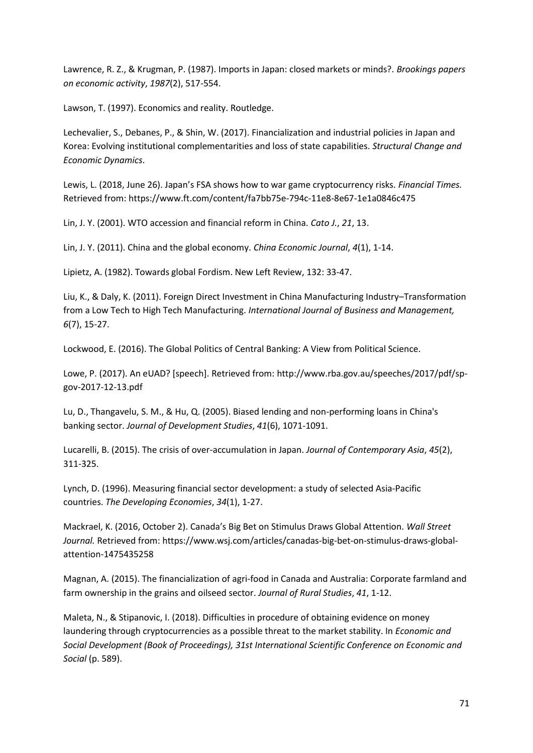Lawrence, R. Z., & Krugman, P. (1987). Imports in Japan: closed markets or minds?. *Brookings papers on economic activity*, *1987*(2), 517-554.

Lawson, T. (1997). Economics and reality. Routledge.

Lechevalier, S., Debanes, P., & Shin, W. (2017). Financialization and industrial policies in Japan and Korea: Evolving institutional complementarities and loss of state capabilities. *Structural Change and Economic Dynamics*.

Lewis, L. (2018, June 26). Japan's FSA shows how to war game cryptocurrency risks. *Financial Times.*  Retrieved from[: https://www.ft.com/content/fa7bb75e-794c-11e8-8e67-1e1a0846c475](https://www.ft.com/content/fa7bb75e-794c-11e8-8e67-1e1a0846c475)

Lin, J. Y. (2001). WTO accession and financial reform in China. *Cato J.*, *21*, 13.

Lin, J. Y. (2011). China and the global economy. *China Economic Journal*, *4*(1), 1-14.

Lipietz, A. (1982). Towards global Fordism. New Left Review, 132: 33-47.

Liu, K., & Daly, K. (2011). Foreign Direct Investment in China Manufacturing Industry–Transformation from a Low Tech to High Tech Manufacturing. *International Journal of Business and Management, 6*(7), 15-27.

Lockwood, E. (2016). The Global Politics of Central Banking: A View from Political Science.

Lowe, P. (2017). An eUAD? [speech]. Retrieved from: [http://www.rba.gov.au/speeches/2017/pdf/sp](http://www.rba.gov.au/speeches/2017/pdf/sp-gov-2017-12-13.pdf)[gov-2017-12-13.pdf](http://www.rba.gov.au/speeches/2017/pdf/sp-gov-2017-12-13.pdf)

Lu, D., Thangavelu, S. M., & Hu, Q. (2005). Biased lending and non-performing loans in China's banking sector. *Journal of Development Studies*, *41*(6), 1071-1091.

Lucarelli, B. (2015). The crisis of over-accumulation in Japan. *Journal of Contemporary Asia*, *45*(2), 311-325.

Lynch, D. (1996). Measuring financial sector development: a study of selected Asia‐Pacific countries. *The Developing Economies*, *34*(1), 1-27.

Mackrael, K. (2016, October 2). Canada's Big Bet on Stimulus Draws Global Attention. *Wall Street Journal.* Retrieved from: [https://www.wsj.com/articles/canadas-big-bet-on-stimulus-draws-global](https://www.wsj.com/articles/canadas-big-bet-on-stimulus-draws-global-attention-1475435258)[attention-1475435258](https://www.wsj.com/articles/canadas-big-bet-on-stimulus-draws-global-attention-1475435258)

Magnan, A. (2015). The financialization of agri-food in Canada and Australia: Corporate farmland and farm ownership in the grains and oilseed sector. *Journal of Rural Studies*, *41*, 1-12.

Maleta, N., & Stipanovic, I. (2018). Difficulties in procedure of obtaining evidence on money laundering through cryptocurrencies as a possible threat to the market stability. In *Economic and Social Development (Book of Proceedings), 31st International Scientific Conference on Economic and Social* (p. 589).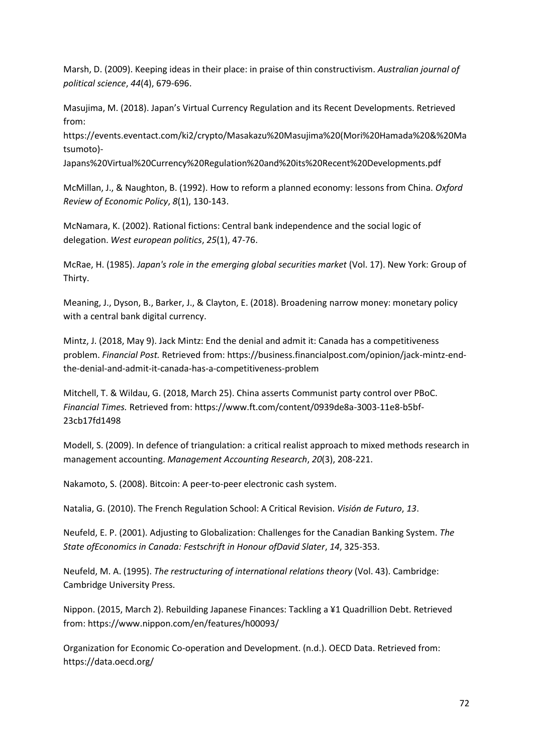Marsh, D. (2009). Keeping ideas in their place: in praise of thin constructivism. *Australian journal of political science*, *44*(4), 679-696.

Masujima, M. (2018). Japan's Virtual Currency Regulation and its Recent Developments. Retrieved from:

[https://events.eventact.com/ki2/crypto/Masakazu%20Masujima%20\(Mori%20Hamada%20&%20Ma](https://events.eventact.com/ki2/crypto/Masakazu%20Masujima%20(Mori%20Hamada%20&%20Matsumoto)-Japans%20Virtual%20Currency%20Regulation%20and%20its%20Recent%20Developments.pdf) [tsumoto\)-](https://events.eventact.com/ki2/crypto/Masakazu%20Masujima%20(Mori%20Hamada%20&%20Matsumoto)-Japans%20Virtual%20Currency%20Regulation%20and%20its%20Recent%20Developments.pdf)

[Japans%20Virtual%20Currency%20Regulation%20and%20its%20Recent%20Developments.pdf](https://events.eventact.com/ki2/crypto/Masakazu%20Masujima%20(Mori%20Hamada%20&%20Matsumoto)-Japans%20Virtual%20Currency%20Regulation%20and%20its%20Recent%20Developments.pdf)

McMillan, J., & Naughton, B. (1992). How to reform a planned economy: lessons from China. *Oxford Review of Economic Policy*, *8*(1), 130-143.

McNamara, K. (2002). Rational fictions: Central bank independence and the social logic of delegation. *West european politics*, *25*(1), 47-76.

McRae, H. (1985). *Japan's role in the emerging global securities market* (Vol. 17). New York: Group of Thirty.

Meaning, J., Dyson, B., Barker, J., & Clayton, E. (2018). Broadening narrow money: monetary policy with a central bank digital currency.

Mintz, J. (2018, May 9). Jack Mintz: End the denial and admit it: Canada has a competitiveness problem. *Financial Post.* Retrieved from: https://business.financialpost.com/opinion/jack-mintz-endthe-denial-and-admit-it-canada-has-a-competitiveness-problem

Mitchell, T. & Wildau, G. (2018, March 25). China asserts Communist party control over PBoC. *Financial Times.* Retrieved from[: https://www.ft.com/content/0939de8a-3003-11e8-b5bf-](https://www.ft.com/content/0939de8a-3003-11e8-b5bf-23cb17fd1498)[23cb17fd1498](https://www.ft.com/content/0939de8a-3003-11e8-b5bf-23cb17fd1498)

Modell, S. (2009). In defence of triangulation: a critical realist approach to mixed methods research in management accounting. *Management Accounting Research*, *20*(3), 208-221.

Nakamoto, S. (2008). Bitcoin: A peer-to-peer electronic cash system.

Natalia, G. (2010). The French Regulation School: A Critical Revision. *Visión de Futuro*, *13*.

Neufeld, E. P. (2001). Adjusting to Globalization: Challenges for the Canadian Banking System. *The State ofEconomics in Canada: Festschrift in Honour ofDavid Slater*, *14*, 325-353.

Neufeld, M. A. (1995). *The restructuring of international relations theory* (Vol. 43). Cambridge: Cambridge University Press.

Nippon. (2015, March 2). Rebuilding Japanese Finances: Tackling a ¥1 Quadrillion Debt. Retrieved from:<https://www.nippon.com/en/features/h00093/>

Organization for Economic Co-operation and Development. (n.d.). OECD Data. Retrieved from: <https://data.oecd.org/>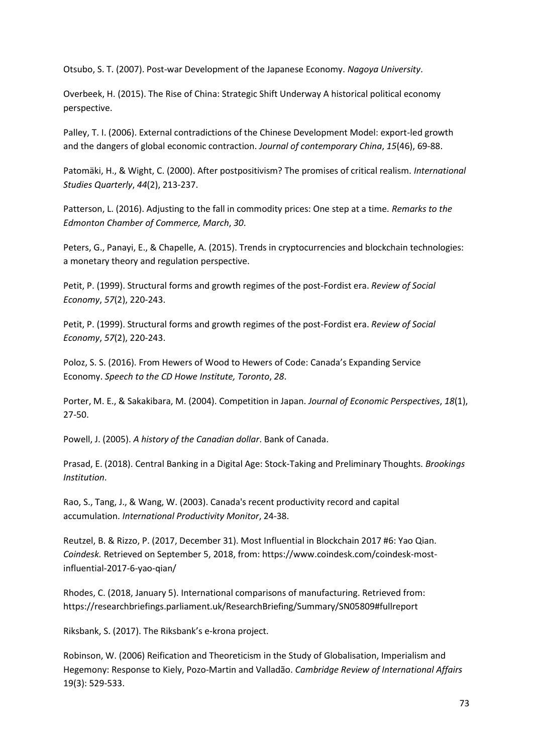Otsubo, S. T. (2007). Post-war Development of the Japanese Economy. *Nagoya University*.

Overbeek, H. (2015). The Rise of China: Strategic Shift Underway A historical political economy perspective.

Palley, T. I. (2006). External contradictions of the Chinese Development Model: export-led growth and the dangers of global economic contraction. *Journal of contemporary China*, *15*(46), 69-88.

Patomäki, H., & Wight, C. (2000). After postpositivism? The promises of critical realism. *International Studies Quarterly*, *44*(2), 213-237.

Patterson, L. (2016). Adjusting to the fall in commodity prices: One step at a time. *Remarks to the Edmonton Chamber of Commerce, March*, *30*.

Peters, G., Panayi, E., & Chapelle, A. (2015). Trends in cryptocurrencies and blockchain technologies: a monetary theory and regulation perspective.

Petit, P. (1999). Structural forms and growth regimes of the post-Fordist era. *Review of Social Economy*, *57*(2), 220-243.

Petit, P. (1999). Structural forms and growth regimes of the post-Fordist era. *Review of Social Economy*, *57*(2), 220-243.

Poloz, S. S. (2016). From Hewers of Wood to Hewers of Code: Canada's Expanding Service Economy. *Speech to the CD Howe Institute, Toronto*, *28*.

Porter, M. E., & Sakakibara, M. (2004). Competition in Japan. *Journal of Economic Perspectives*, *18*(1), 27-50.

Powell, J. (2005). *A history of the Canadian dollar*. Bank of Canada.

Prasad, E. (2018). Central Banking in a Digital Age: Stock-Taking and Preliminary Thoughts. *Brookings Institution*.

Rao, S., Tang, J., & Wang, W. (2003). Canada's recent productivity record and capital accumulation. *International Productivity Monitor*, 24-38.

Reutzel, B. & Rizzo, P. (2017, December 31). Most Influential in Blockchain 2017 #6: Yao Qian. *Coindesk.* Retrieved on September 5, 2018, from: [https://www.coindesk.com/coindesk-most](https://www.coindesk.com/coindesk-most-influential-2017-6-yao-qian/)[influential-2017-6-yao-qian/](https://www.coindesk.com/coindesk-most-influential-2017-6-yao-qian/)

Rhodes, C. (2018, January 5). International comparisons of manufacturing. Retrieved from: <https://researchbriefings.parliament.uk/ResearchBriefing/Summary/SN05809#fullreport>

Riksbank, S. (2017). The Riksbank's e-krona project.

Robinson, W. (2006) Reification and Theoreticism in the Study of Globalisation, Imperialism and Hegemony: Response to Kiely, Pozo-Martin and Valladão. *Cambridge Review of International Affairs*  19(3): 529-533.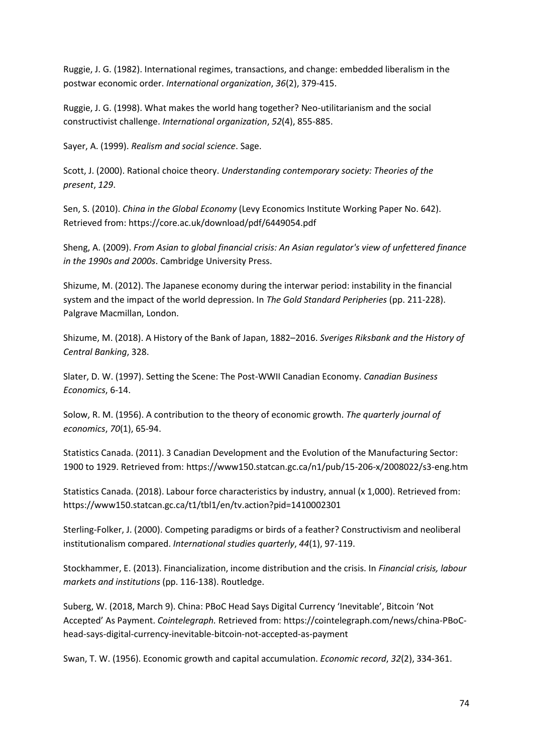Ruggie, J. G. (1982). International regimes, transactions, and change: embedded liberalism in the postwar economic order. *International organization*, *36*(2), 379-415.

Ruggie, J. G. (1998). What makes the world hang together? Neo-utilitarianism and the social constructivist challenge. *International organization*, *52*(4), 855-885.

Sayer, A. (1999). *Realism and social science*. Sage.

Scott, J. (2000). Rational choice theory. *Understanding contemporary society: Theories of the present*, *129*.

Sen, S. (2010). *China in the Global Economy* (Levy Economics Institute Working Paper No. 642). Retrieved from[: https://core.ac.uk/download/pdf/6449054.pdf](https://core.ac.uk/download/pdf/6449054.pdf)

Sheng, A. (2009). *From Asian to global financial crisis: An Asian regulator's view of unfettered finance in the 1990s and 2000s*. Cambridge University Press.

Shizume, M. (2012). The Japanese economy during the interwar period: instability in the financial system and the impact of the world depression. In *The Gold Standard Peripheries* (pp. 211-228). Palgrave Macmillan, London.

Shizume, M. (2018). A History of the Bank of Japan, 1882–2016. *Sveriges Riksbank and the History of Central Banking*, 328.

Slater, D. W. (1997). Setting the Scene: The Post-WWII Canadian Economy. *Canadian Business Economics*, 6-14.

Solow, R. M. (1956). A contribution to the theory of economic growth. *The quarterly journal of economics*, *70*(1), 65-94.

Statistics Canada. (2011). 3 Canadian Development and the Evolution of the Manufacturing Sector: 1900 to 1929. Retrieved from:<https://www150.statcan.gc.ca/n1/pub/15-206-x/2008022/s3-eng.htm>

Statistics Canada. (2018). Labour force characteristics by industry, annual (x 1,000). Retrieved from: <https://www150.statcan.gc.ca/t1/tbl1/en/tv.action?pid=1410002301>

Sterling‐Folker, J. (2000). Competing paradigms or birds of a feather? Constructivism and neoliberal institutionalism compared. *International studies quarterly*, *44*(1), 97-119.

Stockhammer, E. (2013). Financialization, income distribution and the crisis. In *Financial crisis, labour markets and institutions* (pp. 116-138). Routledge.

Suberg, W. (2018, March 9). China: PBoC Head Says Digital Currency 'Inevitable', Bitcoin 'Not Accepted' As Payment. *Cointelegraph.* Retrieved from: [https://cointelegraph.com/news/china-PBoC](https://cointelegraph.com/news/china-pboc-head-says-digital-currency-inevitable-bitcoin-not-accepted-as-payment)[head-says-digital-currency-inevitable-bitcoin-not-accepted-as-payment](https://cointelegraph.com/news/china-pboc-head-says-digital-currency-inevitable-bitcoin-not-accepted-as-payment)

Swan, T. W. (1956). Economic growth and capital accumulation. *Economic record*, *32*(2), 334-361.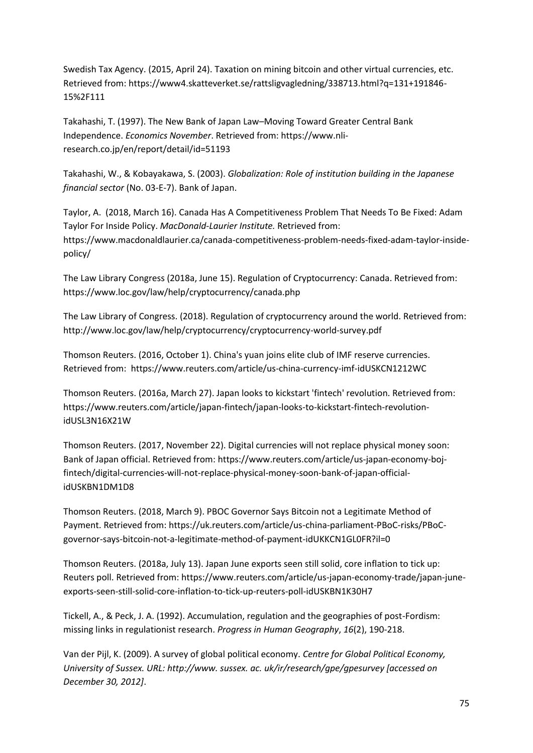Swedish Tax Agency. (2015, April 24). Taxation on mining bitcoin and other virtual currencies, etc. Retrieved from[: https://www4.skatteverket.se/rattsligvagledning/338713.html?q=131+191846-](https://www4.skatteverket.se/rattsligvagledning/338713.html?q=131+191846-15%2F111) [15%2F111](https://www4.skatteverket.se/rattsligvagledning/338713.html?q=131+191846-15%2F111)

Takahashi, T. (1997). The New Bank of Japan Law–Moving Toward Greater Central Bank Independence. *Economics November*. Retrieved from: [https://www.nli](https://www.nli-research.co.jp/en/report/detail/id=51193)[research.co.jp/en/report/detail/id=51193](https://www.nli-research.co.jp/en/report/detail/id=51193)

Takahashi, W., & Kobayakawa, S. (2003). *Globalization: Role of institution building in the Japanese financial sector* (No. 03-E-7). Bank of Japan.

Taylor, A. (2018, March 16). Canada Has A Competitiveness Problem That Needs To Be Fixed: Adam Taylor For Inside Policy. *MacDonald-Laurier Institute.* Retrieved from: [https://www.macdonaldlaurier.ca/canada-competitiveness-problem-needs-fixed-adam-taylor-inside](https://www.macdonaldlaurier.ca/canada-competitiveness-problem-needs-fixed-adam-taylor-inside-policy/)[policy/](https://www.macdonaldlaurier.ca/canada-competitiveness-problem-needs-fixed-adam-taylor-inside-policy/)

The Law Library Congress (2018a, June 15). Regulation of Cryptocurrency: Canada. Retrieved from: https://www.loc.gov/law/help/cryptocurrency/canada.php

The Law Library of Congress. (2018). Regulation of cryptocurrency around the world. Retrieved from: <http://www.loc.gov/law/help/cryptocurrency/cryptocurrency-world-survey.pdf>

Thomson Reuters. (2016, October 1). China's yuan joins elite club of IMF reserve currencies. Retrieved from: <https://www.reuters.com/article/us-china-currency-imf-idUSKCN1212WC>

Thomson Reuters. (2016a, March 27). Japan looks to kickstart 'fintech' revolution. Retrieved from: [https://www.reuters.com/article/japan-fintech/japan-looks-to-kickstart-fintech-revolution](https://www.reuters.com/article/japan-fintech/japan-looks-to-kickstart-fintech-revolution-idUSL3N16X21W)[idUSL3N16X21W](https://www.reuters.com/article/japan-fintech/japan-looks-to-kickstart-fintech-revolution-idUSL3N16X21W)

Thomson Reuters. (2017, November 22). Digital currencies will not replace physical money soon: Bank of Japan official. Retrieved from: [https://www.reuters.com/article/us-japan-economy-boj](https://www.reuters.com/article/us-japan-economy-boj-fintech/digital-currencies-will-not-replace-physical-money-soon-bank-of-japan-official-idUSKBN1DM1D8)[fintech/digital-currencies-will-not-replace-physical-money-soon-bank-of-japan-official](https://www.reuters.com/article/us-japan-economy-boj-fintech/digital-currencies-will-not-replace-physical-money-soon-bank-of-japan-official-idUSKBN1DM1D8)[idUSKBN1DM1D8](https://www.reuters.com/article/us-japan-economy-boj-fintech/digital-currencies-will-not-replace-physical-money-soon-bank-of-japan-official-idUSKBN1DM1D8)

Thomson Reuters. (2018, March 9). PBOC Governor Says Bitcoin not a Legitimate Method of Payment. Retrieved from[: https://uk.reuters.com/article/us-china-parliament-PBoC-risks/PBoC](https://uk.reuters.com/article/us-china-parliament-pboc-risks/pboc-governor-says-bitcoin-not-a-legitimate-method-of-payment-idUKKCN1GL0FR?il=0)[governor-says-bitcoin-not-a-legitimate-method-of-payment-idUKKCN1GL0FR?il=0](https://uk.reuters.com/article/us-china-parliament-pboc-risks/pboc-governor-says-bitcoin-not-a-legitimate-method-of-payment-idUKKCN1GL0FR?il=0)

Thomson Reuters. (2018a, July 13). Japan June exports seen still solid, core inflation to tick up: Reuters poll. Retrieved from[: https://www.reuters.com/article/us-japan-economy-trade/japan-june](https://www.reuters.com/article/us-japan-economy-trade/japan-june-exports-seen-still-solid-core-inflation-to-tick-up-reuters-poll-idUSKBN1K30H7)[exports-seen-still-solid-core-inflation-to-tick-up-reuters-poll-idUSKBN1K30H7](https://www.reuters.com/article/us-japan-economy-trade/japan-june-exports-seen-still-solid-core-inflation-to-tick-up-reuters-poll-idUSKBN1K30H7)

Tickell, A., & Peck, J. A. (1992). Accumulation, regulation and the geographies of post-Fordism: missing links in regulationist research. *Progress in Human Geography*, *16*(2), 190-218.

Van der Pijl, K. (2009). A survey of global political economy. *Centre for Global Political Economy, University of Sussex. URL: http://www. sussex. ac. uk/ir/research/gpe/gpesurvey [accessed on December 30, 2012]*.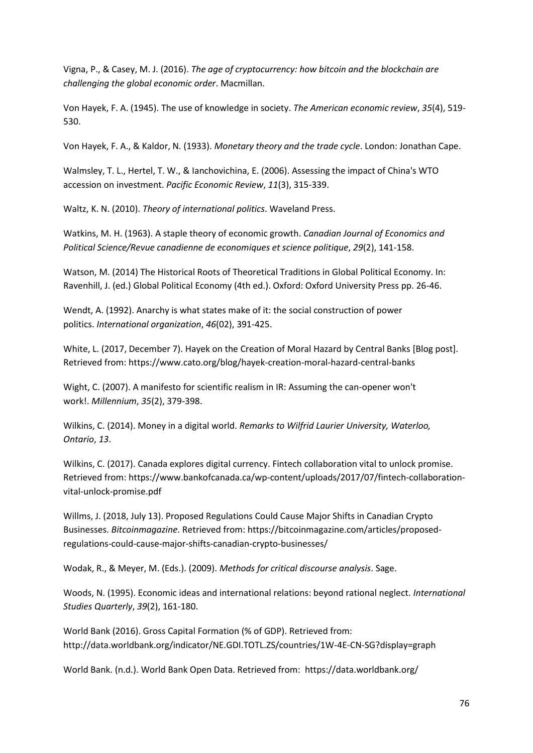Vigna, P., & Casey, M. J. (2016). *The age of cryptocurrency: how bitcoin and the blockchain are challenging the global economic order*. Macmillan.

Von Hayek, F. A. (1945). The use of knowledge in society. *The American economic review*, *35*(4), 519- 530.

Von Hayek, F. A., & Kaldor, N. (1933). *Monetary theory and the trade cycle*. London: Jonathan Cape.

Walmsley, T. L., Hertel, T. W., & Ianchovichina, E. (2006). Assessing the impact of China's WTO accession on investment. *Pacific Economic Review*, *11*(3), 315-339.

Waltz, K. N. (2010). *Theory of international politics*. Waveland Press.

Watkins, M. H. (1963). A staple theory of economic growth. *Canadian Journal of Economics and Political Science/Revue canadienne de economiques et science politique*, *29*(2), 141-158.

Watson, M. (2014) The Historical Roots of Theoretical Traditions in Global Political Economy. In: Ravenhill, J. (ed.) Global Political Economy (4th ed.). Oxford: Oxford University Press pp. 26-46.

Wendt, A. (1992). Anarchy is what states make of it: the social construction of power politics. *International organization*, *46*(02), 391-425.

White, L. (2017, December 7). Hayek on the Creation of Moral Hazard by Central Banks [Blog post]. Retrieved from[: https://www.cato.org/blog/hayek-creation-moral-hazard-central-banks](https://www.cato.org/blog/hayek-creation-moral-hazard-central-banks)

Wight, C. (2007). A manifesto for scientific realism in IR: Assuming the can-opener won't work!. *Millennium*, *35*(2), 379-398.

Wilkins, C. (2014). Money in a digital world. *Remarks to Wilfrid Laurier University, Waterloo, Ontario*, *13*.

Wilkins, C. (2017). Canada explores digital currency. Fintech collaboration vital to unlock promise. Retrieved from[: https://www.bankofcanada.ca/wp-content/uploads/2017/07/fintech-collaboration](https://www.bankofcanada.ca/wp-content/uploads/2017/07/fintech-collaboration-vital-unlock-promise.pdf)[vital-unlock-promise.pdf](https://www.bankofcanada.ca/wp-content/uploads/2017/07/fintech-collaboration-vital-unlock-promise.pdf)

Willms, J. (2018, July 13). Proposed Regulations Could Cause Major Shifts in Canadian Crypto Businesses. *Bitcoinmagazine*. Retrieved from[: https://bitcoinmagazine.com/articles/proposed](https://bitcoinmagazine.com/articles/proposed-regulations-could-cause-major-shifts-canadian-crypto-businesses/)[regulations-could-cause-major-shifts-canadian-crypto-businesses/](https://bitcoinmagazine.com/articles/proposed-regulations-could-cause-major-shifts-canadian-crypto-businesses/)

Wodak, R., & Meyer, M. (Eds.). (2009). *Methods for critical discourse analysis*. Sage.

Woods, N. (1995). Economic ideas and international relations: beyond rational neglect. *International Studies Quarterly*, *39*(2), 161-180.

World Bank (2016). Gross Capital Formation (% of GDP). Retrieved from: <http://data.worldbank.org/indicator/NE.GDI.TOTL.ZS/countries/1W-4E-CN-SG?display=graph>

World Bank. (n.d.). World Bank Open Data. Retrieved from:<https://data.worldbank.org/>